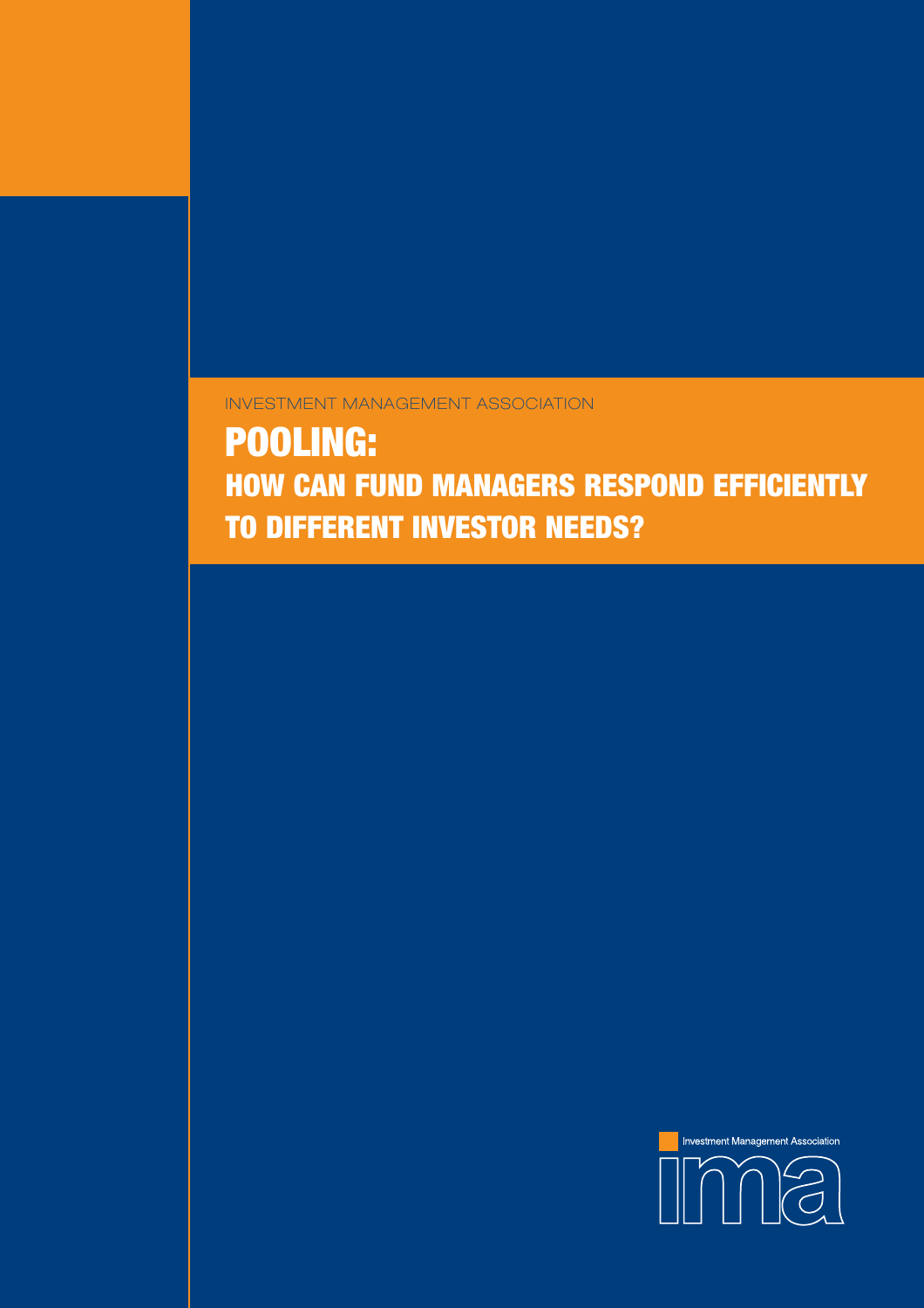INVESTMENT MANAGEMENT ASSOCIATION

POOLING: HOW CAN FUND MANAGERS RESPOND EFFICIENTLY TO DIFFERENT INVESTOR NEEDS?

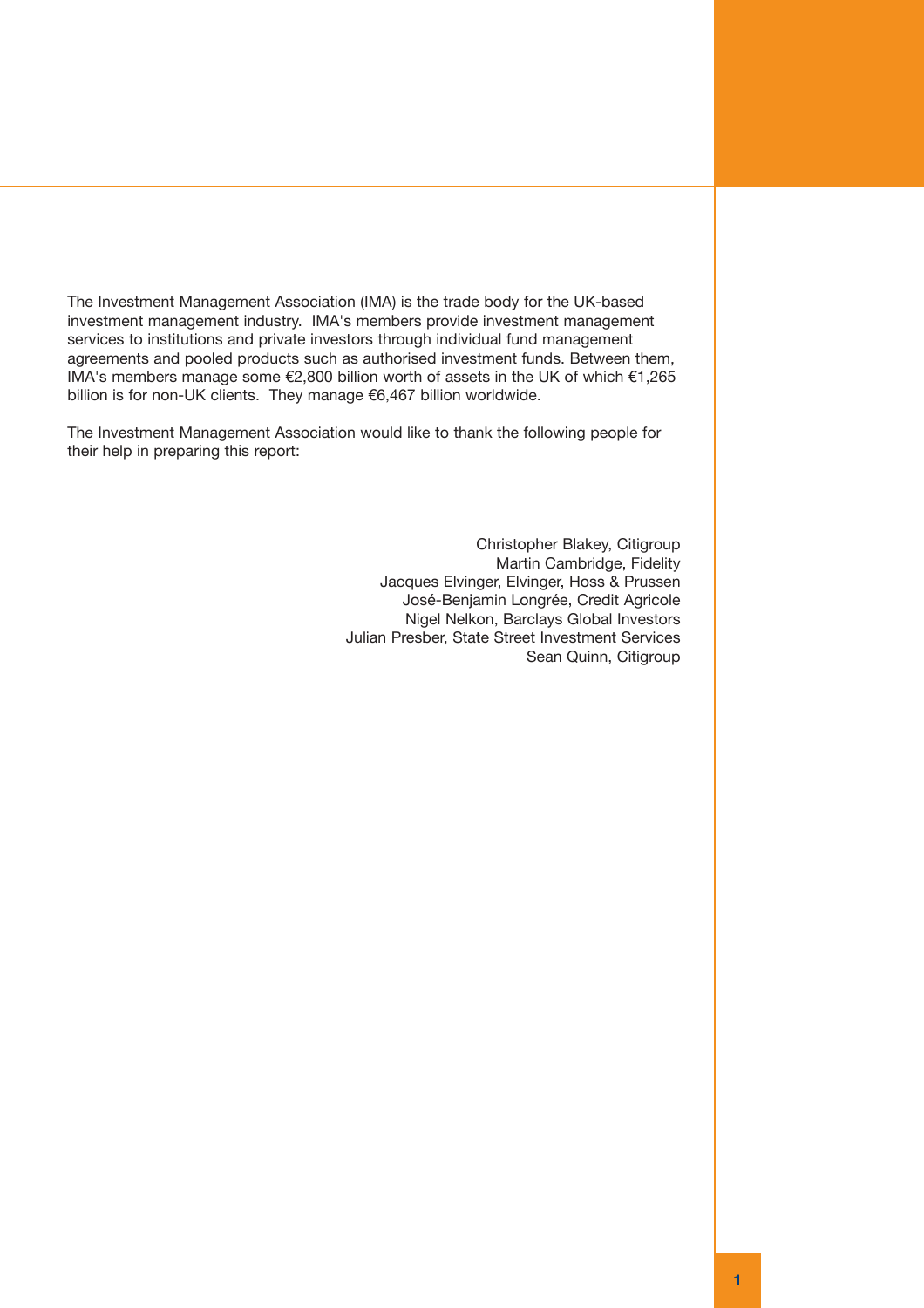The Investment Management Association (IMA) is the trade body for the UK-based investment management industry. IMA's members provide investment management services to institutions and private investors through individual fund management agreements and pooled products such as authorised investment funds. Between them, IMA's members manage some €2,800 billion worth of assets in the UK of which €1,265 billion is for non-UK clients. They manage €6,467 billion worldwide.

The Investment Management Association would like to thank the following people for their help in preparing this report:

> Christopher Blakey, Citigroup Martin Cambridge, Fidelity Jacques Elvinger, Elvinger, Hoss & Prussen José-Benjamin Longrée, Credit Agricole Nigel Nelkon, Barclays Global Investors Julian Presber, State Street Investment Services Sean Quinn, Citigroup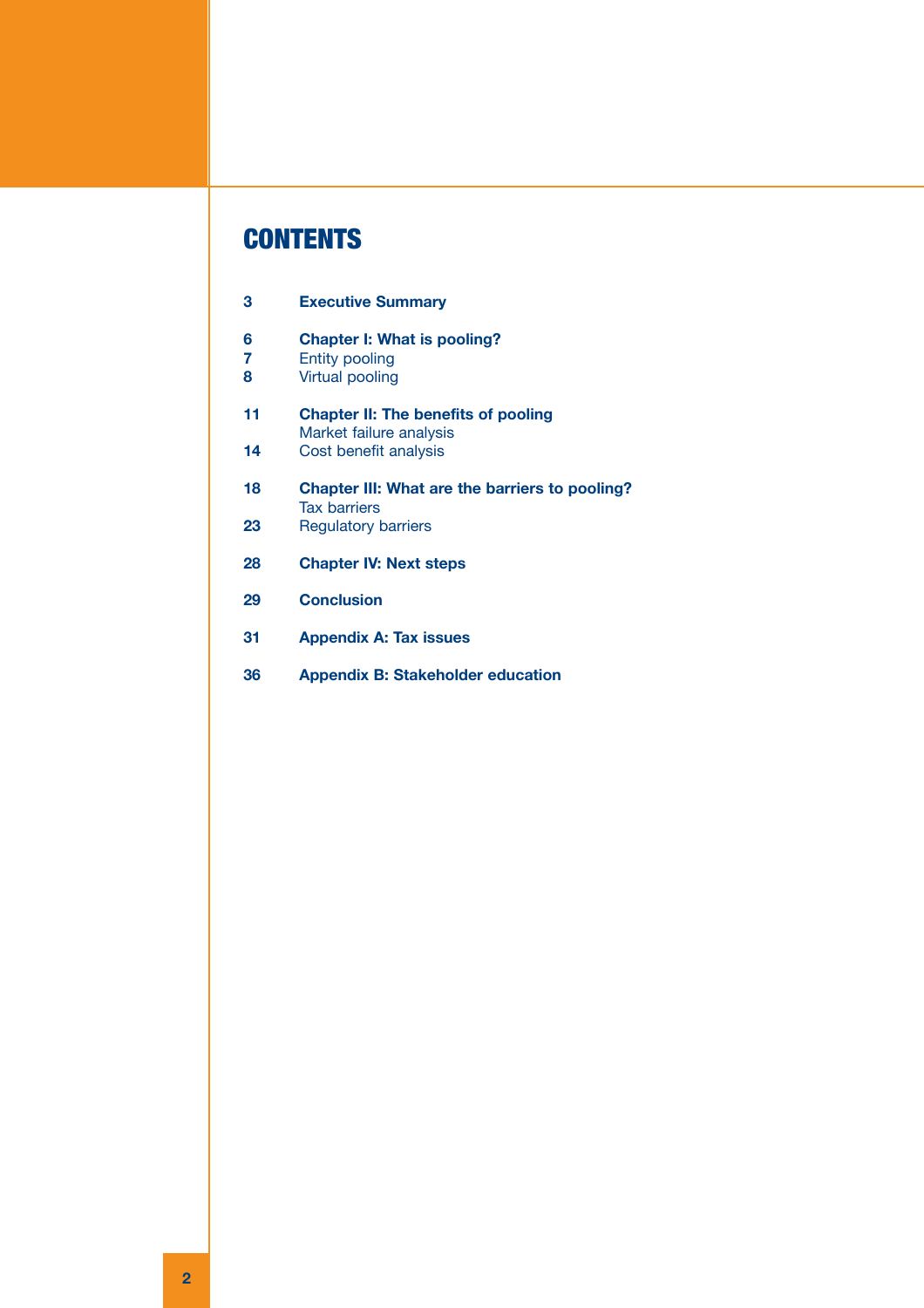# **CONTENTS**

| 3           | <b>Executive Summary</b>                                                       |
|-------------|--------------------------------------------------------------------------------|
| 6<br>7<br>8 | <b>Chapter I: What is pooling?</b><br><b>Entity pooling</b><br>Virtual pooling |
| 11          | <b>Chapter II: The benefits of pooling</b><br>Market failure analysis          |
| 14          | Cost benefit analysis                                                          |
| 18          | Chapter III: What are the barriers to pooling?<br><b>Tax barriers</b>          |
| 23          | <b>Regulatory barriers</b>                                                     |
| 28          | <b>Chapter IV: Next steps</b>                                                  |
| 29          | <b>Conclusion</b>                                                              |

- **31 Appendix A: Tax issues**
- **36 Appendix B: Stakeholder education**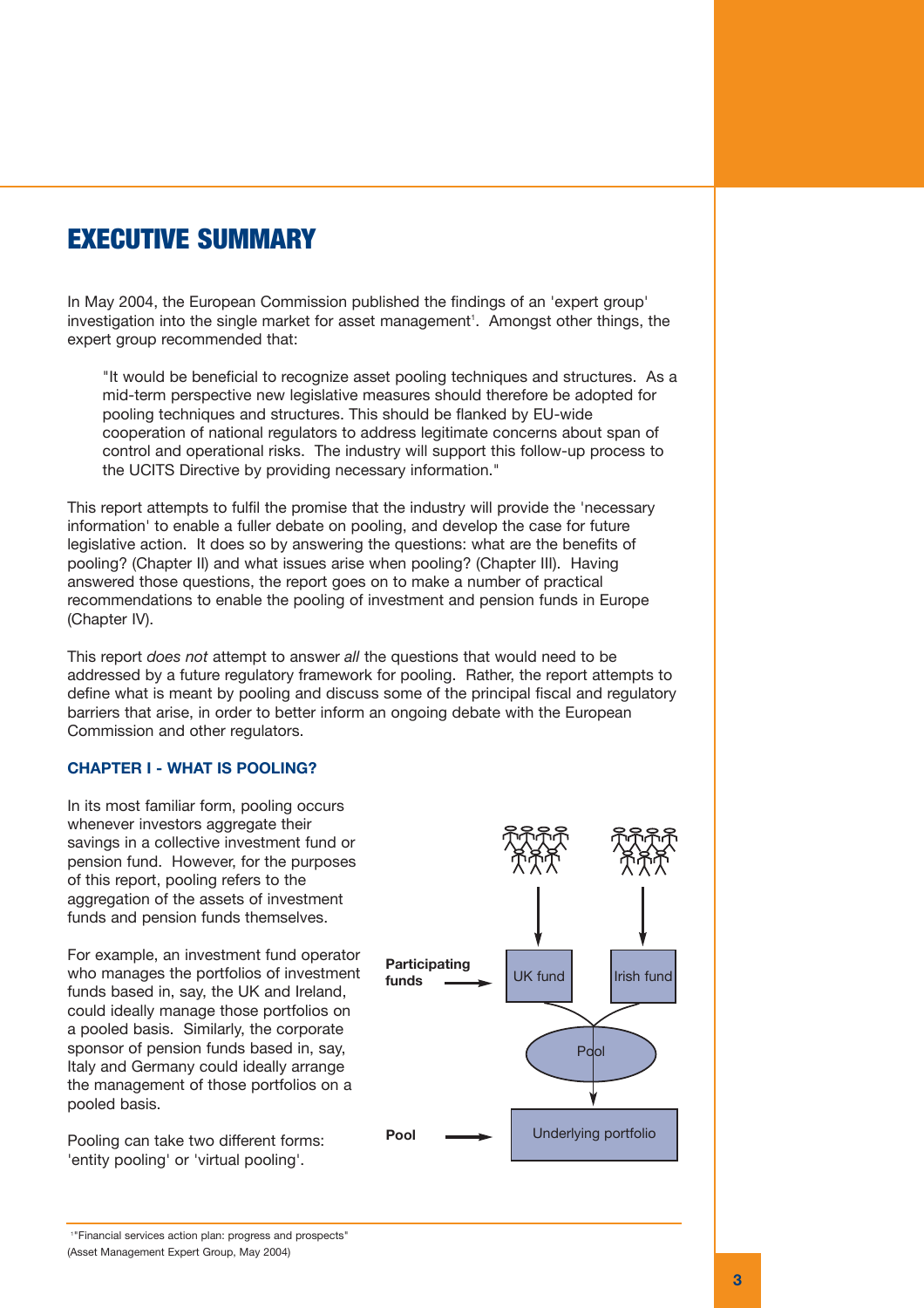# EXECUTIVE SUMMARY

In May 2004, the European Commission published the findings of an 'expert group' investigation into the single market for asset management<sup>1</sup>. Amongst other things, the expert group recommended that:

"It would be beneficial to recognize asset pooling techniques and structures. As a mid-term perspective new legislative measures should therefore be adopted for pooling techniques and structures. This should be flanked by EU-wide cooperation of national regulators to address legitimate concerns about span of control and operational risks. The industry will support this follow-up process to the UCITS Directive by providing necessary information."

This report attempts to fulfil the promise that the industry will provide the 'necessary information' to enable a fuller debate on pooling, and develop the case for future legislative action. It does so by answering the questions: what are the benefits of pooling? (Chapter II) and what issues arise when pooling? (Chapter III). Having answered those questions, the report goes on to make a number of practical recommendations to enable the pooling of investment and pension funds in Europe (Chapter IV).

This report *does not* attempt to answer *all* the questions that would need to be addressed by a future regulatory framework for pooling. Rather, the report attempts to define what is meant by pooling and discuss some of the principal fiscal and regulatory barriers that arise, in order to better inform an ongoing debate with the European Commission and other regulators.

# **CHAPTER I - WHAT IS POOLING?**

In its most familiar form, pooling occurs whenever investors aggregate their savings in a collective investment fund or pension fund. However, for the purposes of this report, pooling refers to the aggregation of the assets of investment funds and pension funds themselves.

For example, an investment fund operator who manages the portfolios of investment funds based in, say, the UK and Ireland, could ideally manage those portfolios on a pooled basis. Similarly, the corporate sponsor of pension funds based in, say, Italy and Germany could ideally arrange the management of those portfolios on a pooled basis.

Pooling can take two different forms: 'entity pooling' or 'virtual pooling'.



1 "Financial services action plan: progress and prospects"

(Asset Management Expert Group, May 2004)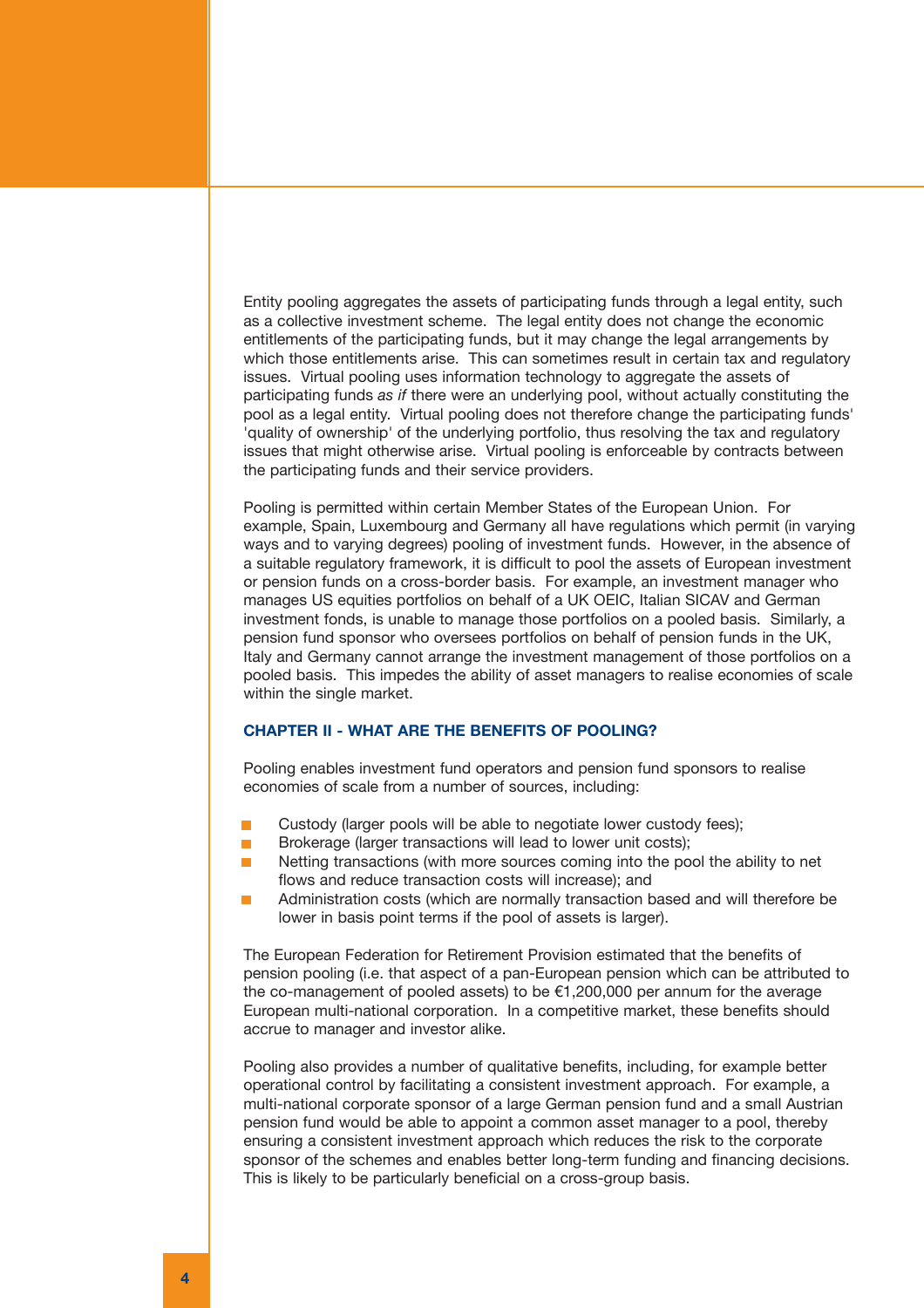Entity pooling aggregates the assets of participating funds through a legal entity, such as a collective investment scheme. The legal entity does not change the economic entitlements of the participating funds, but it may change the legal arrangements by which those entitlements arise. This can sometimes result in certain tax and regulatory issues. Virtual pooling uses information technology to aggregate the assets of participating funds *as if* there were an underlying pool, without actually constituting the pool as a legal entity. Virtual pooling does not therefore change the participating funds' 'quality of ownership' of the underlying portfolio, thus resolving the tax and regulatory issues that might otherwise arise. Virtual pooling is enforceable by contracts between the participating funds and their service providers.

Pooling is permitted within certain Member States of the European Union. For example, Spain, Luxembourg and Germany all have regulations which permit (in varying ways and to varying degrees) pooling of investment funds. However, in the absence of a suitable regulatory framework, it is difficult to pool the assets of European investment or pension funds on a cross-border basis. For example, an investment manager who manages US equities portfolios on behalf of a UK OEIC, Italian SICAV and German investment fonds, is unable to manage those portfolios on a pooled basis. Similarly, a pension fund sponsor who oversees portfolios on behalf of pension funds in the UK, Italy and Germany cannot arrange the investment management of those portfolios on a pooled basis. This impedes the ability of asset managers to realise economies of scale within the single market.

# **CHAPTER II - WHAT ARE THE BENEFITS OF POOLING?**

Pooling enables investment fund operators and pension fund sponsors to realise economies of scale from a number of sources, including:

- Custody (larger pools will be able to negotiate lower custody fees);
- $\Box$ Brokerage (larger transactions will lead to lower unit costs):
- Netting transactions (with more sources coming into the pool the ability to net flows and reduce transaction costs will increase); and
- Administration costs (which are normally transaction based and will therefore be lower in basis point terms if the pool of assets is larger).

The European Federation for Retirement Provision estimated that the benefits of pension pooling (i.e. that aspect of a pan-European pension which can be attributed to the co-management of pooled assets) to be €1,200,000 per annum for the average European multi-national corporation. In a competitive market, these benefits should accrue to manager and investor alike.

Pooling also provides a number of qualitative benefits, including, for example better operational control by facilitating a consistent investment approach. For example, a multi-national corporate sponsor of a large German pension fund and a small Austrian pension fund would be able to appoint a common asset manager to a pool, thereby ensuring a consistent investment approach which reduces the risk to the corporate sponsor of the schemes and enables better long-term funding and financing decisions. This is likely to be particularly beneficial on a cross-group basis.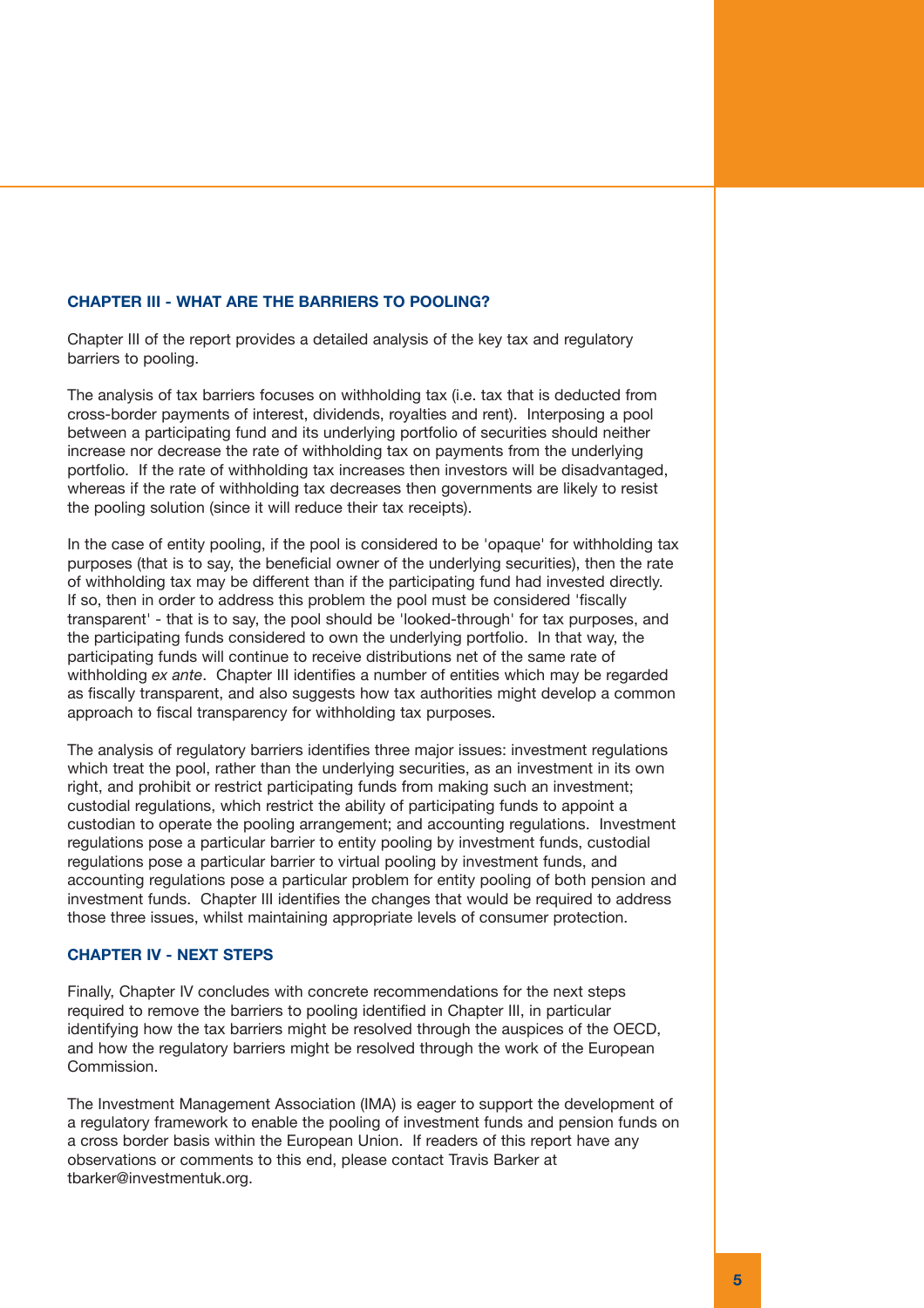# **CHAPTER III - WHAT ARE THE BARRIERS TO POOLING?**

Chapter III of the report provides a detailed analysis of the key tax and regulatory barriers to pooling.

The analysis of tax barriers focuses on withholding tax (i.e. tax that is deducted from cross-border payments of interest, dividends, royalties and rent). Interposing a pool between a participating fund and its underlying portfolio of securities should neither increase nor decrease the rate of withholding tax on payments from the underlying portfolio. If the rate of withholding tax increases then investors will be disadvantaged, whereas if the rate of withholding tax decreases then governments are likely to resist the pooling solution (since it will reduce their tax receipts).

In the case of entity pooling, if the pool is considered to be 'opaque' for withholding tax purposes (that is to say, the beneficial owner of the underlying securities), then the rate of withholding tax may be different than if the participating fund had invested directly. If so, then in order to address this problem the pool must be considered 'fiscally transparent' - that is to say, the pool should be 'looked-through' for tax purposes, and the participating funds considered to own the underlying portfolio. In that way, the participating funds will continue to receive distributions net of the same rate of withholding *ex ante*. Chapter III identifies a number of entities which may be regarded as fiscally transparent, and also suggests how tax authorities might develop a common approach to fiscal transparency for withholding tax purposes.

The analysis of regulatory barriers identifies three major issues: investment regulations which treat the pool, rather than the underlying securities, as an investment in its own right, and prohibit or restrict participating funds from making such an investment; custodial regulations, which restrict the ability of participating funds to appoint a custodian to operate the pooling arrangement; and accounting regulations. Investment regulations pose a particular barrier to entity pooling by investment funds, custodial regulations pose a particular barrier to virtual pooling by investment funds, and accounting regulations pose a particular problem for entity pooling of both pension and investment funds. Chapter III identifies the changes that would be required to address those three issues, whilst maintaining appropriate levels of consumer protection.

### **CHAPTER IV - NEXT STEPS**

Finally, Chapter IV concludes with concrete recommendations for the next steps required to remove the barriers to pooling identified in Chapter III, in particular identifying how the tax barriers might be resolved through the auspices of the OECD, and how the regulatory barriers might be resolved through the work of the European Commission.

The Investment Management Association (IMA) is eager to support the development of a regulatory framework to enable the pooling of investment funds and pension funds on a cross border basis within the European Union. If readers of this report have any observations or comments to this end, please contact Travis Barker at tbarker@investmentuk.org.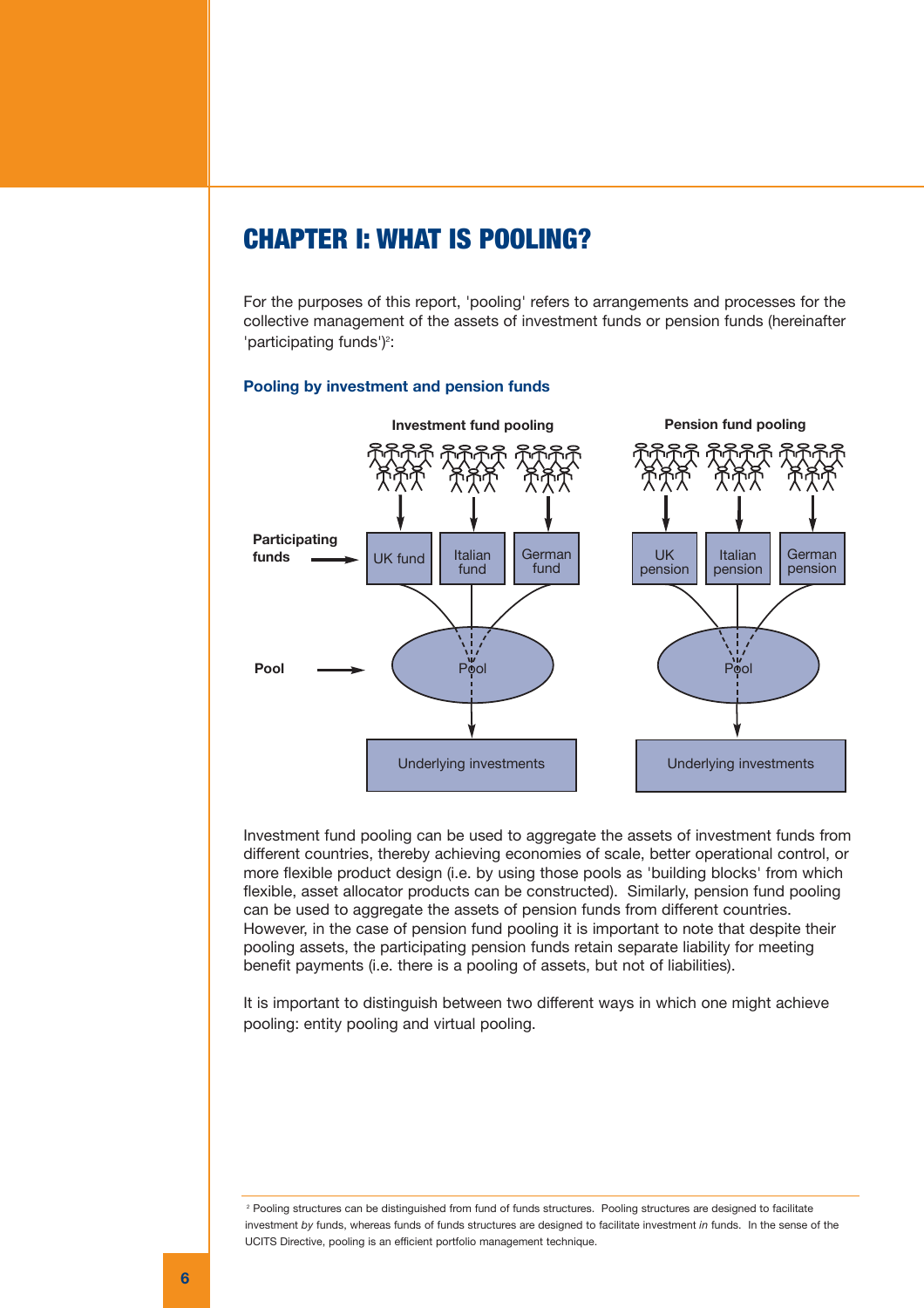# CHAPTER I: WHAT IS POOLING?

For the purposes of this report, 'pooling' refers to arrangements and processes for the collective management of the assets of investment funds or pension funds (hereinafter 'participating funds') $2$ :



## **Pooling by investment and pension funds**

Investment fund pooling can be used to aggregate the assets of investment funds from different countries, thereby achieving economies of scale, better operational control, or more flexible product design (i.e. by using those pools as 'building blocks' from which flexible, asset allocator products can be constructed). Similarly, pension fund pooling can be used to aggregate the assets of pension funds from different countries. However, in the case of pension fund pooling it is important to note that despite their pooling assets, the participating pension funds retain separate liability for meeting benefit payments (i.e. there is a pooling of assets, but not of liabilities).

It is important to distinguish between two different ways in which one might achieve pooling: entity pooling and virtual pooling.

<sup>2</sup> Pooling structures can be distinguished from fund of funds structures. Pooling structures are designed to facilitate investment *by* funds, whereas funds of funds structures are designed to facilitate investment *in* funds. In the sense of the UCITS Directive, pooling is an efficient portfolio management technique.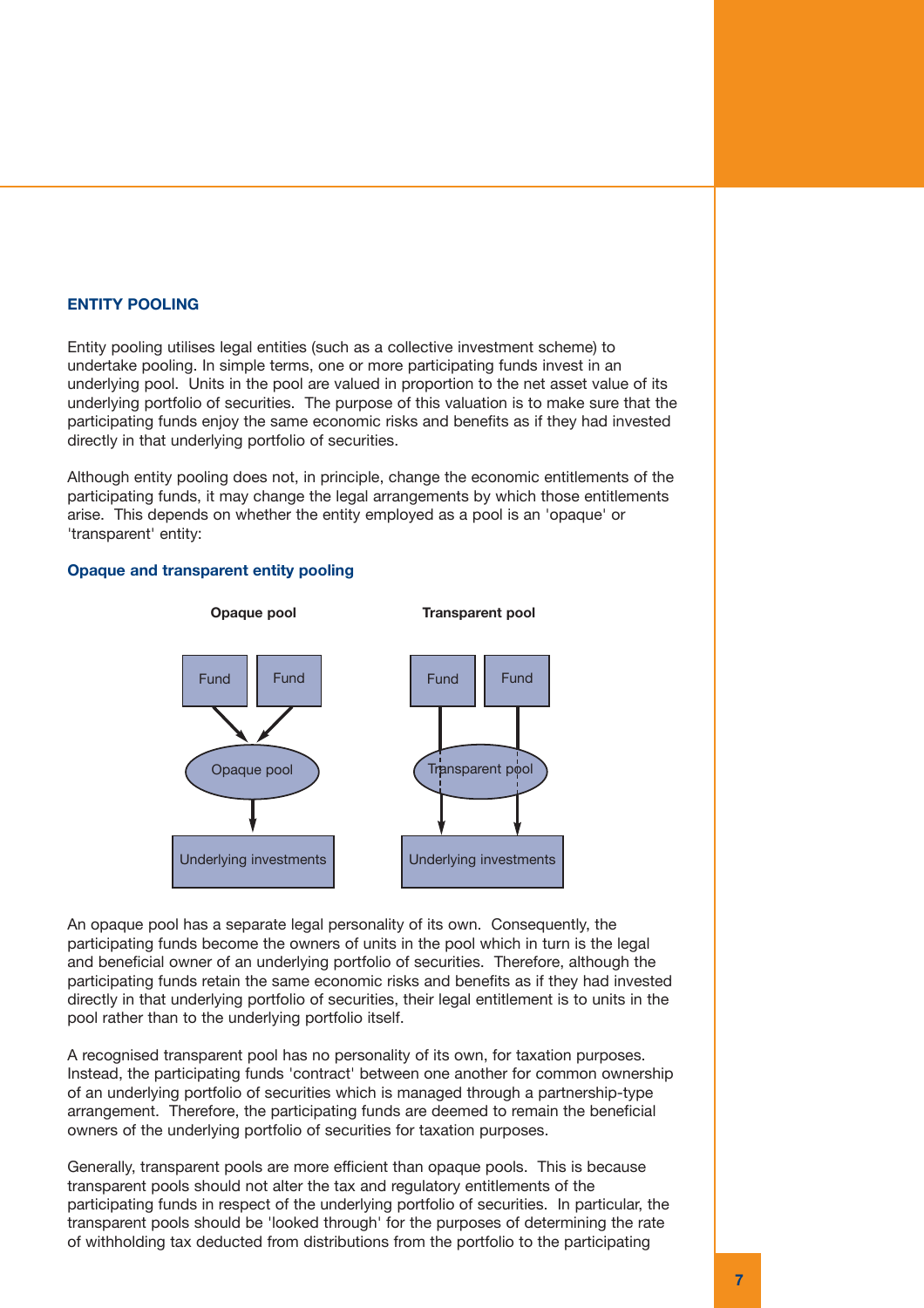# **ENTITY POOLING**

Entity pooling utilises legal entities (such as a collective investment scheme) to undertake pooling. In simple terms, one or more participating funds invest in an underlying pool. Units in the pool are valued in proportion to the net asset value of its underlying portfolio of securities. The purpose of this valuation is to make sure that the participating funds enjoy the same economic risks and benefits as if they had invested directly in that underlying portfolio of securities.

Although entity pooling does not, in principle, change the economic entitlements of the participating funds, it may change the legal arrangements by which those entitlements arise. This depends on whether the entity employed as a pool is an 'opaque' or 'transparent' entity:

# **Opaque and transparent entity pooling**



An opaque pool has a separate legal personality of its own. Consequently, the participating funds become the owners of units in the pool which in turn is the legal and beneficial owner of an underlying portfolio of securities. Therefore, although the participating funds retain the same economic risks and benefits as if they had invested directly in that underlying portfolio of securities, their legal entitlement is to units in the pool rather than to the underlying portfolio itself.

A recognised transparent pool has no personality of its own, for taxation purposes. Instead, the participating funds 'contract' between one another for common ownership of an underlying portfolio of securities which is managed through a partnership-type arrangement. Therefore, the participating funds are deemed to remain the beneficial owners of the underlying portfolio of securities for taxation purposes.

Generally, transparent pools are more efficient than opaque pools. This is because transparent pools should not alter the tax and regulatory entitlements of the participating funds in respect of the underlying portfolio of securities. In particular, the transparent pools should be 'looked through' for the purposes of determining the rate of withholding tax deducted from distributions from the portfolio to the participating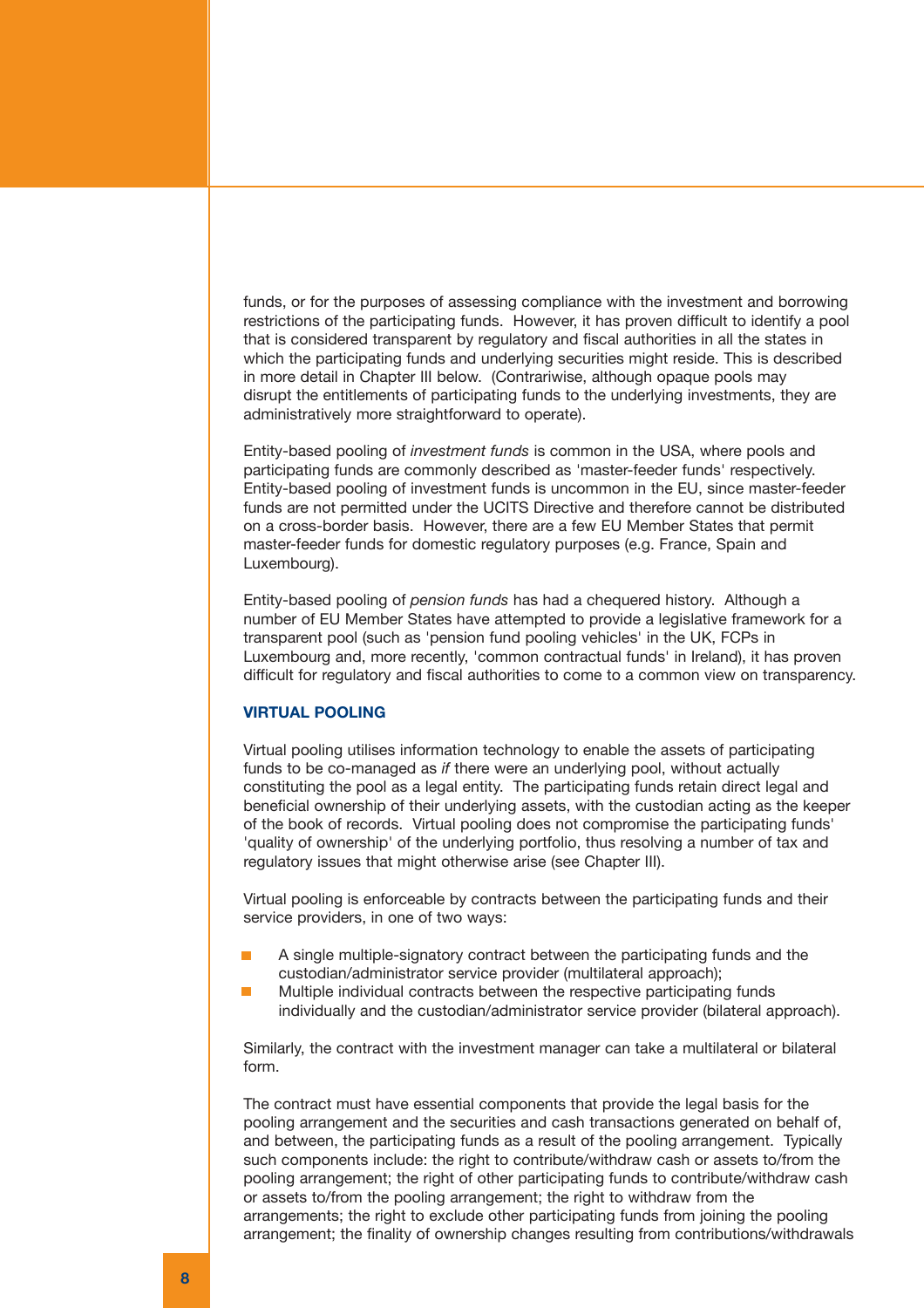funds, or for the purposes of assessing compliance with the investment and borrowing restrictions of the participating funds. However, it has proven difficult to identify a pool that is considered transparent by regulatory and fiscal authorities in all the states in which the participating funds and underlying securities might reside. This is described in more detail in Chapter III below. (Contrariwise, although opaque pools may disrupt the entitlements of participating funds to the underlying investments, they are administratively more straightforward to operate).

Entity-based pooling of *investment funds* is common in the USA, where pools and participating funds are commonly described as 'master-feeder funds' respectively. Entity-based pooling of investment funds is uncommon in the EU, since master-feeder funds are not permitted under the UCITS Directive and therefore cannot be distributed on a cross-border basis. However, there are a few EU Member States that permit master-feeder funds for domestic regulatory purposes (e.g. France, Spain and Luxembourg).

Entity-based pooling of *pension funds* has had a chequered history. Although a number of EU Member States have attempted to provide a legislative framework for a transparent pool (such as 'pension fund pooling vehicles' in the UK, FCPs in Luxembourg and, more recently, 'common contractual funds' in Ireland), it has proven difficult for regulatory and fiscal authorities to come to a common view on transparency.

#### **VIRTUAL POOLING**

Virtual pooling utilises information technology to enable the assets of participating funds to be co-managed as *if* there were an underlying pool, without actually constituting the pool as a legal entity. The participating funds retain direct legal and beneficial ownership of their underlying assets, with the custodian acting as the keeper of the book of records. Virtual pooling does not compromise the participating funds' 'quality of ownership' of the underlying portfolio, thus resolving a number of tax and regulatory issues that might otherwise arise (see Chapter III).

Virtual pooling is enforceable by contracts between the participating funds and their service providers, in one of two ways:

- A single multiple-signatory contract between the participating funds and the custodian/administrator service provider (multilateral approach);
- Multiple individual contracts between the respective participating funds individually and the custodian/administrator service provider (bilateral approach).

Similarly, the contract with the investment manager can take a multilateral or bilateral form.

The contract must have essential components that provide the legal basis for the pooling arrangement and the securities and cash transactions generated on behalf of, and between, the participating funds as a result of the pooling arrangement. Typically such components include: the right to contribute/withdraw cash or assets to/from the pooling arrangement; the right of other participating funds to contribute/withdraw cash or assets to/from the pooling arrangement; the right to withdraw from the arrangements; the right to exclude other participating funds from joining the pooling arrangement; the finality of ownership changes resulting from contributions/withdrawals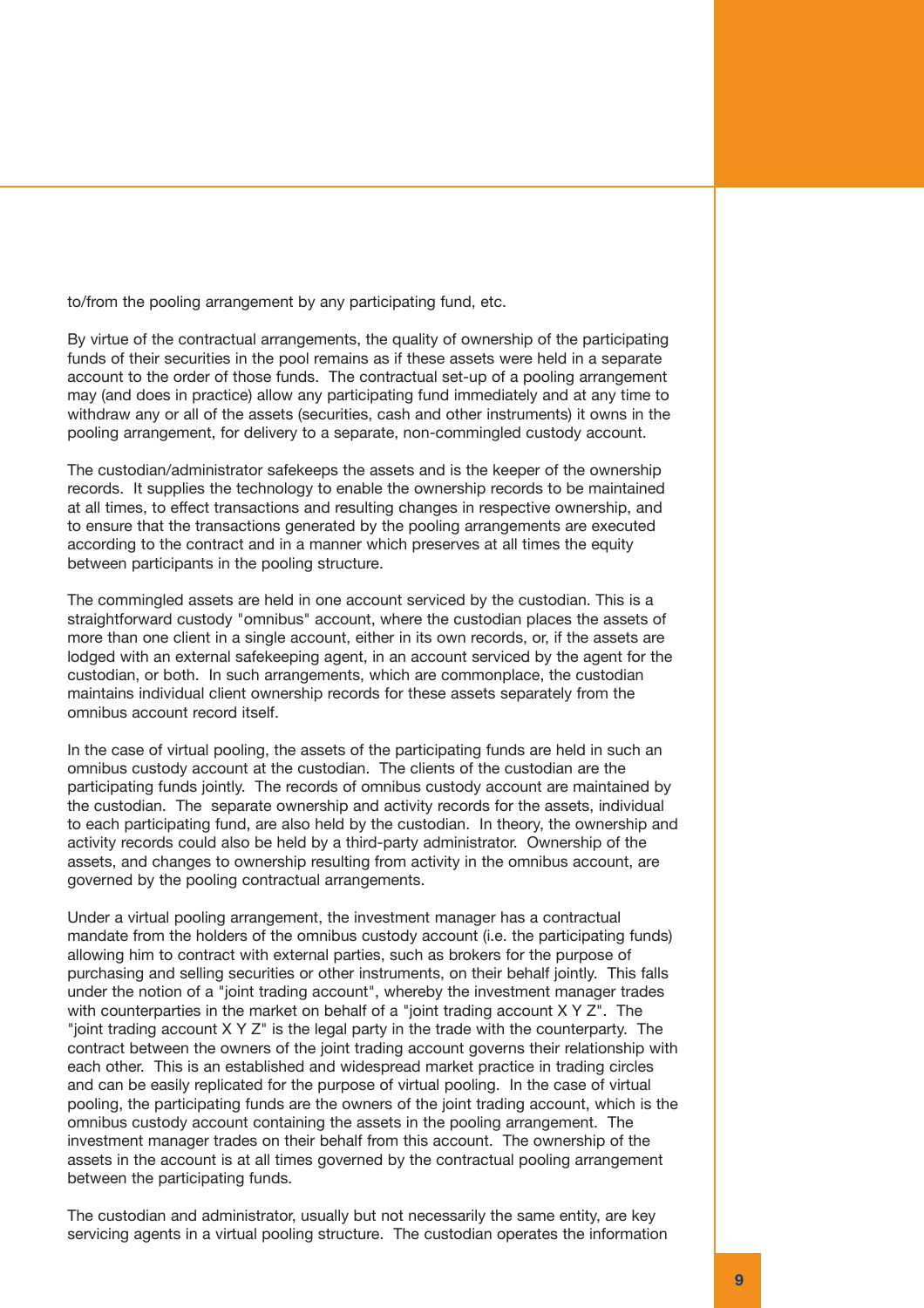to/from the pooling arrangement by any participating fund, etc.

By virtue of the contractual arrangements, the quality of ownership of the participating funds of their securities in the pool remains as if these assets were held in a separate account to the order of those funds. The contractual set-up of a pooling arrangement may (and does in practice) allow any participating fund immediately and at any time to withdraw any or all of the assets (securities, cash and other instruments) it owns in the pooling arrangement, for delivery to a separate, non-commingled custody account.

The custodian/administrator safekeeps the assets and is the keeper of the ownership records. It supplies the technology to enable the ownership records to be maintained at all times, to effect transactions and resulting changes in respective ownership, and to ensure that the transactions generated by the pooling arrangements are executed according to the contract and in a manner which preserves at all times the equity between participants in the pooling structure.

The commingled assets are held in one account serviced by the custodian. This is a straightforward custody "omnibus" account, where the custodian places the assets of more than one client in a single account, either in its own records, or, if the assets are lodged with an external safekeeping agent, in an account serviced by the agent for the custodian, or both. In such arrangements, which are commonplace, the custodian maintains individual client ownership records for these assets separately from the omnibus account record itself.

In the case of virtual pooling, the assets of the participating funds are held in such an omnibus custody account at the custodian. The clients of the custodian are the participating funds jointly. The records of omnibus custody account are maintained by the custodian. The separate ownership and activity records for the assets, individual to each participating fund, are also held by the custodian. In theory, the ownership and activity records could also be held by a third-party administrator. Ownership of the assets, and changes to ownership resulting from activity in the omnibus account, are governed by the pooling contractual arrangements.

Under a virtual pooling arrangement, the investment manager has a contractual mandate from the holders of the omnibus custody account (i.e. the participating funds) allowing him to contract with external parties, such as brokers for the purpose of purchasing and selling securities or other instruments, on their behalf jointly. This falls under the notion of a "joint trading account", whereby the investment manager trades with counterparties in the market on behalf of a "joint trading account X Y Z". The "joint trading account X Y Z" is the legal party in the trade with the counterparty. The contract between the owners of the joint trading account governs their relationship with each other. This is an established and widespread market practice in trading circles and can be easily replicated for the purpose of virtual pooling. In the case of virtual pooling, the participating funds are the owners of the joint trading account, which is the omnibus custody account containing the assets in the pooling arrangement. The investment manager trades on their behalf from this account. The ownership of the assets in the account is at all times governed by the contractual pooling arrangement between the participating funds.

The custodian and administrator, usually but not necessarily the same entity, are key servicing agents in a virtual pooling structure. The custodian operates the information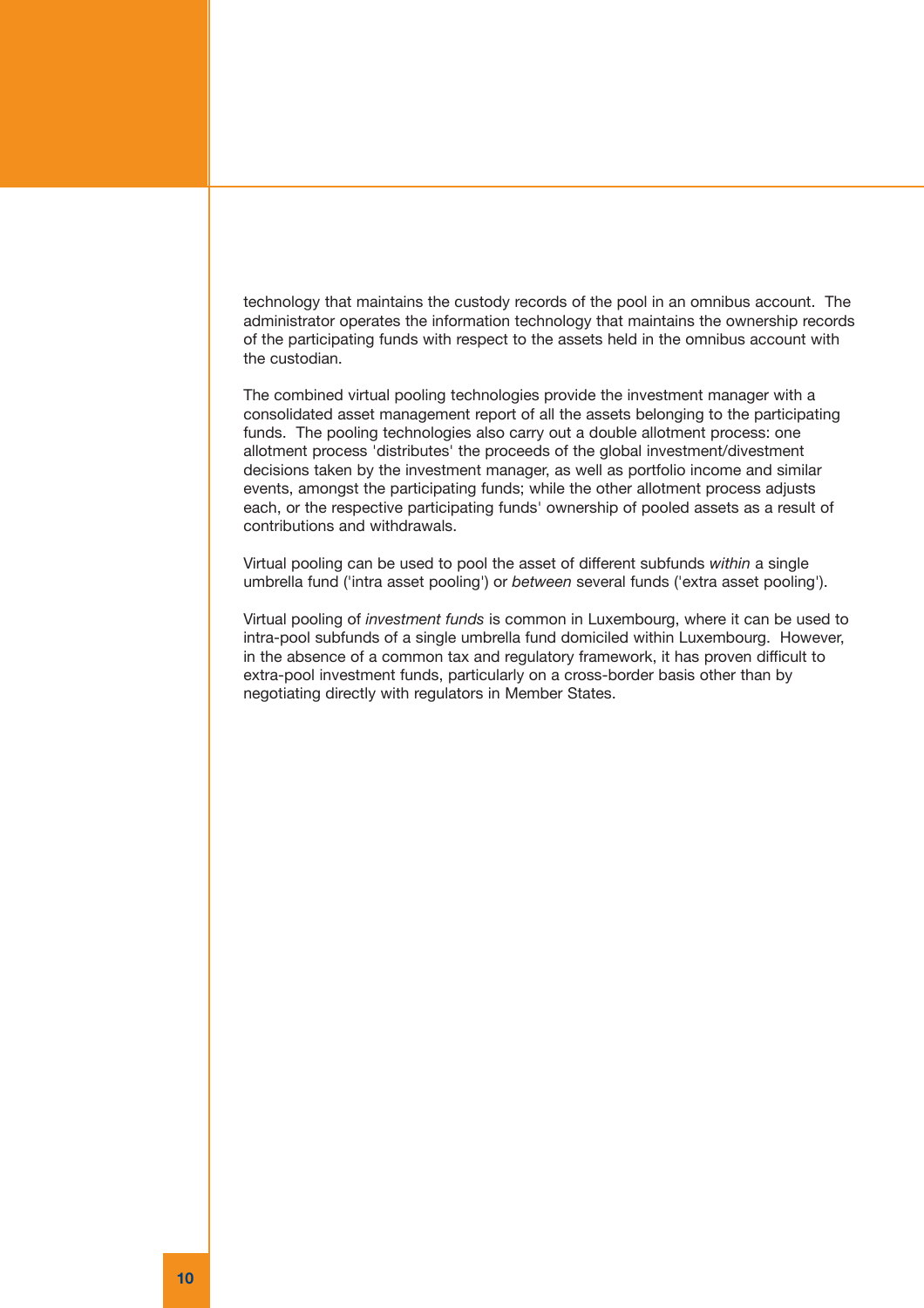technology that maintains the custody records of the pool in an omnibus account. The administrator operates the information technology that maintains the ownership records of the participating funds with respect to the assets held in the omnibus account with the custodian.

The combined virtual pooling technologies provide the investment manager with a consolidated asset management report of all the assets belonging to the participating funds. The pooling technologies also carry out a double allotment process: one allotment process 'distributes' the proceeds of the global investment/divestment decisions taken by the investment manager, as well as portfolio income and similar events, amongst the participating funds; while the other allotment process adjusts each, or the respective participating funds' ownership of pooled assets as a result of contributions and withdrawals.

Virtual pooling can be used to pool the asset of different subfunds *within* a single umbrella fund ('intra asset pooling') or *between* several funds ('extra asset pooling').

Virtual pooling of *investment funds* is common in Luxembourg, where it can be used to intra-pool subfunds of a single umbrella fund domiciled within Luxembourg. However, in the absence of a common tax and regulatory framework, it has proven difficult to extra-pool investment funds, particularly on a cross-border basis other than by negotiating directly with regulators in Member States.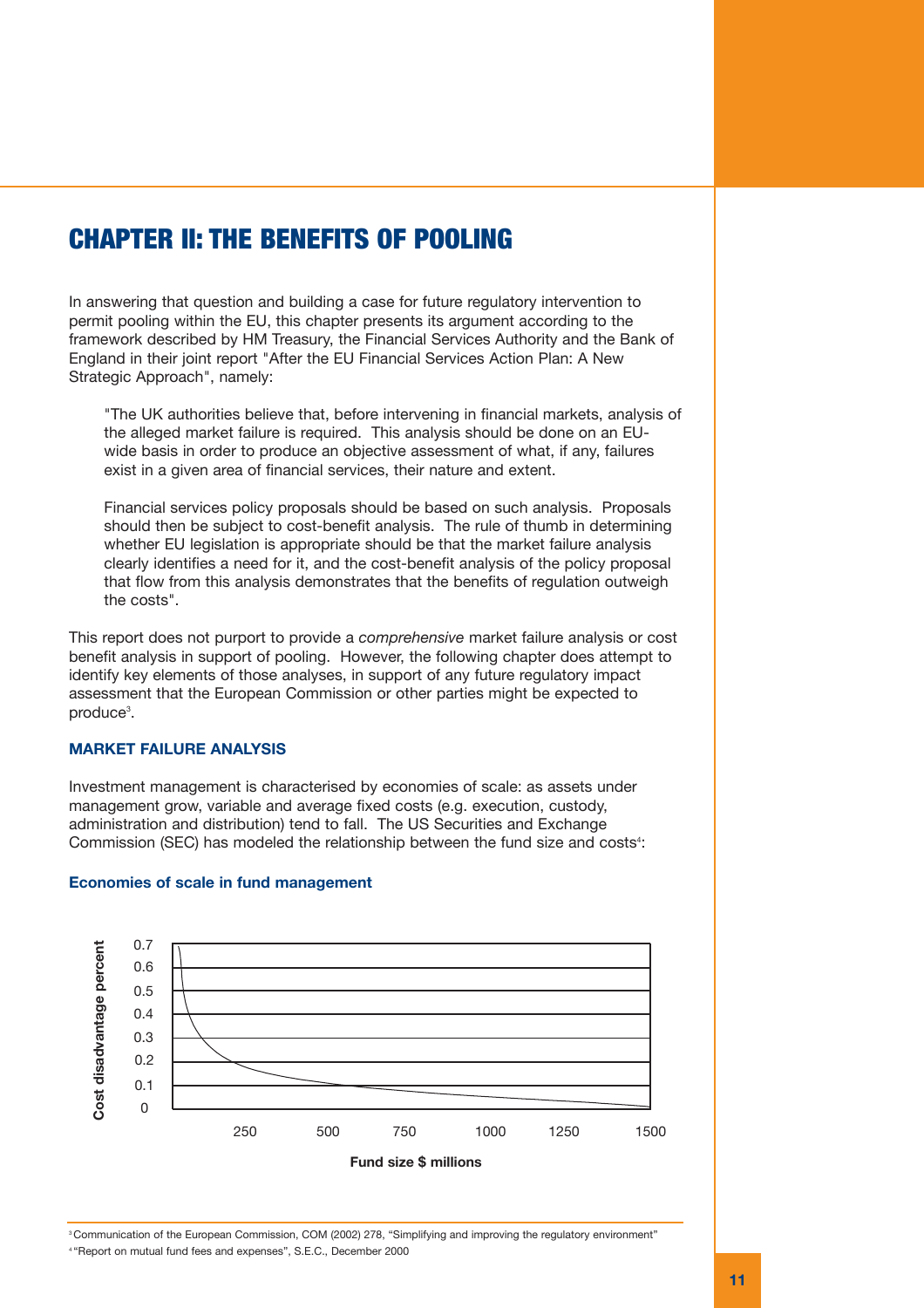# CHAPTER II: THE BENEFITS OF POOLING

In answering that question and building a case for future regulatory intervention to permit pooling within the EU, this chapter presents its argument according to the framework described by HM Treasury, the Financial Services Authority and the Bank of England in their joint report "After the EU Financial Services Action Plan: A New Strategic Approach", namely:

"The UK authorities believe that, before intervening in financial markets, analysis of the alleged market failure is required. This analysis should be done on an EUwide basis in order to produce an objective assessment of what, if any, failures exist in a given area of financial services, their nature and extent.

Financial services policy proposals should be based on such analysis. Proposals should then be subject to cost-benefit analysis. The rule of thumb in determining whether EU legislation is appropriate should be that the market failure analysis clearly identifies a need for it, and the cost-benefit analysis of the policy proposal that flow from this analysis demonstrates that the benefits of regulation outweigh the costs".

This report does not purport to provide a *comprehensive* market failure analysis or cost benefit analysis in support of pooling. However, the following chapter does attempt to identify key elements of those analyses, in support of any future regulatory impact assessment that the European Commission or other parties might be expected to produce<sup>3</sup>.

# **MARKET FAILURE ANALYSIS**

Investment management is characterised by economies of scale: as assets under management grow, variable and average fixed costs (e.g. execution, custody, administration and distribution) tend to fall. The US Securities and Exchange Commission (SEC) has modeled the relationship between the fund size and costs<sup>4</sup>:



#### **Economies of scale in fund management**

<sup>3</sup> Communication of the European Commission, COM (2002) 278, "Simplifying and improving the regulatory environment" 4 "Report on mutual fund fees and expenses", S.E.C., December 2000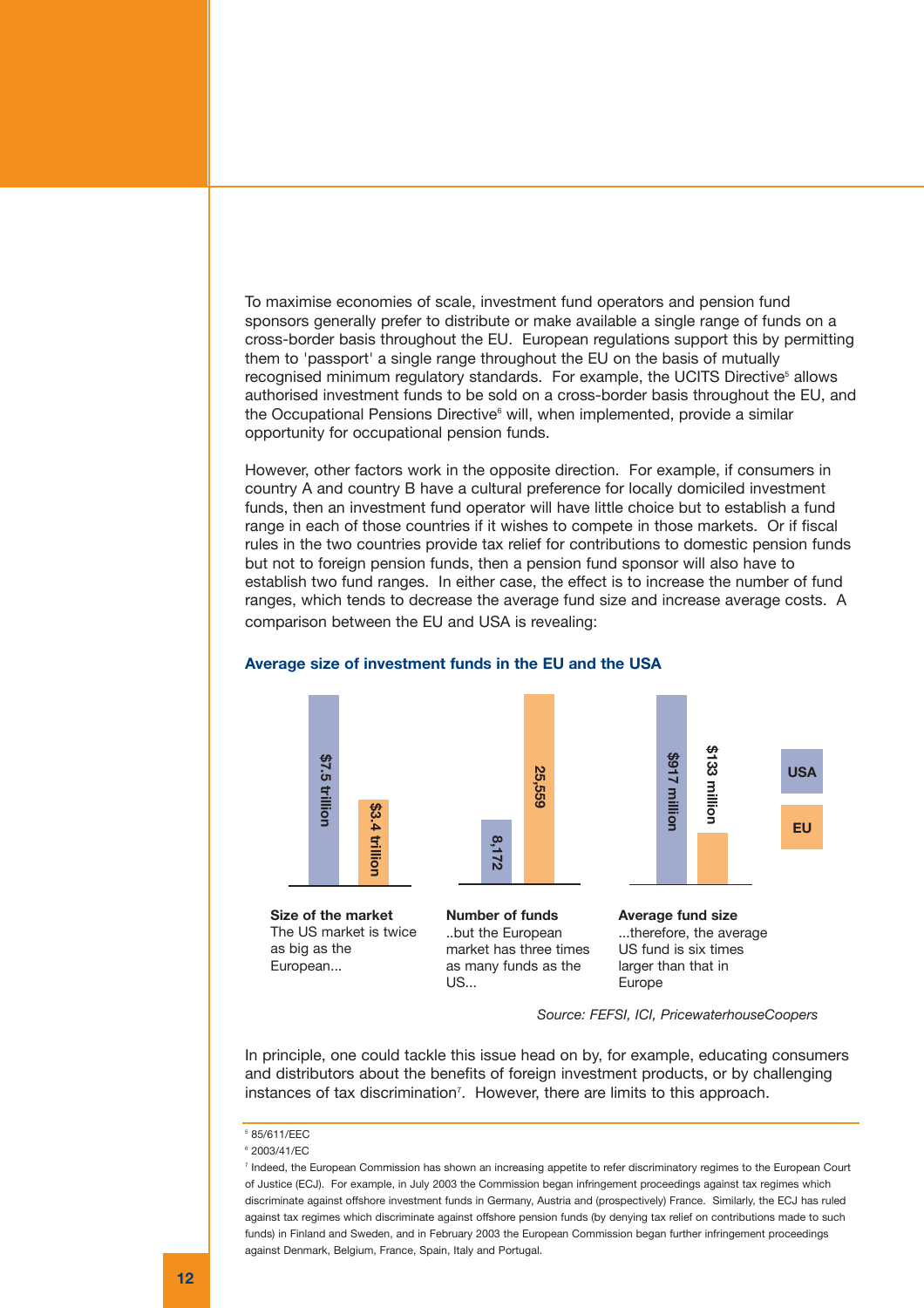To maximise economies of scale, investment fund operators and pension fund sponsors generally prefer to distribute or make available a single range of funds on a cross-border basis throughout the EU. European regulations support this by permitting them to 'passport' a single range throughout the EU on the basis of mutually recognised minimum regulatory standards. For example, the UCITS Directive<sup>5</sup> allows authorised investment funds to be sold on a cross-border basis throughout the EU, and the Occupational Pensions Directive<sup>6</sup> will, when implemented, provide a similar opportunity for occupational pension funds.

However, other factors work in the opposite direction. For example, if consumers in country A and country B have a cultural preference for locally domiciled investment funds, then an investment fund operator will have little choice but to establish a fund range in each of those countries if it wishes to compete in those markets. Or if fiscal rules in the two countries provide tax relief for contributions to domestic pension funds but not to foreign pension funds, then a pension fund sponsor will also have to establish two fund ranges. In either case, the effect is to increase the number of fund ranges, which tends to decrease the average fund size and increase average costs. A comparison between the EU and USA is revealing:



#### **Average size of investment funds in the EU and the USA**

*Source: FEFSI, ICI, PricewaterhouseCoopers*

larger than that in

Europe

In principle, one could tackle this issue head on by, for example, educating consumers and distributors about the benefits of foreign investment products, or by challenging instances of tax discrimination<sup>7</sup>. However, there are limits to this approach.

as many funds as the

US...

European...

<sup>7</sup> Indeed, the European Commission has shown an increasing appetite to refer discriminatory regimes to the European Court of Justice (ECJ). For example, in July 2003 the Commission began infringement proceedings against tax regimes which discriminate against offshore investment funds in Germany, Austria and (prospectively) France. Similarly, the ECJ has ruled against tax regimes which discriminate against offshore pension funds (by denying tax relief on contributions made to such funds) in Finland and Sweden, and in February 2003 the European Commission began further infringement proceedings

<sup>5</sup> 85/611/EEC

<sup>6</sup> 2003/41/EC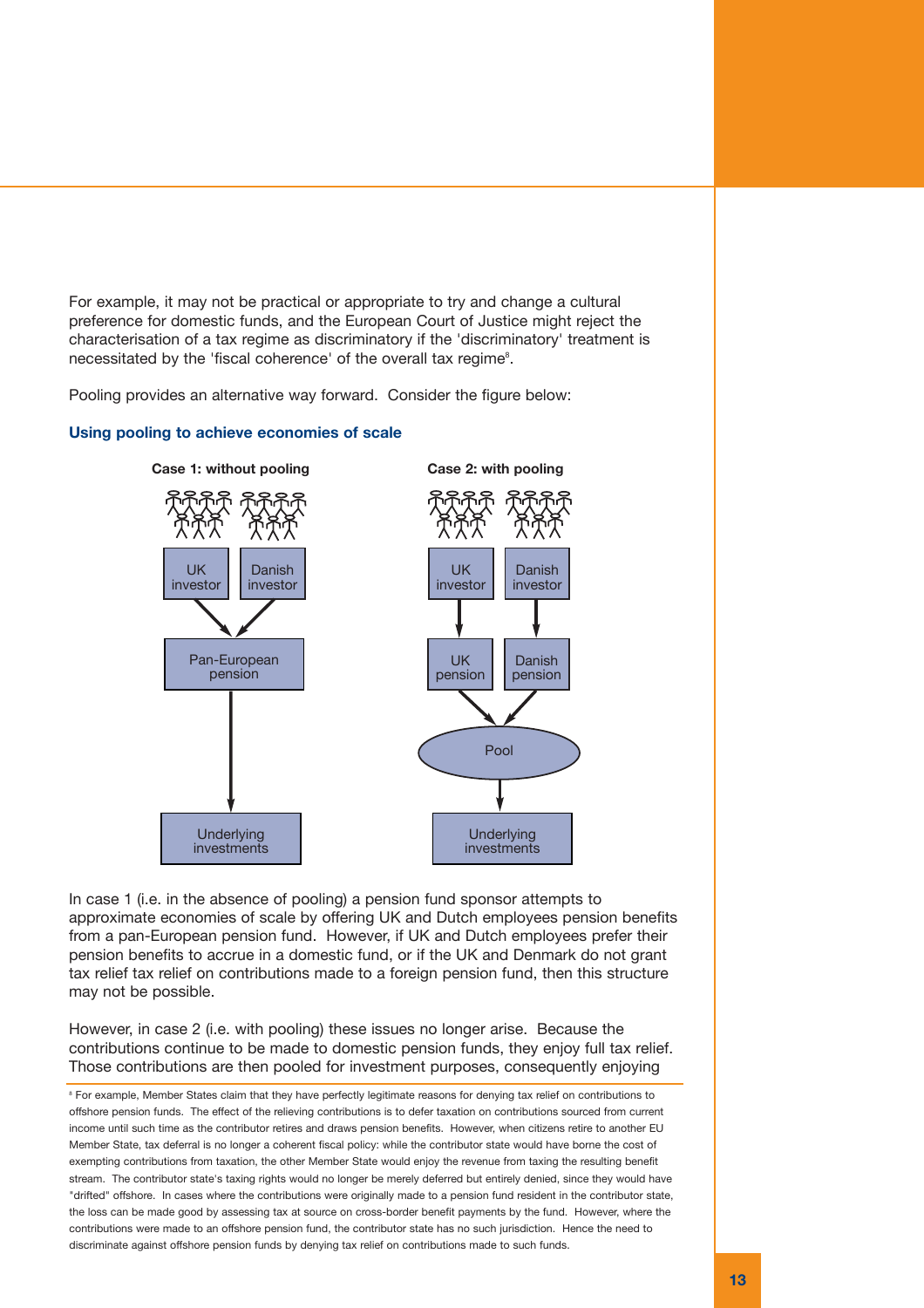For example, it may not be practical or appropriate to try and change a cultural preference for domestic funds, and the European Court of Justice might reject the characterisation of a tax regime as discriminatory if the 'discriminatory' treatment is necessitated by the 'fiscal coherence' of the overall tax regime<sup>8</sup>.

Pooling provides an alternative way forward. Consider the figure below:



#### **Using pooling to achieve economies of scale**

In case 1 (i.e. in the absence of pooling) a pension fund sponsor attempts to approximate economies of scale by offering UK and Dutch employees pension benefits from a pan-European pension fund. However, if UK and Dutch employees prefer their pension benefits to accrue in a domestic fund, or if the UK and Denmark do not grant tax relief tax relief on contributions made to a foreign pension fund, then this structure may not be possible.

However, in case 2 (i.e. with pooling) these issues no longer arise. Because the contributions continue to be made to domestic pension funds, they enjoy full tax relief. Those contributions are then pooled for investment purposes, consequently enjoying

<sup>8</sup> For example, Member States claim that they have perfectly legitimate reasons for denying tax relief on contributions to offshore pension funds. The effect of the relieving contributions is to defer taxation on contributions sourced from current income until such time as the contributor retires and draws pension benefits. However, when citizens retire to another EU Member State, tax deferral is no longer a coherent fiscal policy: while the contributor state would have borne the cost of exempting contributions from taxation, the other Member State would enjoy the revenue from taxing the resulting benefit stream. The contributor state's taxing rights would no longer be merely deferred but entirely denied, since they would have "drifted" offshore. In cases where the contributions were originally made to a pension fund resident in the contributor state, the loss can be made good by assessing tax at source on cross-border benefit payments by the fund. However, where the contributions were made to an offshore pension fund, the contributor state has no such jurisdiction. Hence the need to discriminate against offshore pension funds by denying tax relief on contributions made to such funds.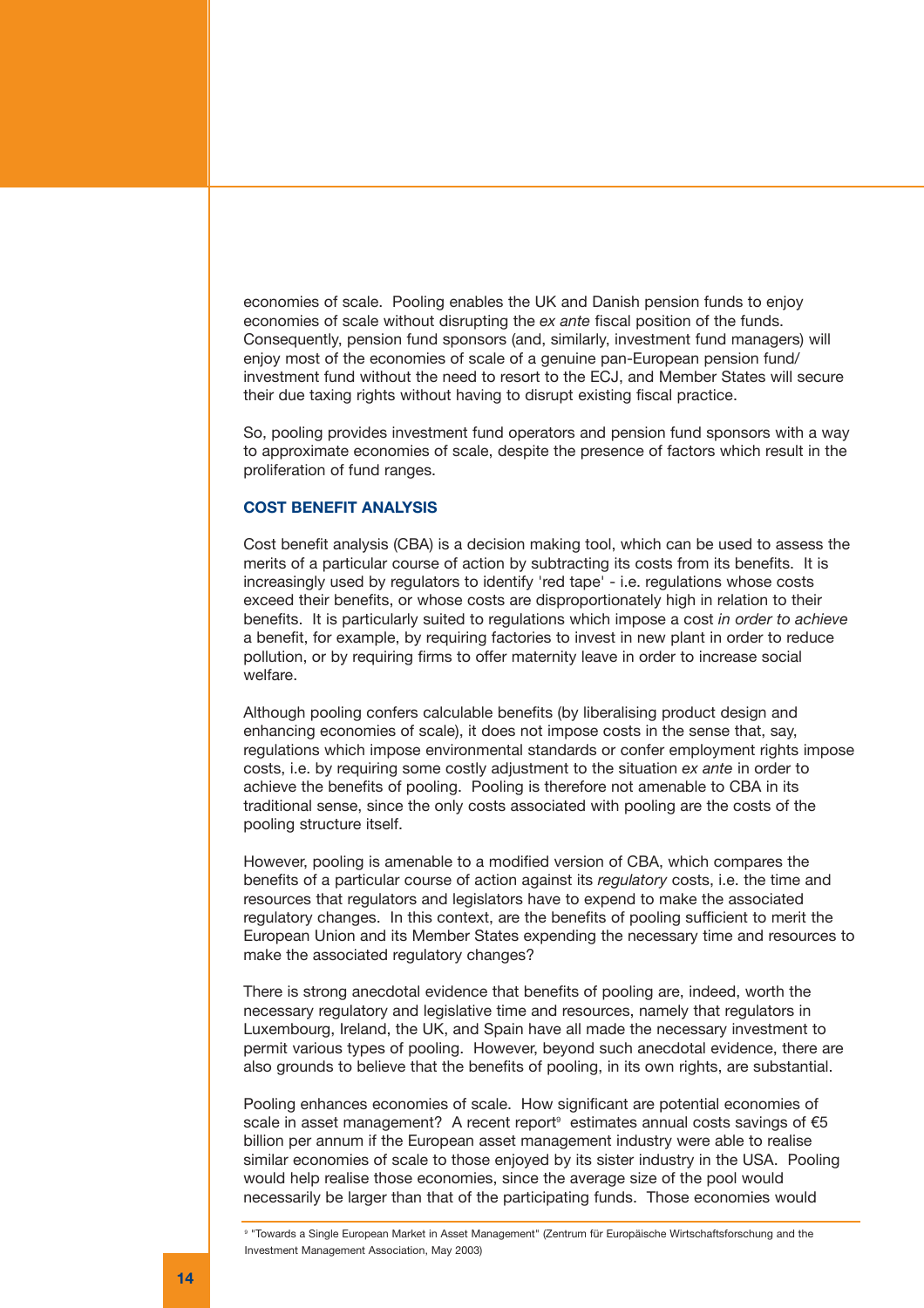economies of scale. Pooling enables the UK and Danish pension funds to enjoy economies of scale without disrupting the *ex ante* fiscal position of the funds. Consequently, pension fund sponsors (and, similarly, investment fund managers) will enjoy most of the economies of scale of a genuine pan-European pension fund/ investment fund without the need to resort to the ECJ, and Member States will secure their due taxing rights without having to disrupt existing fiscal practice.

So, pooling provides investment fund operators and pension fund sponsors with a way to approximate economies of scale, despite the presence of factors which result in the proliferation of fund ranges.

# **COST BENEFIT ANALYSIS**

Cost benefit analysis (CBA) is a decision making tool, which can be used to assess the merits of a particular course of action by subtracting its costs from its benefits. It is increasingly used by regulators to identify 'red tape' - i.e. regulations whose costs exceed their benefits, or whose costs are disproportionately high in relation to their benefits. It is particularly suited to regulations which impose a cost *in order to achieve* a benefit, for example, by requiring factories to invest in new plant in order to reduce pollution, or by requiring firms to offer maternity leave in order to increase social welfare.

Although pooling confers calculable benefits (by liberalising product design and enhancing economies of scale), it does not impose costs in the sense that, say, regulations which impose environmental standards or confer employment rights impose costs, i.e. by requiring some costly adjustment to the situation *ex ante* in order to achieve the benefits of pooling. Pooling is therefore not amenable to CBA in its traditional sense, since the only costs associated with pooling are the costs of the pooling structure itself.

However, pooling is amenable to a modified version of CBA, which compares the benefits of a particular course of action against its *regulatory* costs, i.e. the time and resources that regulators and legislators have to expend to make the associated regulatory changes. In this context, are the benefits of pooling sufficient to merit the European Union and its Member States expending the necessary time and resources to make the associated regulatory changes?

There is strong anecdotal evidence that benefits of pooling are, indeed, worth the necessary regulatory and legislative time and resources, namely that regulators in Luxembourg, Ireland, the UK, and Spain have all made the necessary investment to permit various types of pooling. However, beyond such anecdotal evidence, there are also grounds to believe that the benefits of pooling, in its own rights, are substantial.

Pooling enhances economies of scale. How significant are potential economies of scale in asset management? A recent report<sup>9</sup> estimates annual costs savings of  $65$ billion per annum if the European asset management industry were able to realise similar economies of scale to those enjoyed by its sister industry in the USA. Pooling would help realise those economies, since the average size of the pool would necessarily be larger than that of the participating funds. Those economies would

<sup>9</sup> "Towards a Single European Market in Asset Management" (Zentrum für Europäische Wirtschaftsforschung and the Investment Management Association, May 2003)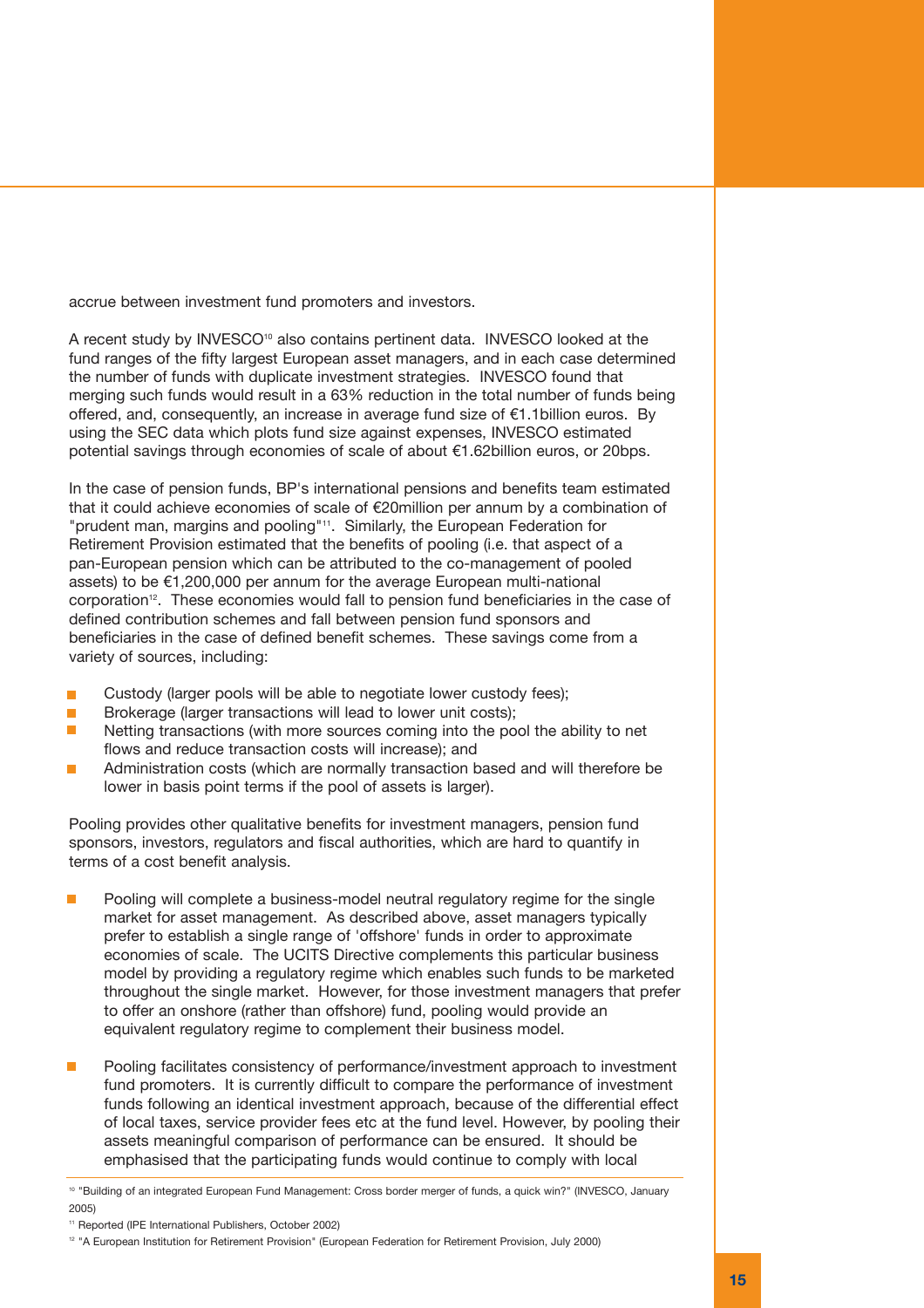accrue between investment fund promoters and investors.

A recent study by INVESCO<sup>10</sup> also contains pertinent data. INVESCO looked at the fund ranges of the fifty largest European asset managers, and in each case determined the number of funds with duplicate investment strategies. INVESCO found that merging such funds would result in a 63% reduction in the total number of funds being offered, and, consequently, an increase in average fund size of €1.1billion euros. By using the SEC data which plots fund size against expenses, INVESCO estimated potential savings through economies of scale of about €1.62billion euros, or 20bps.

In the case of pension funds, BP's international pensions and benefits team estimated that it could achieve economies of scale of €20million per annum by a combination of "prudent man, margins and pooling"11. Similarly, the European Federation for Retirement Provision estimated that the benefits of pooling (i.e. that aspect of a pan-European pension which can be attributed to the co-management of pooled assets) to be €1,200,000 per annum for the average European multi-national corporation<sup>12</sup>. These economies would fall to pension fund beneficiaries in the case of defined contribution schemes and fall between pension fund sponsors and beneficiaries in the case of defined benefit schemes. These savings come from a variety of sources, including:

- $\blacksquare$ Custody (larger pools will be able to negotiate lower custody fees);
- n Brokerage (larger transactions will lead to lower unit costs):
- Netting transactions (with more sources coming into the pool the ability to net flows and reduce transaction costs will increase); and
- Administration costs (which are normally transaction based and will therefore be п lower in basis point terms if the pool of assets is larger).

Pooling provides other qualitative benefits for investment managers, pension fund sponsors, investors, regulators and fiscal authorities, which are hard to quantify in terms of a cost benefit analysis.

- Pooling will complete a business-model neutral regulatory regime for the single market for asset management. As described above, asset managers typically prefer to establish a single range of 'offshore' funds in order to approximate economies of scale. The UCITS Directive complements this particular business model by providing a regulatory regime which enables such funds to be marketed throughout the single market. However, for those investment managers that prefer to offer an onshore (rather than offshore) fund, pooling would provide an equivalent requilatory regime to complement their business model.
- Pooling facilitates consistency of performance/investment approach to investment fund promoters. It is currently difficult to compare the performance of investment funds following an identical investment approach, because of the differential effect of local taxes, service provider fees etc at the fund level. However, by pooling their assets meaningful comparison of performance can be ensured. It should be emphasised that the participating funds would continue to comply with local

<sup>10</sup> "Building of an integrated European Fund Management: Cross border merger of funds, a quick win?" (INVESCO, January 2005)

<sup>11</sup> Reported (IPE International Publishers, October 2002)

<sup>&</sup>lt;sup>12</sup> "A European Institution for Retirement Provision" (European Federation for Retirement Provision, July 2000)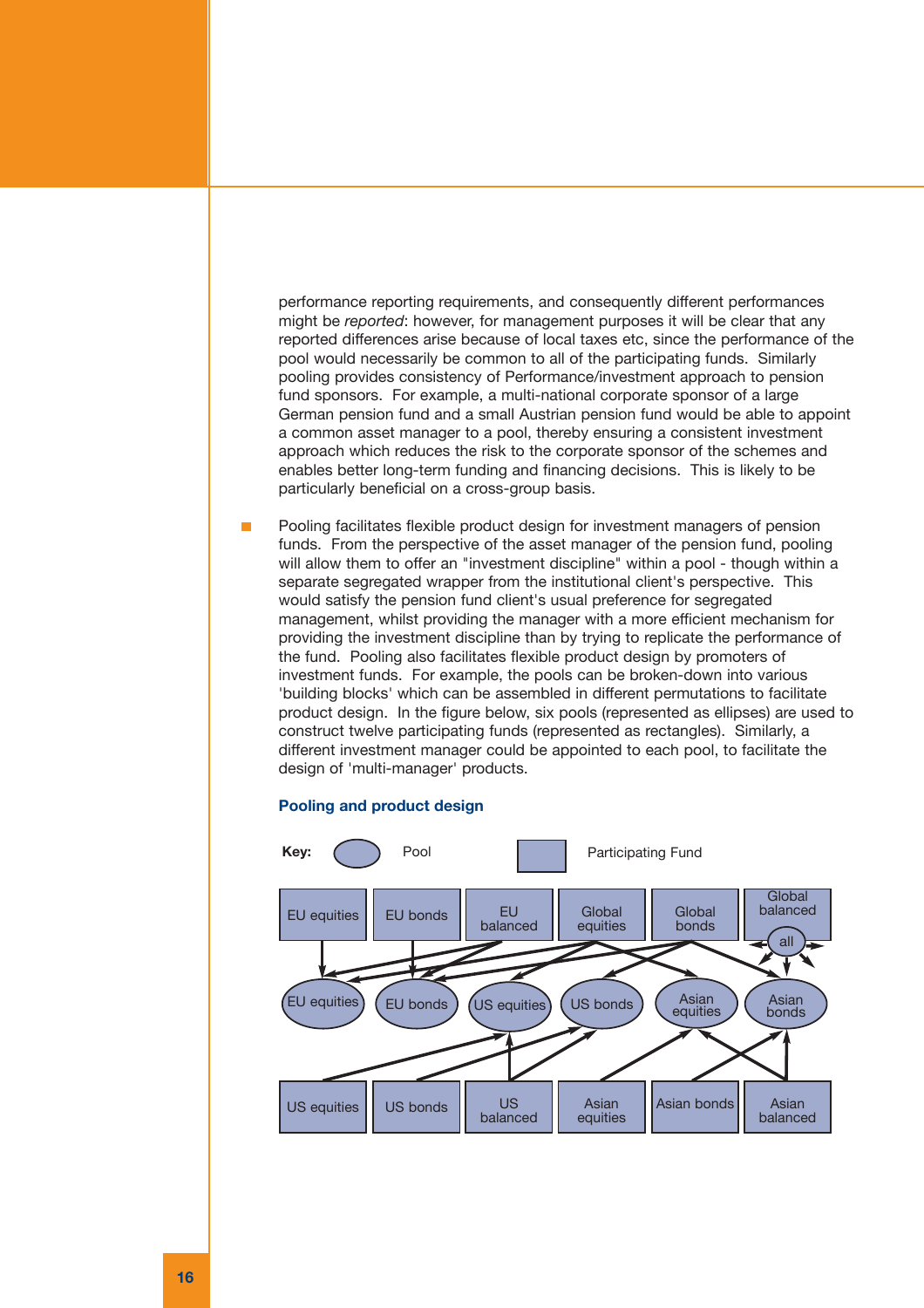performance reporting requirements, and consequently different performances might be *reported*: however, for management purposes it will be clear that any reported differences arise because of local taxes etc, since the performance of the pool would necessarily be common to all of the participating funds. Similarly pooling provides consistency of Performance/investment approach to pension fund sponsors. For example, a multi-national corporate sponsor of a large German pension fund and a small Austrian pension fund would be able to appoint a common asset manager to a pool, thereby ensuring a consistent investment approach which reduces the risk to the corporate sponsor of the schemes and enables better long-term funding and financing decisions. This is likely to be particularly beneficial on a cross-group basis.

Pooling facilitates flexible product design for investment managers of pension funds. From the perspective of the asset manager of the pension fund, pooling will allow them to offer an "investment discipline" within a pool - though within a separate segregated wrapper from the institutional client's perspective. This would satisfy the pension fund client's usual preference for segregated management, whilst providing the manager with a more efficient mechanism for providing the investment discipline than by trying to replicate the performance of the fund. Pooling also facilitates flexible product design by promoters of investment funds. For example, the pools can be broken-down into various 'building blocks' which can be assembled in different permutations to facilitate product design. In the figure below, six pools (represented as ellipses) are used to construct twelve participating funds (represented as rectangles). Similarly, a different investment manager could be appointed to each pool, to facilitate the design of 'multi-manager' products.

#### **Pooling and product design**

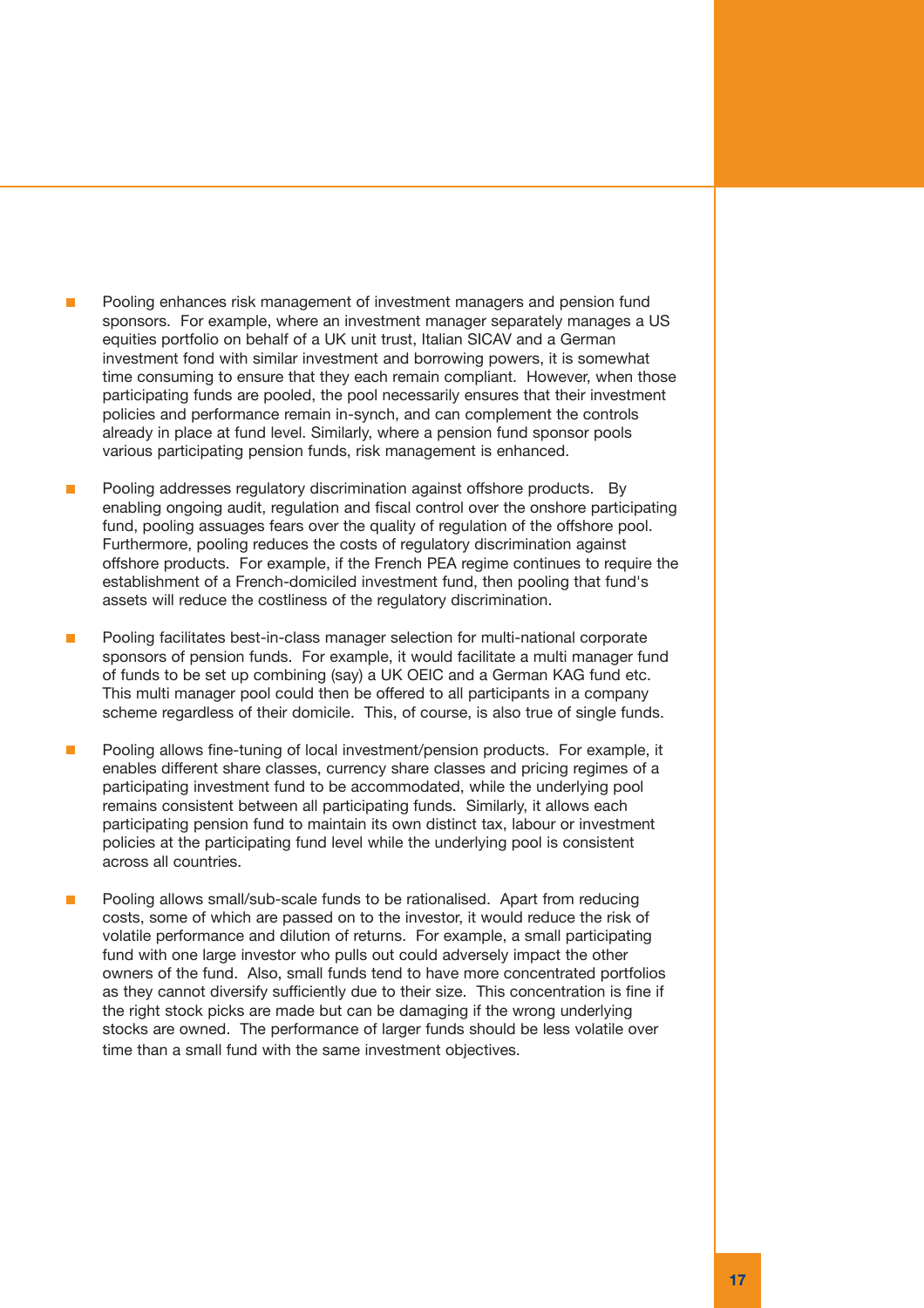- Pooling enhances risk management of investment managers and pension fund п sponsors. For example, where an investment manager separately manages a US equities portfolio on behalf of a UK unit trust, Italian SICAV and a German investment fond with similar investment and borrowing powers, it is somewhat time consuming to ensure that they each remain compliant. However, when those participating funds are pooled, the pool necessarily ensures that their investment policies and performance remain in-synch, and can complement the controls already in place at fund level. Similarly, where a pension fund sponsor pools various participating pension funds, risk management is enhanced.
- Pooling addresses regulatory discrimination against offshore products. By r. enabling ongoing audit, regulation and fiscal control over the onshore participating fund, pooling assuages fears over the quality of regulation of the offshore pool. Furthermore, pooling reduces the costs of regulatory discrimination against offshore products. For example, if the French PEA regime continues to require the establishment of a French-domiciled investment fund, then pooling that fund's assets will reduce the costliness of the regulatory discrimination.
- Pooling facilitates best-in-class manager selection for multi-national corporate  $\blacksquare$ sponsors of pension funds. For example, it would facilitate a multi manager fund of funds to be set up combining (say) a UK OEIC and a German KAG fund etc. This multi manager pool could then be offered to all participants in a company scheme regardless of their domicile. This, of course, is also true of single funds.
- $\overline{\phantom{a}}$ Pooling allows fine-tuning of local investment/pension products. For example, it enables different share classes, currency share classes and pricing regimes of a participating investment fund to be accommodated, while the underlying pool remains consistent between all participating funds. Similarly, it allows each participating pension fund to maintain its own distinct tax, labour or investment policies at the participating fund level while the underlying pool is consistent across all countries.
- Pooling allows small/sub-scale funds to be rationalised. Apart from reducing F costs, some of which are passed on to the investor, it would reduce the risk of volatile performance and dilution of returns. For example, a small participating fund with one large investor who pulls out could adversely impact the other owners of the fund. Also, small funds tend to have more concentrated portfolios as they cannot diversify sufficiently due to their size. This concentration is fine if the right stock picks are made but can be damaging if the wrong underlying stocks are owned. The performance of larger funds should be less volatile over time than a small fund with the same investment objectives.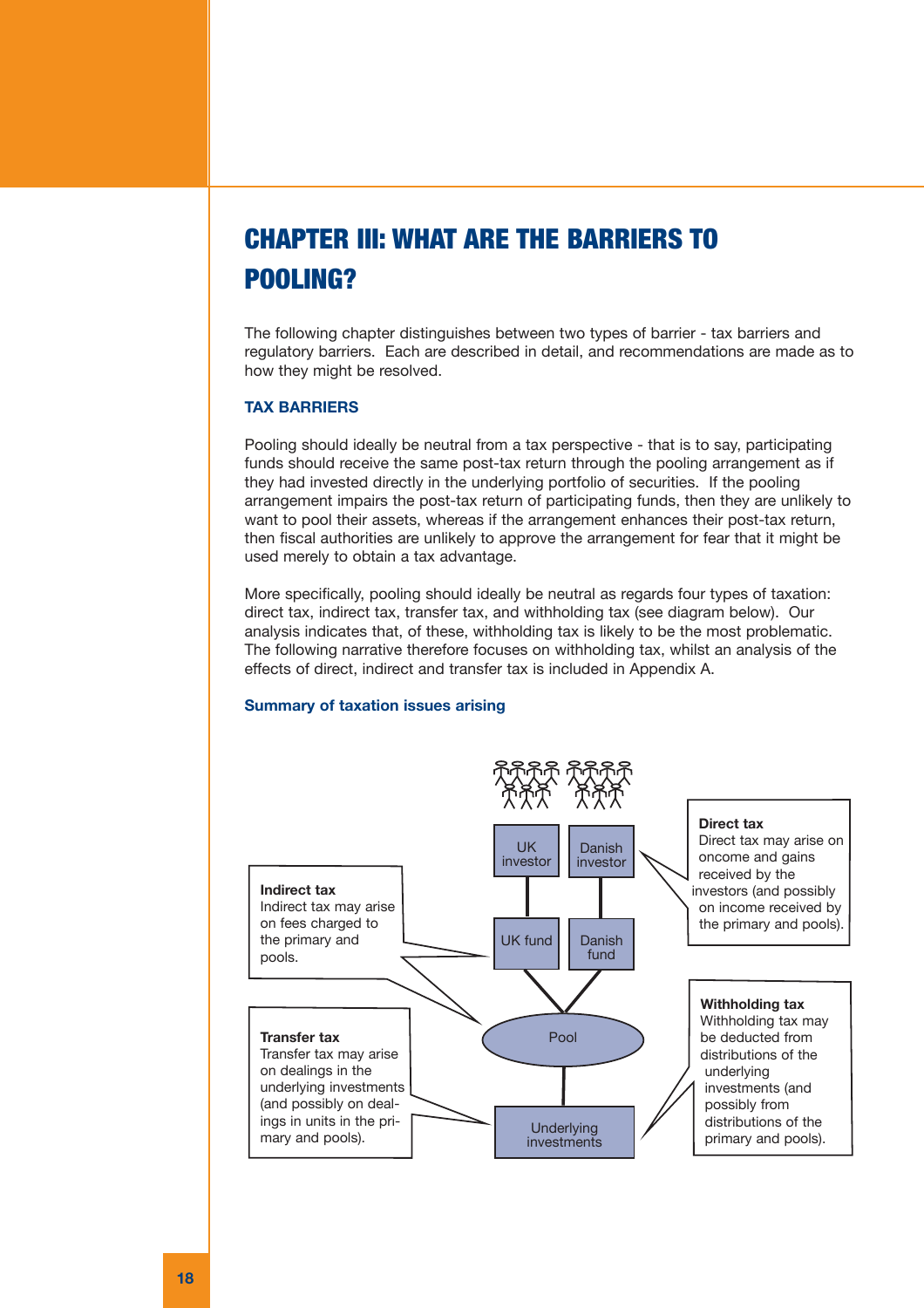# CHAPTER III: WHAT ARE THE BARRIERS TO POOLING?

The following chapter distinguishes between two types of barrier - tax barriers and regulatory barriers. Each are described in detail, and recommendations are made as to how they might be resolved.

# **TAX BARRIERS**

Pooling should ideally be neutral from a tax perspective - that is to say, participating funds should receive the same post-tax return through the pooling arrangement as if they had invested directly in the underlying portfolio of securities. If the pooling arrangement impairs the post-tax return of participating funds, then they are unlikely to want to pool their assets, whereas if the arrangement enhances their post-tax return, then fiscal authorities are unlikely to approve the arrangement for fear that it might be used merely to obtain a tax advantage.

More specifically, pooling should ideally be neutral as regards four types of taxation: direct tax, indirect tax, transfer tax, and withholding tax (see diagram below). Our analysis indicates that, of these, withholding tax is likely to be the most problematic. The following narrative therefore focuses on withholding tax, whilst an analysis of the effects of direct, indirect and transfer tax is included in Appendix A.

# **Summary of taxation issues arising**

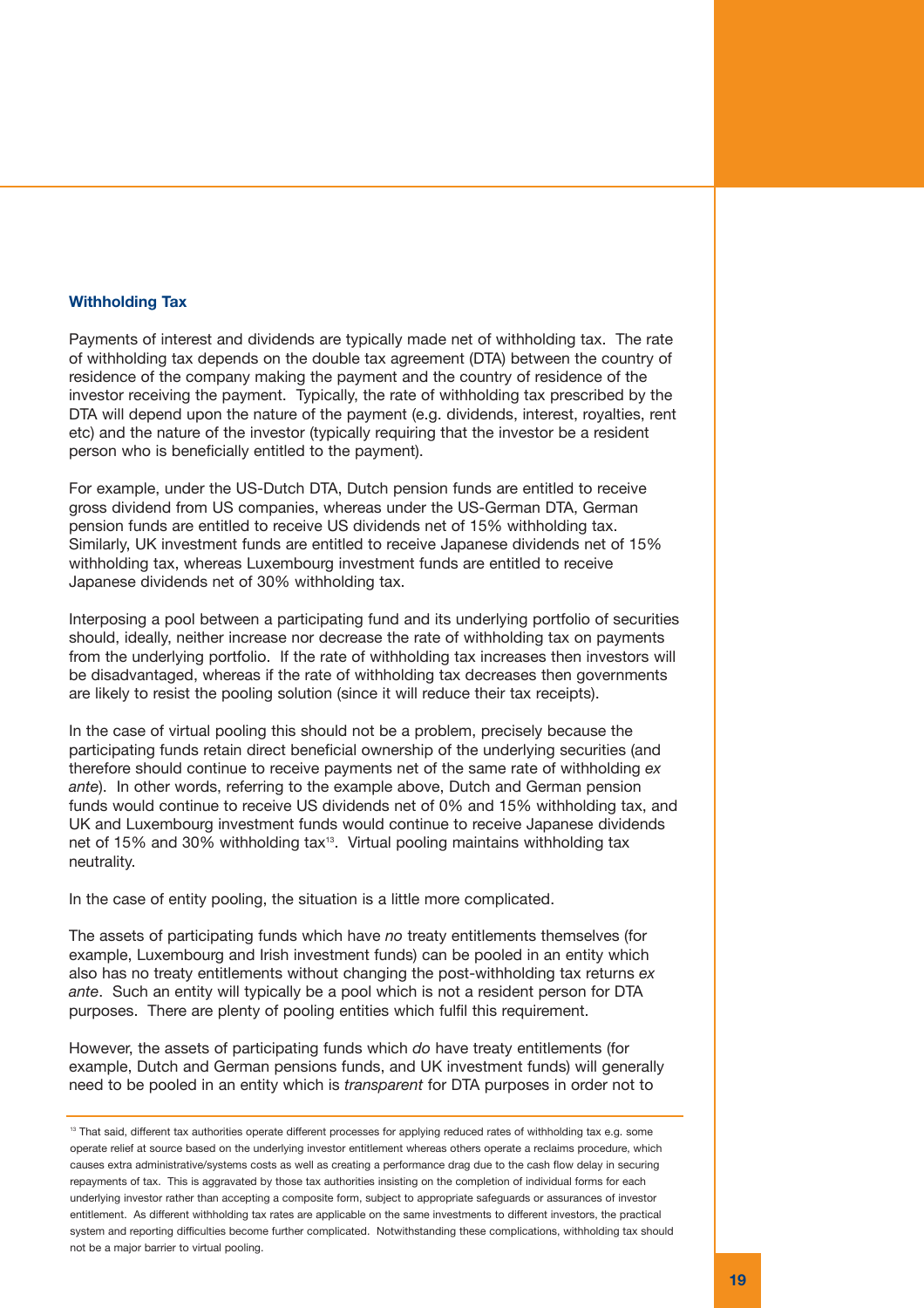#### **Withholding Tax**

Payments of interest and dividends are typically made net of withholding tax. The rate of withholding tax depends on the double tax agreement (DTA) between the country of residence of the company making the payment and the country of residence of the investor receiving the payment. Typically, the rate of withholding tax prescribed by the DTA will depend upon the nature of the payment (e.g. dividends, interest, royalties, rent etc) and the nature of the investor (typically requiring that the investor be a resident person who is beneficially entitled to the payment).

For example, under the US-Dutch DTA, Dutch pension funds are entitled to receive gross dividend from US companies, whereas under the US-German DTA, German pension funds are entitled to receive US dividends net of 15% withholding tax. Similarly, UK investment funds are entitled to receive Japanese dividends net of 15% withholding tax, whereas Luxembourg investment funds are entitled to receive Japanese dividends net of 30% withholding tax.

Interposing a pool between a participating fund and its underlying portfolio of securities should, ideally, neither increase nor decrease the rate of withholding tax on payments from the underlying portfolio. If the rate of withholding tax increases then investors will be disadvantaged, whereas if the rate of withholding tax decreases then governments are likely to resist the pooling solution (since it will reduce their tax receipts).

In the case of virtual pooling this should not be a problem, precisely because the participating funds retain direct beneficial ownership of the underlying securities (and therefore should continue to receive payments net of the same rate of withholding *ex ante*). In other words, referring to the example above, Dutch and German pension funds would continue to receive US dividends net of 0% and 15% withholding tax, and UK and Luxembourg investment funds would continue to receive Japanese dividends net of 15% and 30% withholding tax<sup>13</sup>. Virtual pooling maintains withholding tax neutrality.

In the case of entity pooling, the situation is a little more complicated.

The assets of participating funds which have *no* treaty entitlements themselves (for example, Luxembourg and Irish investment funds) can be pooled in an entity which also has no treaty entitlements without changing the post-withholding tax returns *ex ante*. Such an entity will typically be a pool which is not a resident person for DTA purposes. There are plenty of pooling entities which fulfil this requirement.

However, the assets of participating funds which *do* have treaty entitlements (for example, Dutch and German pensions funds, and UK investment funds) will generally need to be pooled in an entity which is *transparent* for DTA purposes in order not to

<sup>13</sup> That said, different tax authorities operate different processes for applying reduced rates of withholding tax e.g. some operate relief at source based on the underlying investor entitlement whereas others operate a reclaims procedure, which causes extra administrative/systems costs as well as creating a performance drag due to the cash flow delay in securing repayments of tax. This is aggravated by those tax authorities insisting on the completion of individual forms for each underlying investor rather than accepting a composite form, subject to appropriate safeguards or assurances of investor entitlement. As different withholding tax rates are applicable on the same investments to different investors, the practical system and reporting difficulties become further complicated. Notwithstanding these complications, withholding tax should not be a major barrier to virtual pooling.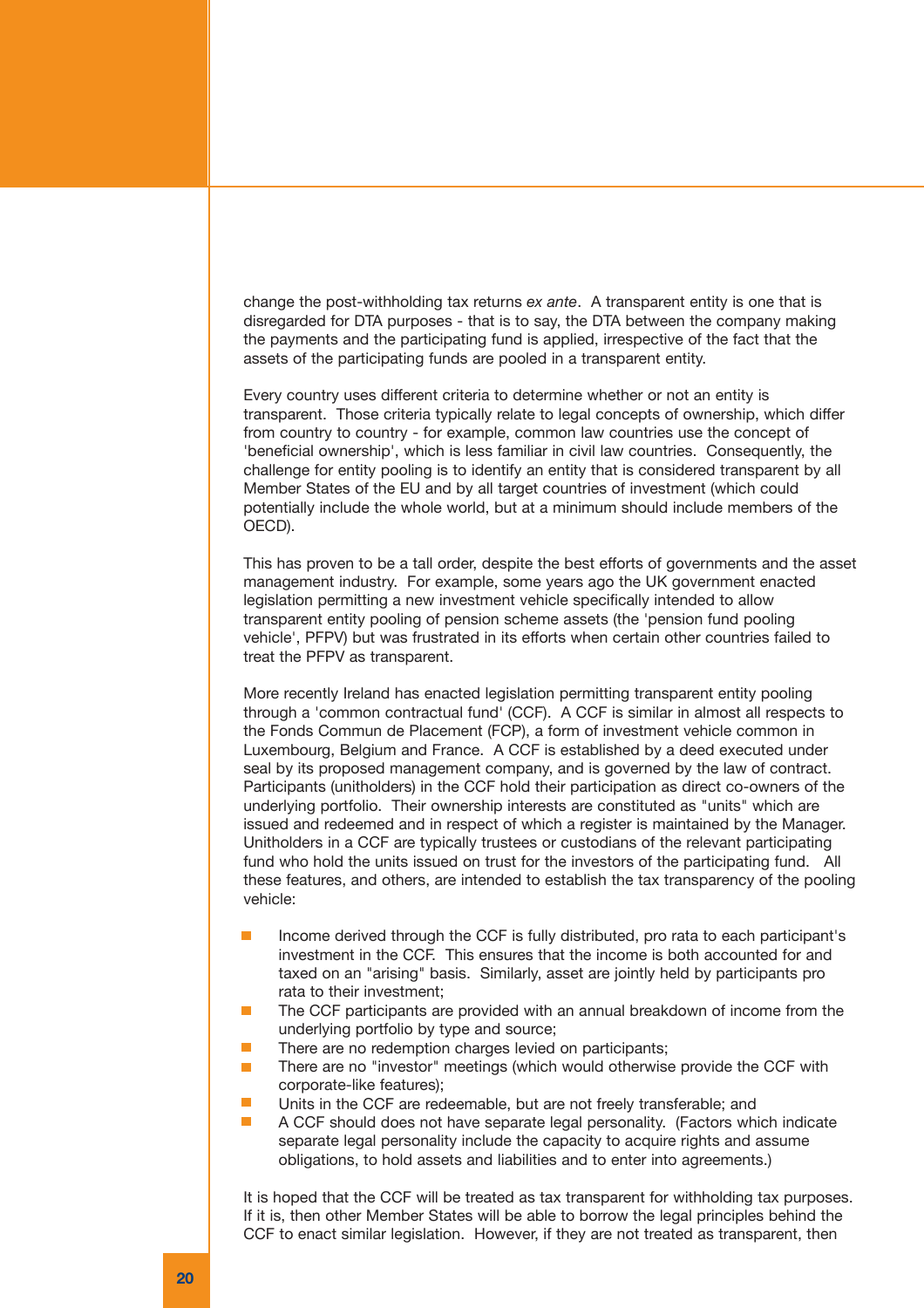change the post-withholding tax returns *ex ante*. A transparent entity is one that is disregarded for DTA purposes - that is to say, the DTA between the company making the payments and the participating fund is applied, irrespective of the fact that the assets of the participating funds are pooled in a transparent entity.

Every country uses different criteria to determine whether or not an entity is transparent. Those criteria typically relate to legal concepts of ownership, which differ from country to country - for example, common law countries use the concept of 'beneficial ownership', which is less familiar in civil law countries. Consequently, the challenge for entity pooling is to identify an entity that is considered transparent by all Member States of the EU and by all target countries of investment (which could potentially include the whole world, but at a minimum should include members of the OECD).

This has proven to be a tall order, despite the best efforts of governments and the asset management industry. For example, some years ago the UK government enacted legislation permitting a new investment vehicle specifically intended to allow transparent entity pooling of pension scheme assets (the 'pension fund pooling vehicle', PFPV) but was frustrated in its efforts when certain other countries failed to treat the PFPV as transparent.

More recently Ireland has enacted legislation permitting transparent entity pooling through a 'common contractual fund' (CCF). A CCF is similar in almost all respects to the Fonds Commun de Placement (FCP), a form of investment vehicle common in Luxembourg, Belgium and France. A CCF is established by a deed executed under seal by its proposed management company, and is governed by the law of contract. Participants (unitholders) in the CCF hold their participation as direct co-owners of the underlying portfolio. Their ownership interests are constituted as "units" which are issued and redeemed and in respect of which a register is maintained by the Manager. Unitholders in a CCF are typically trustees or custodians of the relevant participating fund who hold the units issued on trust for the investors of the participating fund. All these features, and others, are intended to establish the tax transparency of the pooling vehicle:

- Income derived through the CCF is fully distributed, pro rata to each participant's investment in the CCF. This ensures that the income is both accounted for and taxed on an "arising" basis. Similarly, asset are jointly held by participants pro rata to their investment;
- $\overline{\phantom{a}}$ The CCF participants are provided with an annual breakdown of income from the underlying portfolio by type and source;
- m. There are no redemption charges levied on participants;
- There are no "investor" meetings (which would otherwise provide the CCF with  $\mathbf{r}$ corporate-like features);
- $\mathcal{L}_{\mathcal{A}}$ Units in the CCF are redeemable, but are not freely transferable; and
- $\Box$ A CCF should does not have separate legal personality. (Factors which indicate separate legal personality include the capacity to acquire rights and assume obligations, to hold assets and liabilities and to enter into agreements.)

It is hoped that the CCF will be treated as tax transparent for withholding tax purposes. If it is, then other Member States will be able to borrow the legal principles behind the CCF to enact similar legislation. However, if they are not treated as transparent, then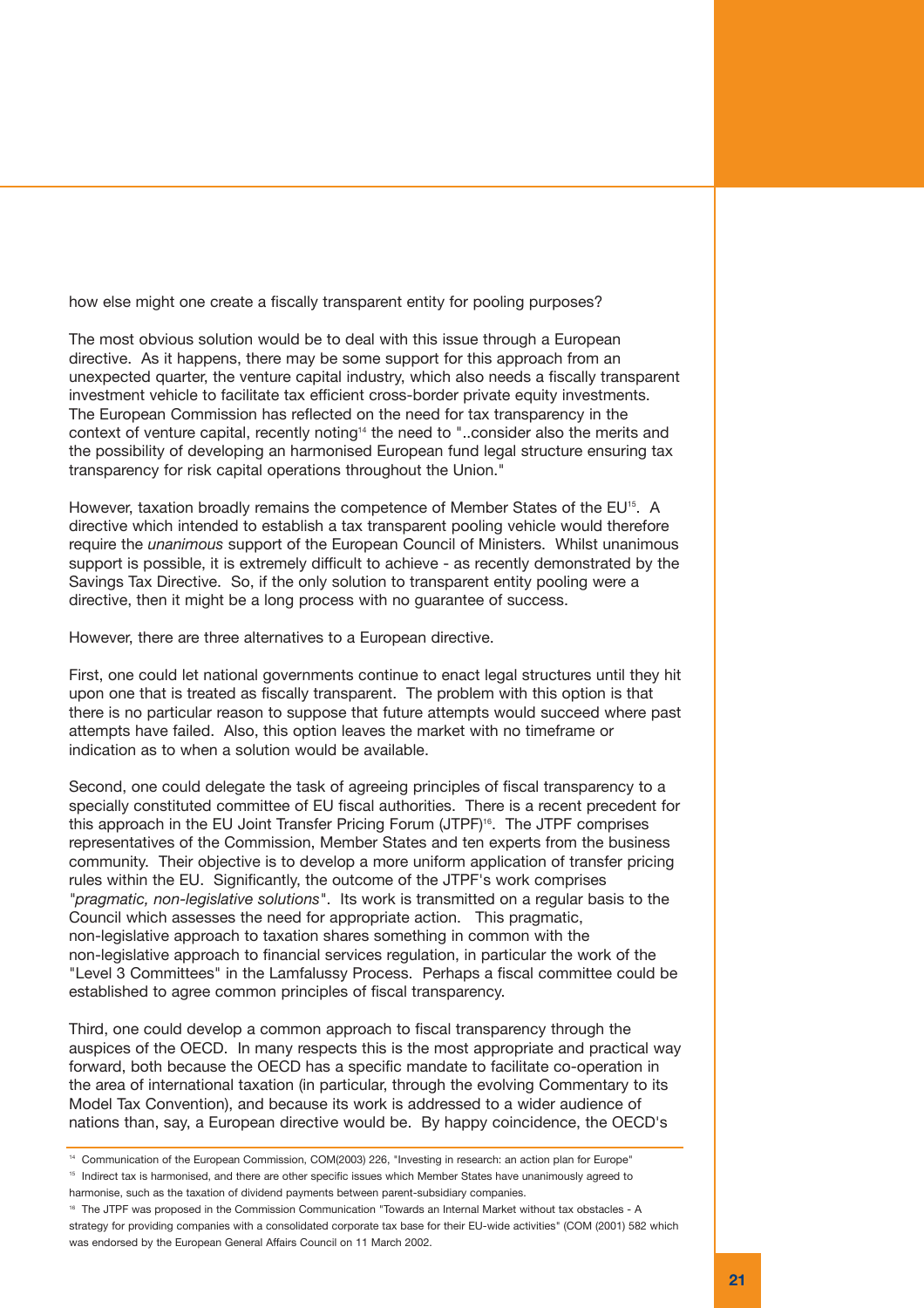how else might one create a fiscally transparent entity for pooling purposes?

The most obvious solution would be to deal with this issue through a European directive. As it happens, there may be some support for this approach from an unexpected quarter, the venture capital industry, which also needs a fiscally transparent investment vehicle to facilitate tax efficient cross-border private equity investments. The European Commission has reflected on the need for tax transparency in the context of venture capital, recently noting<sup>14</sup> the need to "..consider also the merits and the possibility of developing an harmonised European fund legal structure ensuring tax transparency for risk capital operations throughout the Union."

However, taxation broadly remains the competence of Member States of the EU<sup>15</sup>. A directive which intended to establish a tax transparent pooling vehicle would therefore require the *unanimous* support of the European Council of Ministers. Whilst unanimous support is possible, it is extremely difficult to achieve - as recently demonstrated by the Savings Tax Directive. So, if the only solution to transparent entity pooling were a directive, then it might be a long process with no guarantee of success.

However, there are three alternatives to a European directive.

First, one could let national governments continue to enact legal structures until they hit upon one that is treated as fiscally transparent. The problem with this option is that there is no particular reason to suppose that future attempts would succeed where past attempts have failed. Also, this option leaves the market with no timeframe or indication as to when a solution would be available.

Second, one could delegate the task of agreeing principles of fiscal transparency to a specially constituted committee of EU fiscal authorities. There is a recent precedent for this approach in the EU Joint Transfer Pricing Forum (JTPF)<sup>16</sup>. The JTPF comprises representatives of the Commission, Member States and ten experts from the business community. Their objective is to develop a more uniform application of transfer pricing rules within the EU. Significantly, the outcome of the JTPF's work comprises *"pragmatic, non-legislative solutions"*. Its work is transmitted on a regular basis to the Council which assesses the need for appropriate action. This pragmatic, non-legislative approach to taxation shares something in common with the non-legislative approach to financial services regulation, in particular the work of the "Level 3 Committees" in the Lamfalussy Process. Perhaps a fiscal committee could be established to agree common principles of fiscal transparency.

Third, one could develop a common approach to fiscal transparency through the auspices of the OECD. In many respects this is the most appropriate and practical way forward, both because the OECD has a specific mandate to facilitate co-operation in the area of international taxation (in particular, through the evolving Commentary to its Model Tax Convention), and because its work is addressed to a wider audience of nations than, say, a European directive would be. By happy coincidence, the OECD's

<sup>&</sup>lt;sup>14</sup> Communication of the European Commission, COM(2003) 226, "Investing in research: an action plan for Europe" <sup>15</sup> Indirect tax is harmonised, and there are other specific issues which Member States have unanimously agreed to harmonise, such as the taxation of dividend payments between parent-subsidiary companies.

<sup>16</sup> The JTPF was proposed in the Commission Communication "Towards an Internal Market without tax obstacles - A strategy for providing companies with a consolidated corporate tax base for their EU-wide activities" (COM (2001) 582 which was endorsed by the European General Affairs Council on 11 March 2002.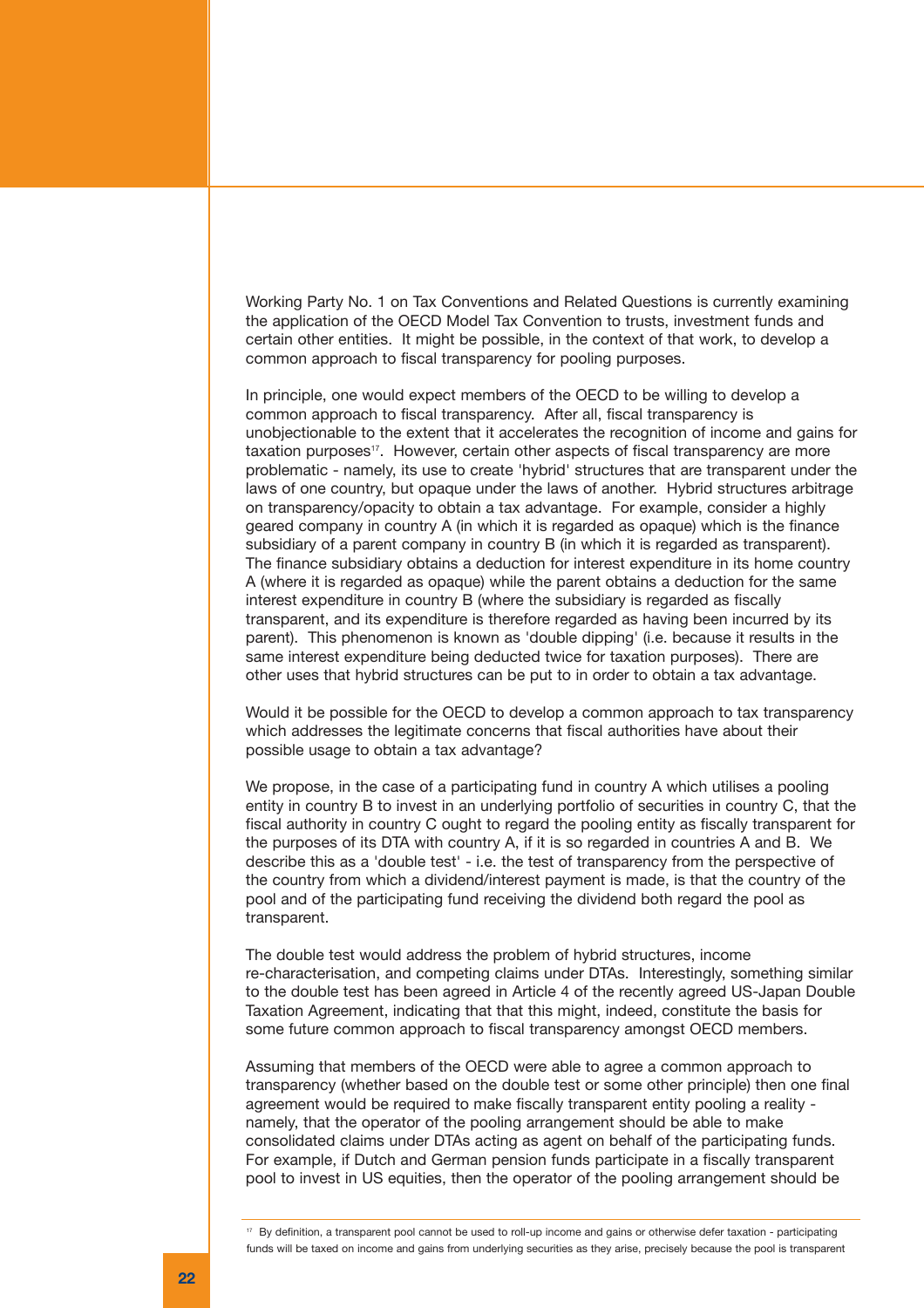Working Party No. 1 on Tax Conventions and Related Questions is currently examining the application of the OECD Model Tax Convention to trusts, investment funds and certain other entities. It might be possible, in the context of that work, to develop a common approach to fiscal transparency for pooling purposes.

In principle, one would expect members of the OECD to be willing to develop a common approach to fiscal transparency. After all, fiscal transparency is unobjectionable to the extent that it accelerates the recognition of income and gains for taxation purposes<sup>17</sup>. However, certain other aspects of fiscal transparency are more problematic - namely, its use to create 'hybrid' structures that are transparent under the laws of one country, but opaque under the laws of another. Hybrid structures arbitrage on transparency/opacity to obtain a tax advantage. For example, consider a highly geared company in country A (in which it is regarded as opaque) which is the finance subsidiary of a parent company in country B (in which it is regarded as transparent). The finance subsidiary obtains a deduction for interest expenditure in its home country A (where it is regarded as opaque) while the parent obtains a deduction for the same interest expenditure in country B (where the subsidiary is regarded as fiscally transparent, and its expenditure is therefore regarded as having been incurred by its parent). This phenomenon is known as 'double dipping' (i.e. because it results in the same interest expenditure being deducted twice for taxation purposes). There are other uses that hybrid structures can be put to in order to obtain a tax advantage.

Would it be possible for the OECD to develop a common approach to tax transparency which addresses the legitimate concerns that fiscal authorities have about their possible usage to obtain a tax advantage?

We propose, in the case of a participating fund in country A which utilises a pooling entity in country B to invest in an underlying portfolio of securities in country C, that the fiscal authority in country C ought to regard the pooling entity as fiscally transparent for the purposes of its DTA with country A, if it is so regarded in countries A and B. We describe this as a 'double test' - i.e. the test of transparency from the perspective of the country from which a dividend/interest payment is made, is that the country of the pool and of the participating fund receiving the dividend both regard the pool as transparent.

The double test would address the problem of hybrid structures, income re-characterisation, and competing claims under DTAs. Interestingly, something similar to the double test has been agreed in Article 4 of the recently agreed US-Japan Double Taxation Agreement, indicating that that this might, indeed, constitute the basis for some future common approach to fiscal transparency amongst OECD members.

Assuming that members of the OECD were able to agree a common approach to transparency (whether based on the double test or some other principle) then one final agreement would be required to make fiscally transparent entity pooling a reality namely, that the operator of the pooling arrangement should be able to make consolidated claims under DTAs acting as agent on behalf of the participating funds. For example, if Dutch and German pension funds participate in a fiscally transparent pool to invest in US equities, then the operator of the pooling arrangement should be

<sup>17</sup> By definition, a transparent pool cannot be used to roll-up income and gains or otherwise defer taxation - participating funds will be taxed on income and gains from underlying securities as they arise, precisely because the pool is transparent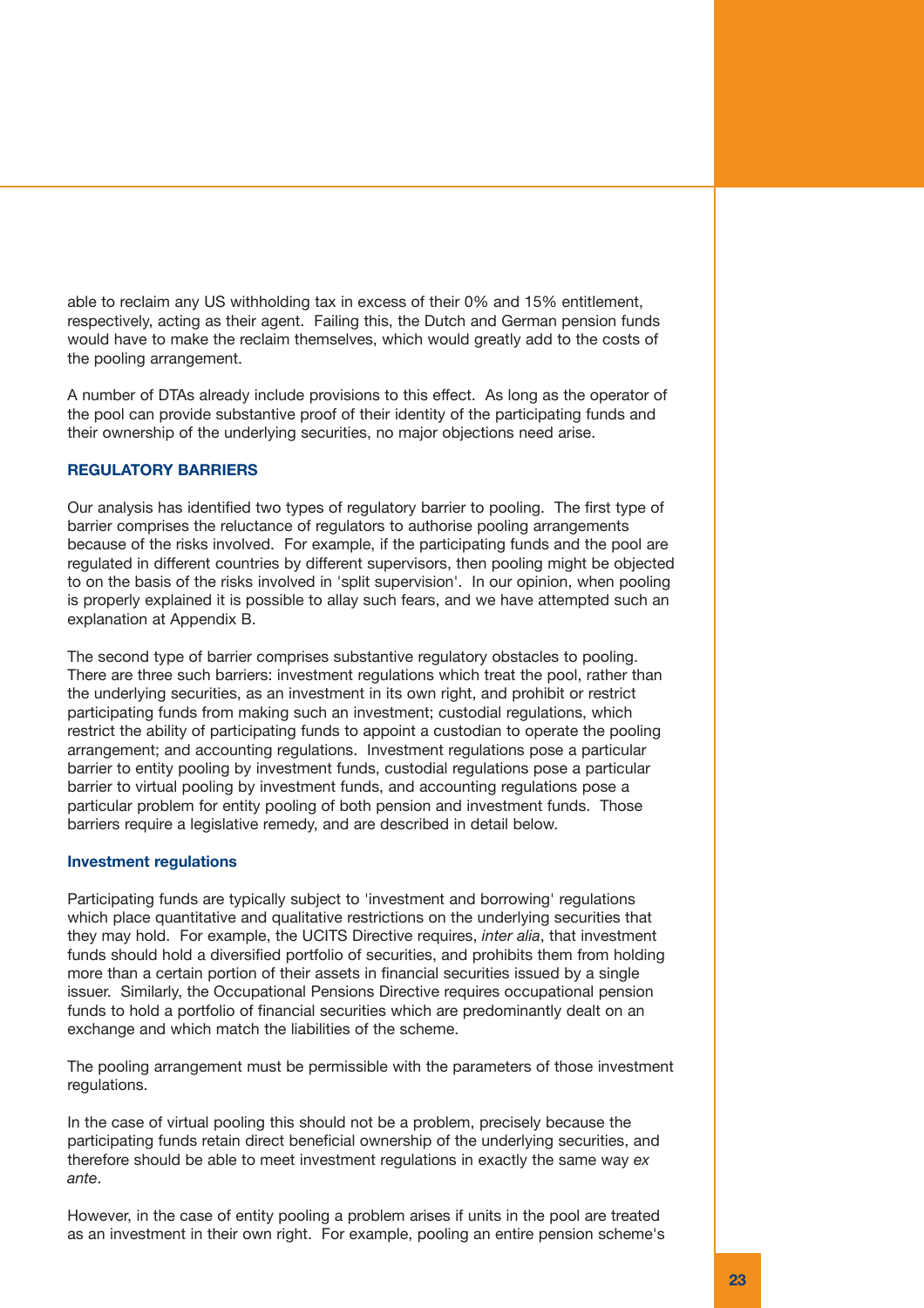able to reclaim any US withholding tax in excess of their 0% and 15% entitlement, respectively, acting as their agent. Failing this, the Dutch and German pension funds would have to make the reclaim themselves, which would greatly add to the costs of the pooling arrangement.

A number of DTAs already include provisions to this effect. As long as the operator of the pool can provide substantive proof of their identity of the participating funds and their ownership of the underlying securities, no major objections need arise.

# **REGULATORY BARRIERS**

Our analysis has identified two types of regulatory barrier to pooling. The first type of barrier comprises the reluctance of regulators to authorise pooling arrangements because of the risks involved. For example, if the participating funds and the pool are regulated in different countries by different supervisors, then pooling might be objected to on the basis of the risks involved in 'split supervision'. In our opinion, when pooling is properly explained it is possible to allay such fears, and we have attempted such an explanation at Appendix B.

The second type of barrier comprises substantive regulatory obstacles to pooling. There are three such barriers: investment regulations which treat the pool, rather than the underlying securities, as an investment in its own right, and prohibit or restrict participating funds from making such an investment; custodial regulations, which restrict the ability of participating funds to appoint a custodian to operate the pooling arrangement; and accounting regulations. Investment regulations pose a particular barrier to entity pooling by investment funds, custodial regulations pose a particular barrier to virtual pooling by investment funds, and accounting regulations pose a particular problem for entity pooling of both pension and investment funds. Those barriers require a legislative remedy, and are described in detail below.

# **Investment regulations**

Participating funds are typically subject to 'investment and borrowing' regulations which place quantitative and qualitative restrictions on the underlying securities that they may hold. For example, the UCITS Directive requires, *inter alia*, that investment funds should hold a diversified portfolio of securities, and prohibits them from holding more than a certain portion of their assets in financial securities issued by a single issuer. Similarly, the Occupational Pensions Directive requires occupational pension funds to hold a portfolio of financial securities which are predominantly dealt on an exchange and which match the liabilities of the scheme.

The pooling arrangement must be permissible with the parameters of those investment regulations.

In the case of virtual pooling this should not be a problem, precisely because the participating funds retain direct beneficial ownership of the underlying securities, and therefore should be able to meet investment regulations in exactly the same way *ex ante*.

However, in the case of entity pooling a problem arises if units in the pool are treated as an investment in their own right. For example, pooling an entire pension scheme's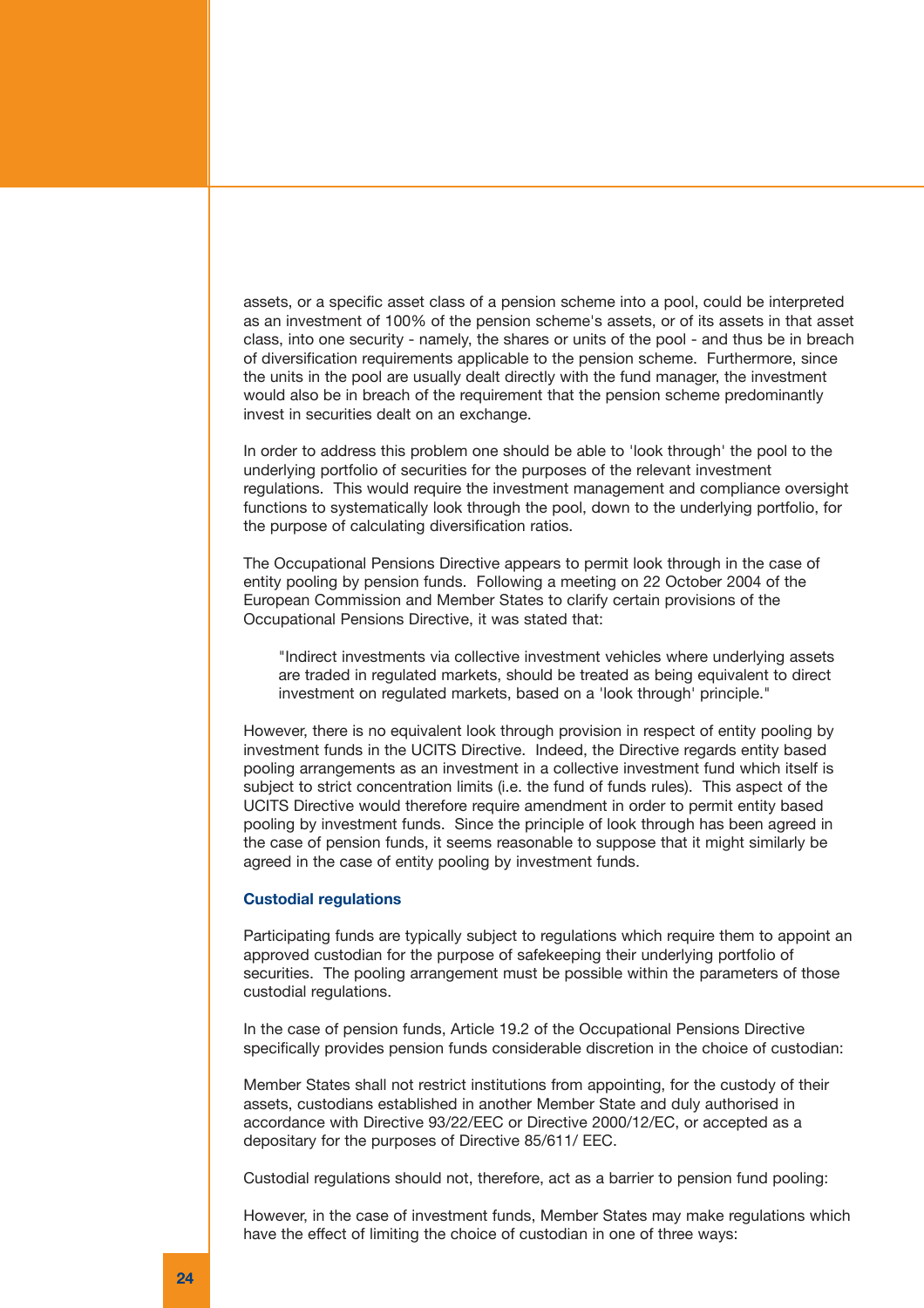assets, or a specific asset class of a pension scheme into a pool, could be interpreted as an investment of 100% of the pension scheme's assets, or of its assets in that asset class, into one security - namely, the shares or units of the pool - and thus be in breach of diversification requirements applicable to the pension scheme. Furthermore, since the units in the pool are usually dealt directly with the fund manager, the investment would also be in breach of the requirement that the pension scheme predominantly invest in securities dealt on an exchange.

In order to address this problem one should be able to 'look through' the pool to the underlying portfolio of securities for the purposes of the relevant investment regulations. This would require the investment management and compliance oversight functions to systematically look through the pool, down to the underlying portfolio, for the purpose of calculating diversification ratios.

The Occupational Pensions Directive appears to permit look through in the case of entity pooling by pension funds. Following a meeting on 22 October 2004 of the European Commission and Member States to clarify certain provisions of the Occupational Pensions Directive, it was stated that:

"Indirect investments via collective investment vehicles where underlying assets are traded in regulated markets, should be treated as being equivalent to direct investment on regulated markets, based on a 'look through' principle."

However, there is no equivalent look through provision in respect of entity pooling by investment funds in the UCITS Directive. Indeed, the Directive regards entity based pooling arrangements as an investment in a collective investment fund which itself is subject to strict concentration limits (i.e. the fund of funds rules). This aspect of the UCITS Directive would therefore require amendment in order to permit entity based pooling by investment funds. Since the principle of look through has been agreed in the case of pension funds, it seems reasonable to suppose that it might similarly be agreed in the case of entity pooling by investment funds.

#### **Custodial regulations**

Participating funds are typically subject to regulations which require them to appoint an approved custodian for the purpose of safekeeping their underlying portfolio of securities. The pooling arrangement must be possible within the parameters of those custodial regulations.

In the case of pension funds, Article 19.2 of the Occupational Pensions Directive specifically provides pension funds considerable discretion in the choice of custodian:

Member States shall not restrict institutions from appointing, for the custody of their assets, custodians established in another Member State and duly authorised in accordance with Directive 93/22/EEC or Directive 2000/12/EC, or accepted as a depositary for the purposes of Directive 85/611/ EEC.

Custodial regulations should not, therefore, act as a barrier to pension fund pooling:

However, in the case of investment funds, Member States may make regulations which have the effect of limiting the choice of custodian in one of three ways: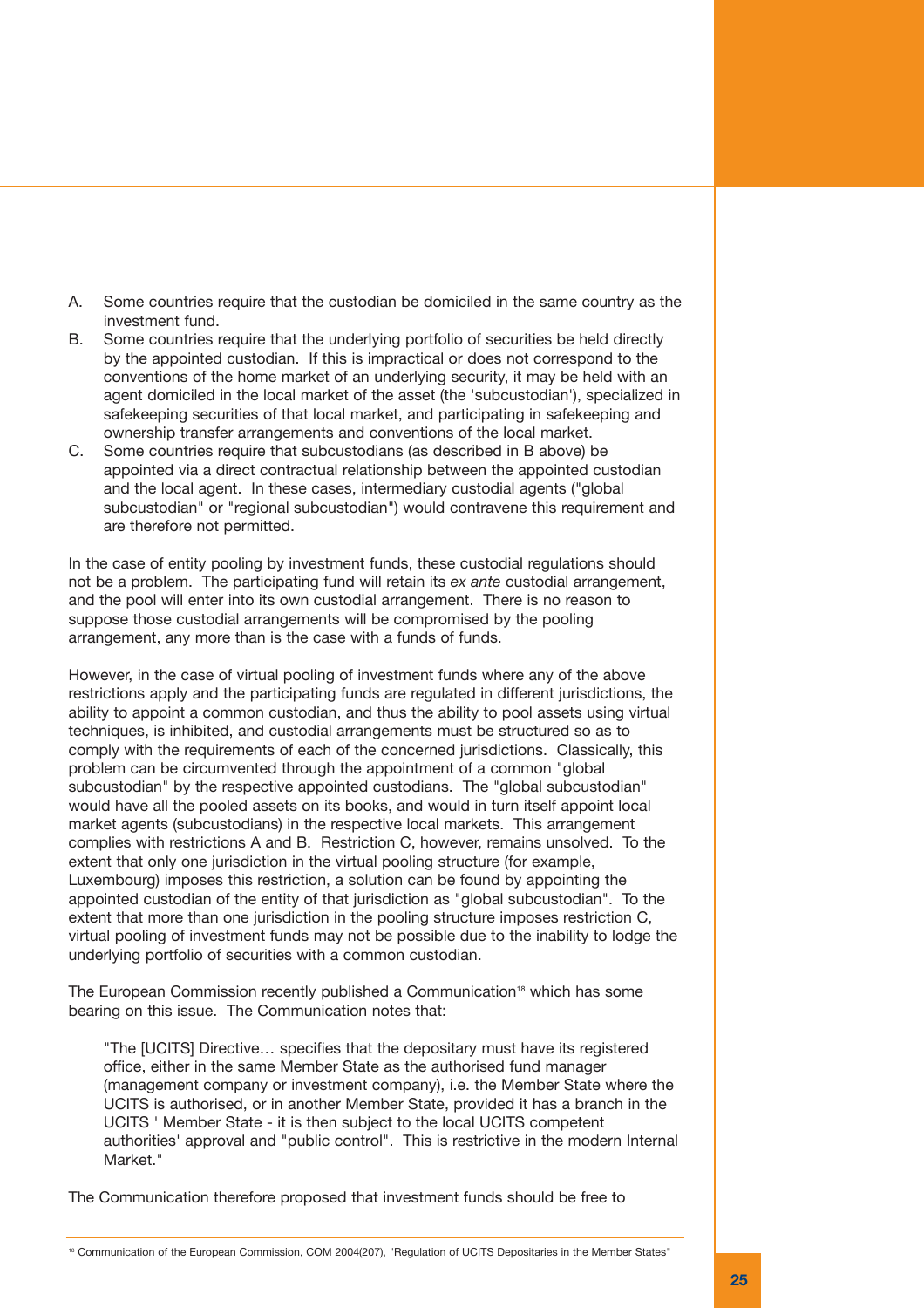- Some countries require that the custodian be domiciled in the same country as the investment fund. A.
- Some countries require that the underlying portfolio of securities be held directly by the appointed custodian. If this is impractical or does not correspond to the conventions of the home market of an underlying security, it may be held with an agent domiciled in the local market of the asset (the 'subcustodian'), specialized in safekeeping securities of that local market, and participating in safekeeping and ownership transfer arrangements and conventions of the local market. B.
- Some countries require that subcustodians (as described in B above) be appointed via a direct contractual relationship between the appointed custodian and the local agent. In these cases, intermediary custodial agents ("global subcustodian" or "regional subcustodian") would contravene this requirement and are therefore not permitted. C.

In the case of entity pooling by investment funds, these custodial regulations should not be a problem. The participating fund will retain its *ex ante* custodial arrangement, and the pool will enter into its own custodial arrangement. There is no reason to suppose those custodial arrangements will be compromised by the pooling arrangement, any more than is the case with a funds of funds.

However, in the case of virtual pooling of investment funds where any of the above restrictions apply and the participating funds are regulated in different jurisdictions, the ability to appoint a common custodian, and thus the ability to pool assets using virtual techniques, is inhibited, and custodial arrangements must be structured so as to comply with the requirements of each of the concerned jurisdictions. Classically, this problem can be circumvented through the appointment of a common "global subcustodian" by the respective appointed custodians. The "global subcustodian" would have all the pooled assets on its books, and would in turn itself appoint local market agents (subcustodians) in the respective local markets. This arrangement complies with restrictions A and B. Restriction C, however, remains unsolved. To the extent that only one jurisdiction in the virtual pooling structure (for example, Luxembourg) imposes this restriction, a solution can be found by appointing the appointed custodian of the entity of that jurisdiction as "global subcustodian". To the extent that more than one jurisdiction in the pooling structure imposes restriction C, virtual pooling of investment funds may not be possible due to the inability to lodge the underlying portfolio of securities with a common custodian.

The European Commission recently published a Communication<sup>18</sup> which has some bearing on this issue. The Communication notes that:

"The [UCITS] Directive… specifies that the depositary must have its registered office, either in the same Member State as the authorised fund manager (management company or investment company), i.e. the Member State where the UCITS is authorised, or in another Member State, provided it has a branch in the UCITS ' Member State - it is then subject to the local UCITS competent authorities' approval and "public control". This is restrictive in the modern Internal Market."

The Communication therefore proposed that investment funds should be free to

<sup>&</sup>lt;sup>18</sup> Communication of the European Commission, COM 2004(207), "Regulation of UCITS Depositaries in the Member States"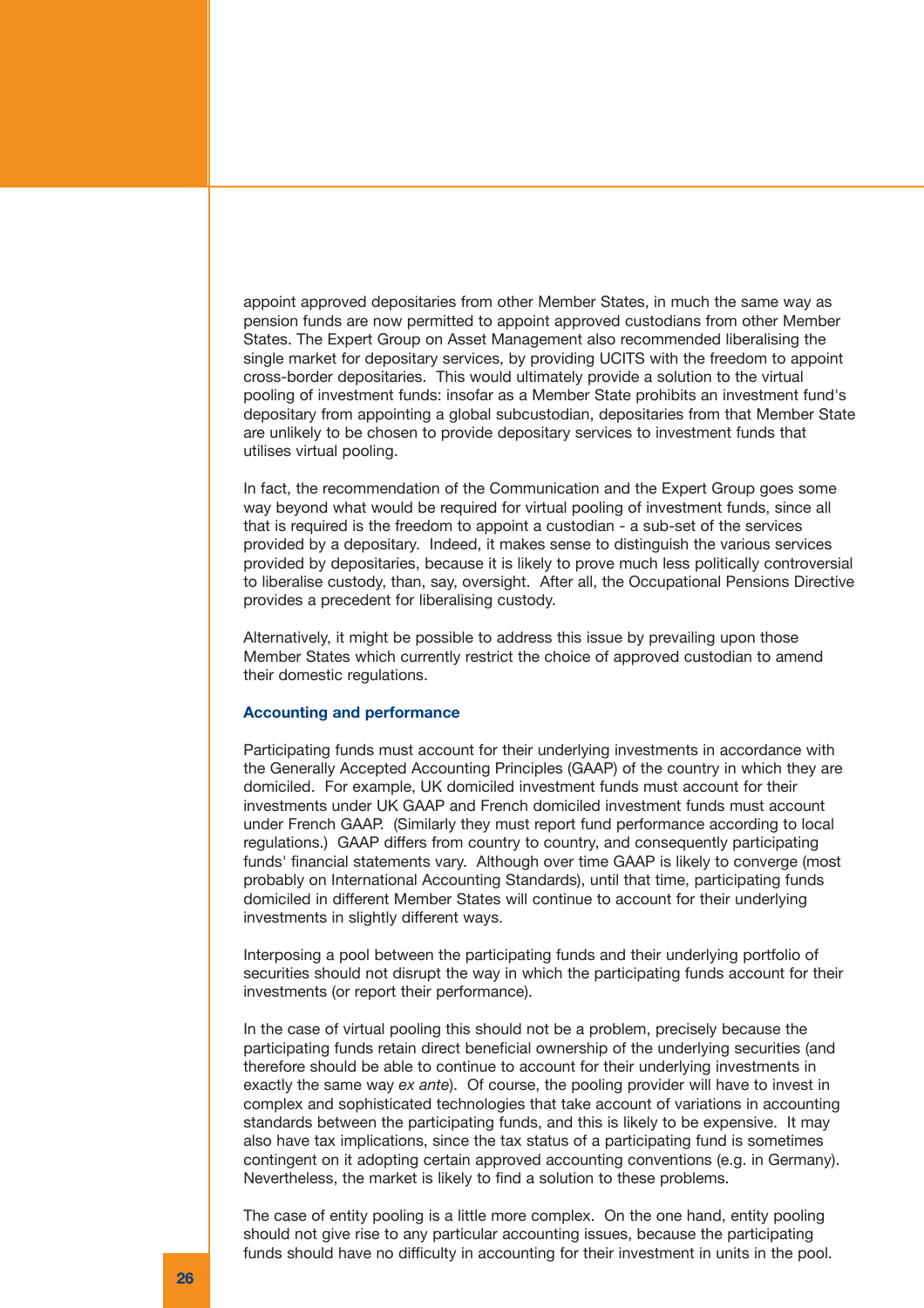appoint approved depositaries from other Member States, in much the same way as pension funds are now permitted to appoint approved custodians from other Member States. The Expert Group on Asset Management also recommended liberalising the single market for depositary services, by providing UCITS with the freedom to appoint cross-border depositaries. This would ultimately provide a solution to the virtual pooling of investment funds: insofar as a Member State prohibits an investment fund's depositary from appointing a global subcustodian, depositaries from that Member State are unlikely to be chosen to provide depositary services to investment funds that utilises virtual pooling.

In fact, the recommendation of the Communication and the Expert Group goes some way beyond what would be required for virtual pooling of investment funds, since all that is required is the freedom to appoint a custodian - a sub-set of the services provided by a depositary. Indeed, it makes sense to distinguish the various services provided by depositaries, because it is likely to prove much less politically controversial to liberalise custody, than, say, oversight. After all, the Occupational Pensions Directive provides a precedent for liberalising custody.

Alternatively, it might be possible to address this issue by prevailing upon those Member States which currently restrict the choice of approved custodian to amend their domestic regulations.

#### **Accounting and performance**

Participating funds must account for their underlying investments in accordance with the Generally Accepted Accounting Principles (GAAP) of the country in which they are domiciled. For example, UK domiciled investment funds must account for their investments under UK GAAP and French domiciled investment funds must account under French GAAP. (Similarly they must report fund performance according to local regulations.) GAAP differs from country to country, and consequently participating funds' financial statements vary. Although over time GAAP is likely to converge (most probably on International Accounting Standards), until that time, participating funds domiciled in different Member States will continue to account for their underlying investments in slightly different ways.

Interposing a pool between the participating funds and their underlying portfolio of securities should not disrupt the way in which the participating funds account for their investments (or report their performance).

In the case of virtual pooling this should not be a problem, precisely because the participating funds retain direct beneficial ownership of the underlying securities (and therefore should be able to continue to account for their underlying investments in exactly the same way *ex ante*). Of course, the pooling provider will have to invest in complex and sophisticated technologies that take account of variations in accounting standards between the participating funds, and this is likely to be expensive. It may also have tax implications, since the tax status of a participating fund is sometimes contingent on it adopting certain approved accounting conventions (e.g. in Germany). Nevertheless, the market is likely to find a solution to these problems.

The case of entity pooling is a little more complex. On the one hand, entity pooling should not give rise to any particular accounting issues, because the participating funds should have no difficulty in accounting for their investment in units in the pool.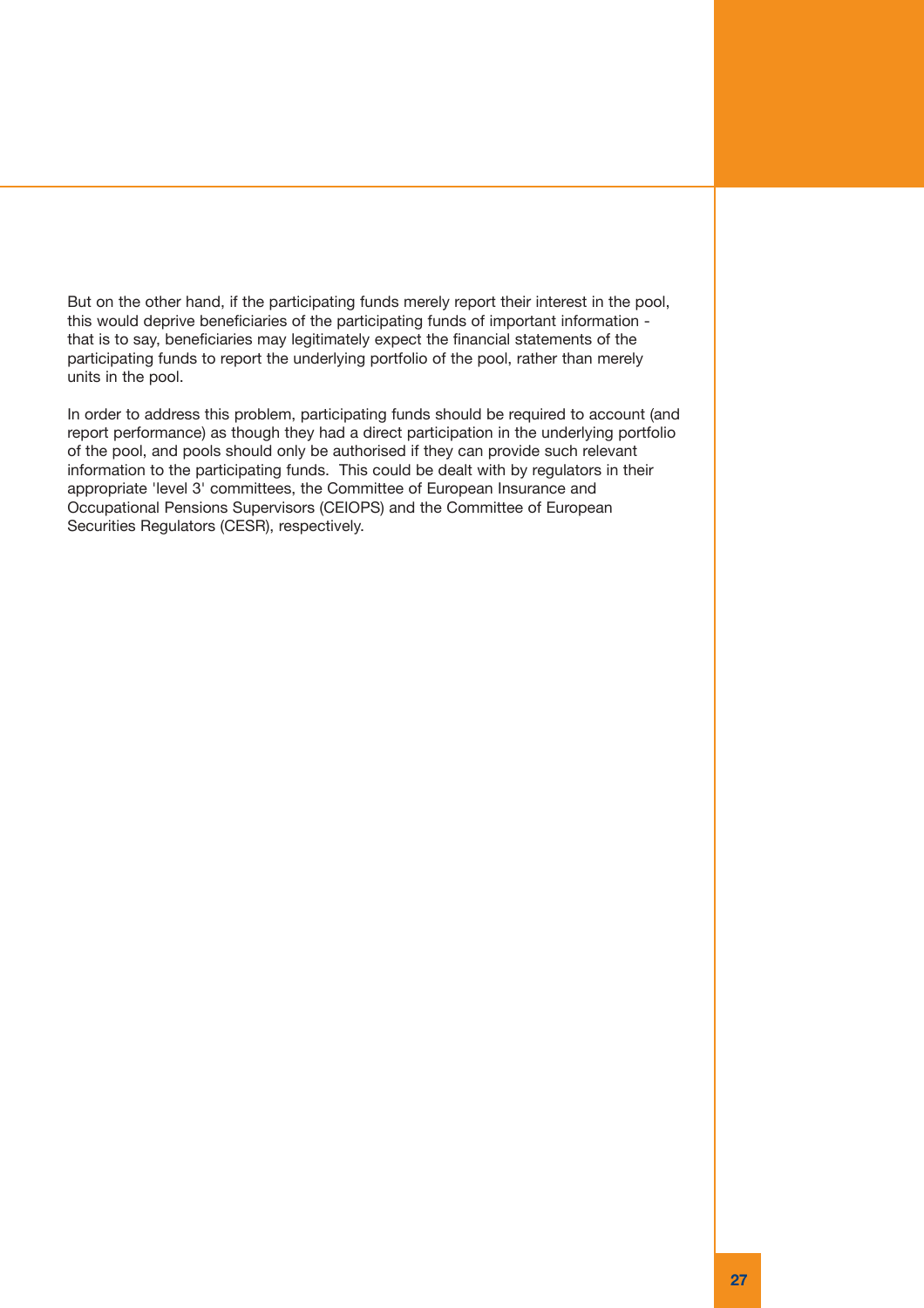But on the other hand, if the participating funds merely report their interest in the pool, this would deprive beneficiaries of the participating funds of important information that is to say, beneficiaries may legitimately expect the financial statements of the participating funds to report the underlying portfolio of the pool, rather than merely units in the pool.

In order to address this problem, participating funds should be required to account (and report performance) as though they had a direct participation in the underlying portfolio of the pool, and pools should only be authorised if they can provide such relevant information to the participating funds. This could be dealt with by regulators in their appropriate 'level 3' committees, the Committee of European Insurance and Occupational Pensions Supervisors (CEIOPS) and the Committee of European Securities Regulators (CESR), respectively.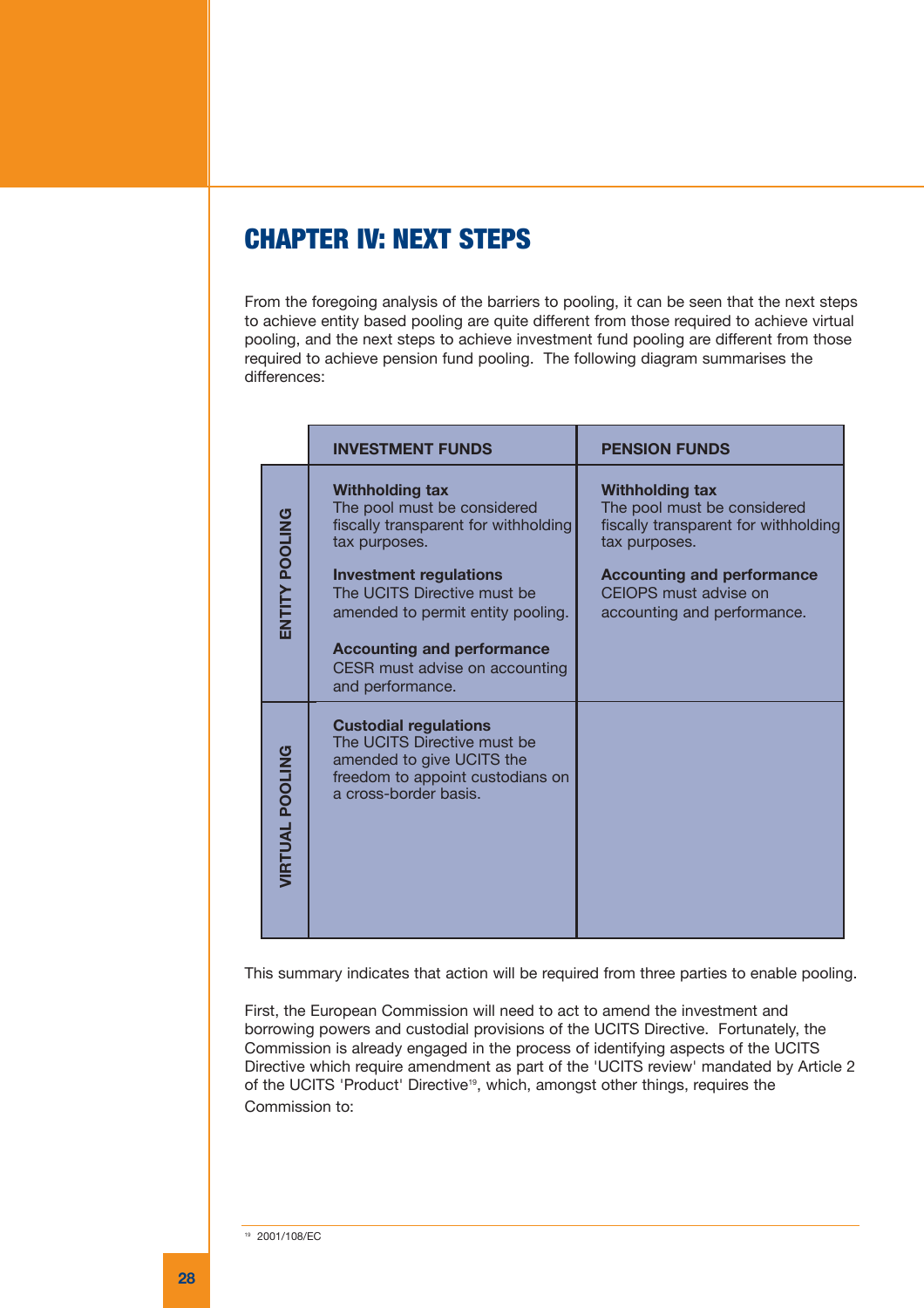# CHAPTER IV: NEXT STEPS

From the foregoing analysis of the barriers to pooling, it can be seen that the next steps to achieve entity based pooling are quite different from those required to achieve virtual pooling, and the next steps to achieve investment fund pooling are different from those required to achieve pension fund pooling. The following diagram summarises the differences:

|                               | <b>INVESTMENT FUNDS</b>                                                                                                                                                                                                                                                                    | <b>PENSION FUNDS</b>                                                                                                                                                                                        |
|-------------------------------|--------------------------------------------------------------------------------------------------------------------------------------------------------------------------------------------------------------------------------------------------------------------------------------------|-------------------------------------------------------------------------------------------------------------------------------------------------------------------------------------------------------------|
| ENTITY POOLING                | <b>Withholding tax</b><br>The pool must be considered<br>fiscally transparent for withholding<br>tax purposes.<br><b>Investment regulations</b><br>The UCITS Directive must be<br>amended to permit entity pooling.<br><b>Accounting and performance</b><br>CESR must advise on accounting | <b>Withholding tax</b><br>The pool must be considered<br>fiscally transparent for withholding<br>tax purposes.<br><b>Accounting and performance</b><br>CEIOPS must advise on<br>accounting and performance. |
| <b><i>JIRTUAL POOLING</i></b> | and performance.<br><b>Custodial regulations</b><br>The UCITS Directive must be<br>amended to give UCITS the<br>freedom to appoint custodians on<br>a cross-border basis.                                                                                                                  |                                                                                                                                                                                                             |

This summary indicates that action will be required from three parties to enable pooling.

First, the European Commission will need to act to amend the investment and borrowing powers and custodial provisions of the UCITS Directive. Fortunately, the Commission is already engaged in the process of identifying aspects of the UCITS Directive which require amendment as part of the 'UCITS review' mandated by Article 2 of the UCITS 'Product' Directive<sup>19</sup>, which, amongst other things, requires the Commission to:

<sup>19</sup> 2001/108/EC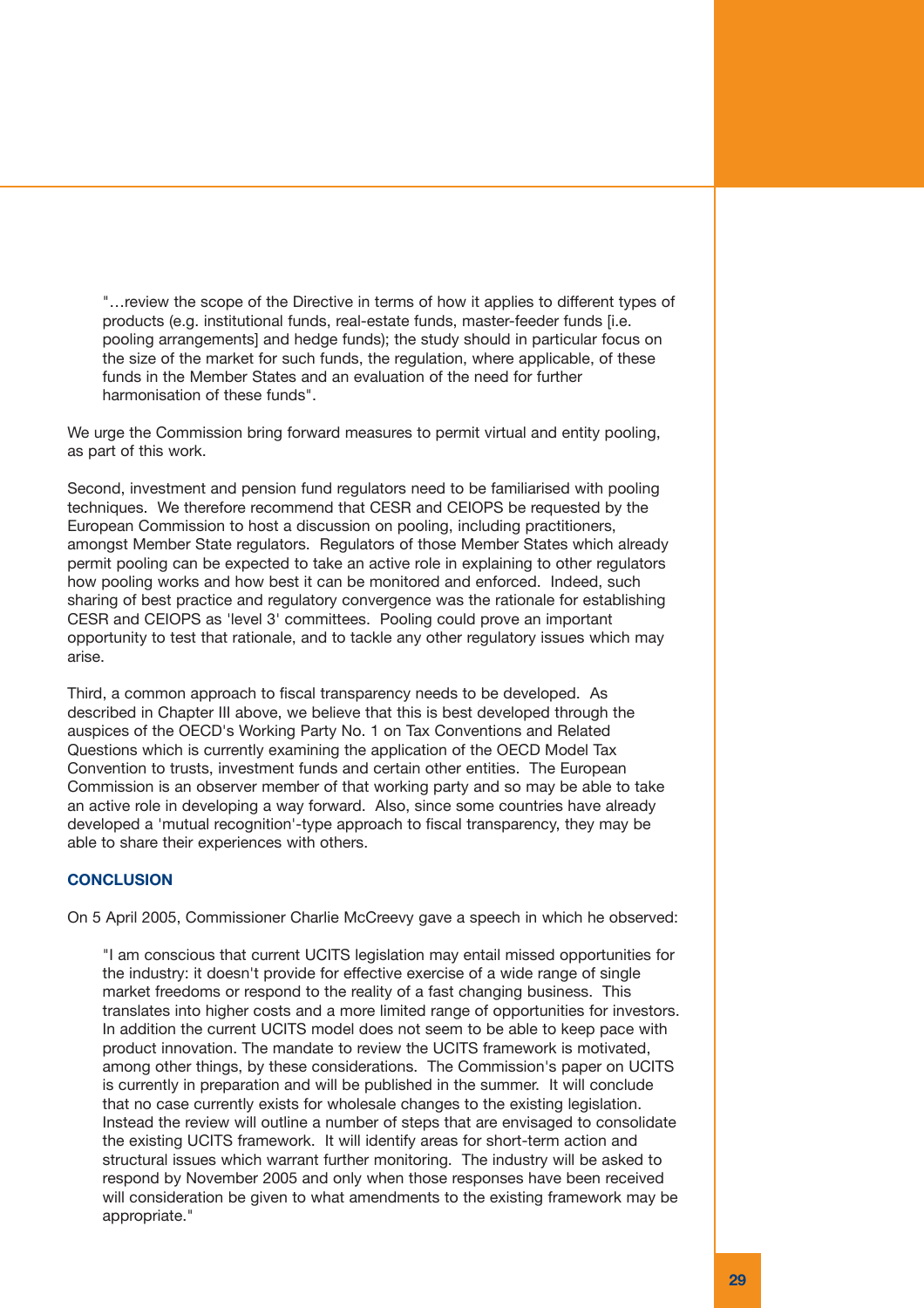"…review the scope of the Directive in terms of how it applies to different types of products (e.g. institutional funds, real-estate funds, master-feeder funds [i.e. pooling arrangements] and hedge funds); the study should in particular focus on the size of the market for such funds, the regulation, where applicable, of these funds in the Member States and an evaluation of the need for further harmonisation of these funds".

We urge the Commission bring forward measures to permit virtual and entity pooling, as part of this work.

Second, investment and pension fund regulators need to be familiarised with pooling techniques. We therefore recommend that CESR and CEIOPS be requested by the European Commission to host a discussion on pooling, including practitioners, amongst Member State regulators. Regulators of those Member States which already permit pooling can be expected to take an active role in explaining to other regulators how pooling works and how best it can be monitored and enforced. Indeed, such sharing of best practice and regulatory convergence was the rationale for establishing CESR and CEIOPS as 'level 3' committees. Pooling could prove an important opportunity to test that rationale, and to tackle any other regulatory issues which may arise.

Third, a common approach to fiscal transparency needs to be developed. As described in Chapter III above, we believe that this is best developed through the auspices of the OECD's Working Party No. 1 on Tax Conventions and Related Questions which is currently examining the application of the OECD Model Tax Convention to trusts, investment funds and certain other entities. The European Commission is an observer member of that working party and so may be able to take an active role in developing a way forward. Also, since some countries have already developed a 'mutual recognition'-type approach to fiscal transparency, they may be able to share their experiences with others.

### **CONCLUSION**

On 5 April 2005, Commissioner Charlie McCreevy gave a speech in which he observed:

"I am conscious that current UCITS legislation may entail missed opportunities for the industry: it doesn't provide for effective exercise of a wide range of single market freedoms or respond to the reality of a fast changing business. This translates into higher costs and a more limited range of opportunities for investors. In addition the current UCITS model does not seem to be able to keep pace with product innovation. The mandate to review the UCITS framework is motivated, among other things, by these considerations. The Commission's paper on UCITS is currently in preparation and will be published in the summer. It will conclude that no case currently exists for wholesale changes to the existing legislation. Instead the review will outline a number of steps that are envisaged to consolidate the existing UCITS framework. It will identify areas for short-term action and structural issues which warrant further monitoring. The industry will be asked to respond by November 2005 and only when those responses have been received will consideration be given to what amendments to the existing framework may be appropriate."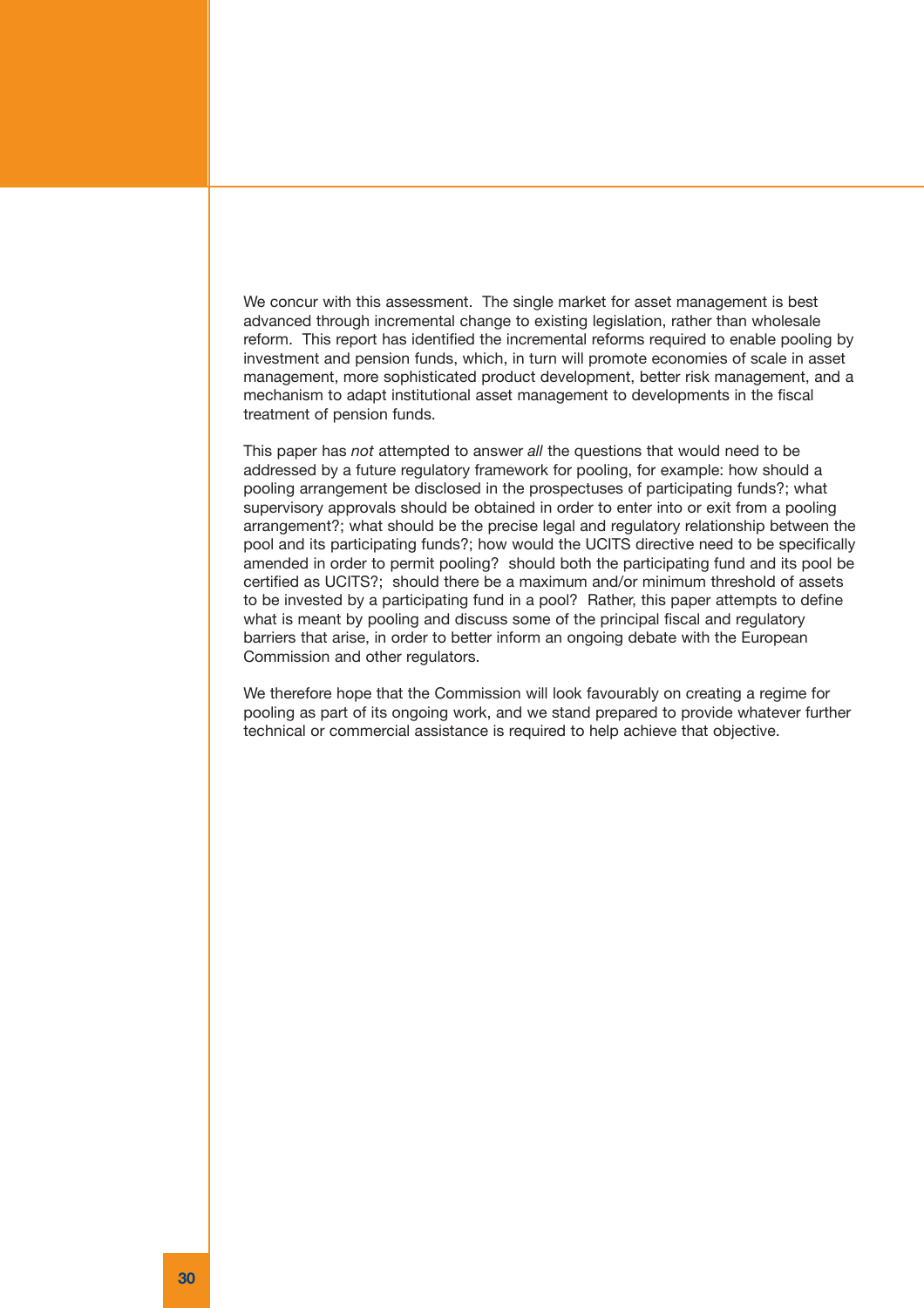We concur with this assessment. The single market for asset management is best advanced through incremental change to existing legislation, rather than wholesale reform. This report has identified the incremental reforms required to enable pooling by investment and pension funds, which, in turn will promote economies of scale in asset management, more sophisticated product development, better risk management, and a mechanism to adapt institutional asset management to developments in the fiscal treatment of pension funds.

This paper has *not* attempted to answer *all* the questions that would need to be addressed by a future regulatory framework for pooling, for example: how should a pooling arrangement be disclosed in the prospectuses of participating funds?; what supervisory approvals should be obtained in order to enter into or exit from a pooling arrangement?; what should be the precise legal and regulatory relationship between the pool and its participating funds?; how would the UCITS directive need to be specifically amended in order to permit pooling? should both the participating fund and its pool be certified as UCITS?; should there be a maximum and/or minimum threshold of assets to be invested by a participating fund in a pool? Rather, this paper attempts to define what is meant by pooling and discuss some of the principal fiscal and regulatory barriers that arise, in order to better inform an ongoing debate with the European Commission and other regulators.

We therefore hope that the Commission will look favourably on creating a regime for pooling as part of its ongoing work, and we stand prepared to provide whatever further technical or commercial assistance is required to help achieve that objective.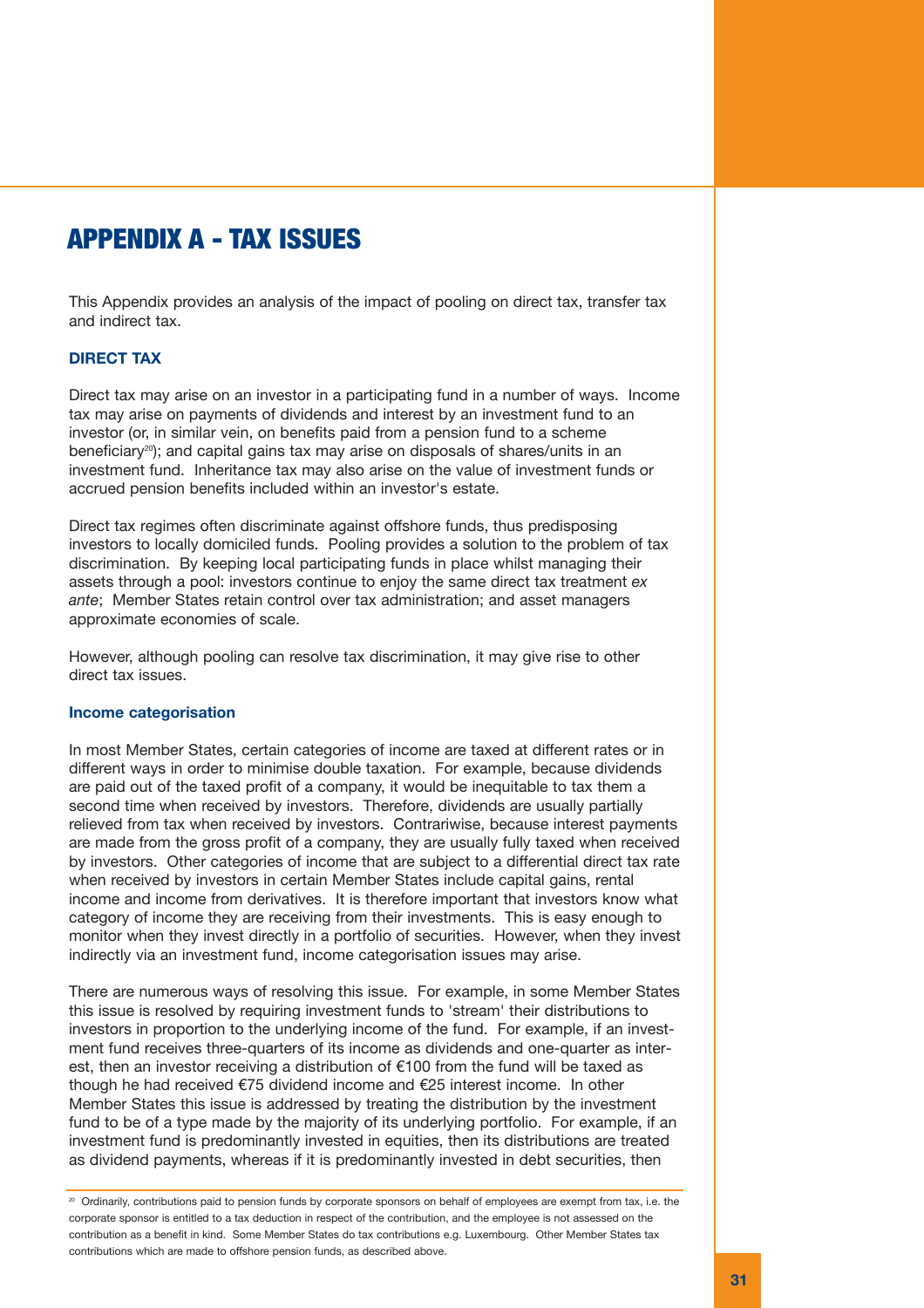# APPENDIX A - TAX ISSUES

This Appendix provides an analysis of the impact of pooling on direct tax, transfer tax and indirect tax.

# **DIRECT TAX**

Direct tax may arise on an investor in a participating fund in a number of ways. Income tax may arise on payments of dividends and interest by an investment fund to an investor (or, in similar vein, on benefits paid from a pension fund to a scheme beneficiary20); and capital gains tax may arise on disposals of shares/units in an investment fund. Inheritance tax may also arise on the value of investment funds or accrued pension benefits included within an investor's estate.

Direct tax regimes often discriminate against offshore funds, thus predisposing investors to locally domiciled funds. Pooling provides a solution to the problem of tax discrimination. By keeping local participating funds in place whilst managing their assets through a pool: investors continue to enjoy the same direct tax treatment *ex ante*; Member States retain control over tax administration; and asset managers approximate economies of scale.

However, although pooling can resolve tax discrimination, it may give rise to other direct tax issues.

#### **Income categorisation**

In most Member States, certain categories of income are taxed at different rates or in different ways in order to minimise double taxation. For example, because dividends are paid out of the taxed profit of a company, it would be inequitable to tax them a second time when received by investors. Therefore, dividends are usually partially relieved from tax when received by investors. Contrariwise, because interest payments are made from the gross profit of a company, they are usually fully taxed when received by investors. Other categories of income that are subject to a differential direct tax rate when received by investors in certain Member States include capital gains, rental income and income from derivatives. It is therefore important that investors know what category of income they are receiving from their investments. This is easy enough to monitor when they invest directly in a portfolio of securities. However, when they invest indirectly via an investment fund, income categorisation issues may arise.

There are numerous ways of resolving this issue. For example, in some Member States this issue is resolved by requiring investment funds to 'stream' their distributions to investors in proportion to the underlying income of the fund. For example, if an investment fund receives three-quarters of its income as dividends and one-quarter as interest, then an investor receiving a distribution of €100 from the fund will be taxed as though he had received €75 dividend income and €25 interest income. In other Member States this issue is addressed by treating the distribution by the investment fund to be of a type made by the majority of its underlying portfolio. For example, if an investment fund is predominantly invested in equities, then its distributions are treated as dividend payments, whereas if it is predominantly invested in debt securities, then

<sup>20</sup> Ordinarily, contributions paid to pension funds by corporate sponsors on behalf of employees are exempt from tax, i.e. the corporate sponsor is entitled to a tax deduction in respect of the contribution, and the employee is not assessed on the contribution as a benefit in kind. Some Member States do tax contributions e.g. Luxembourg. Other Member States tax contributions which are made to offshore pension funds, as described above.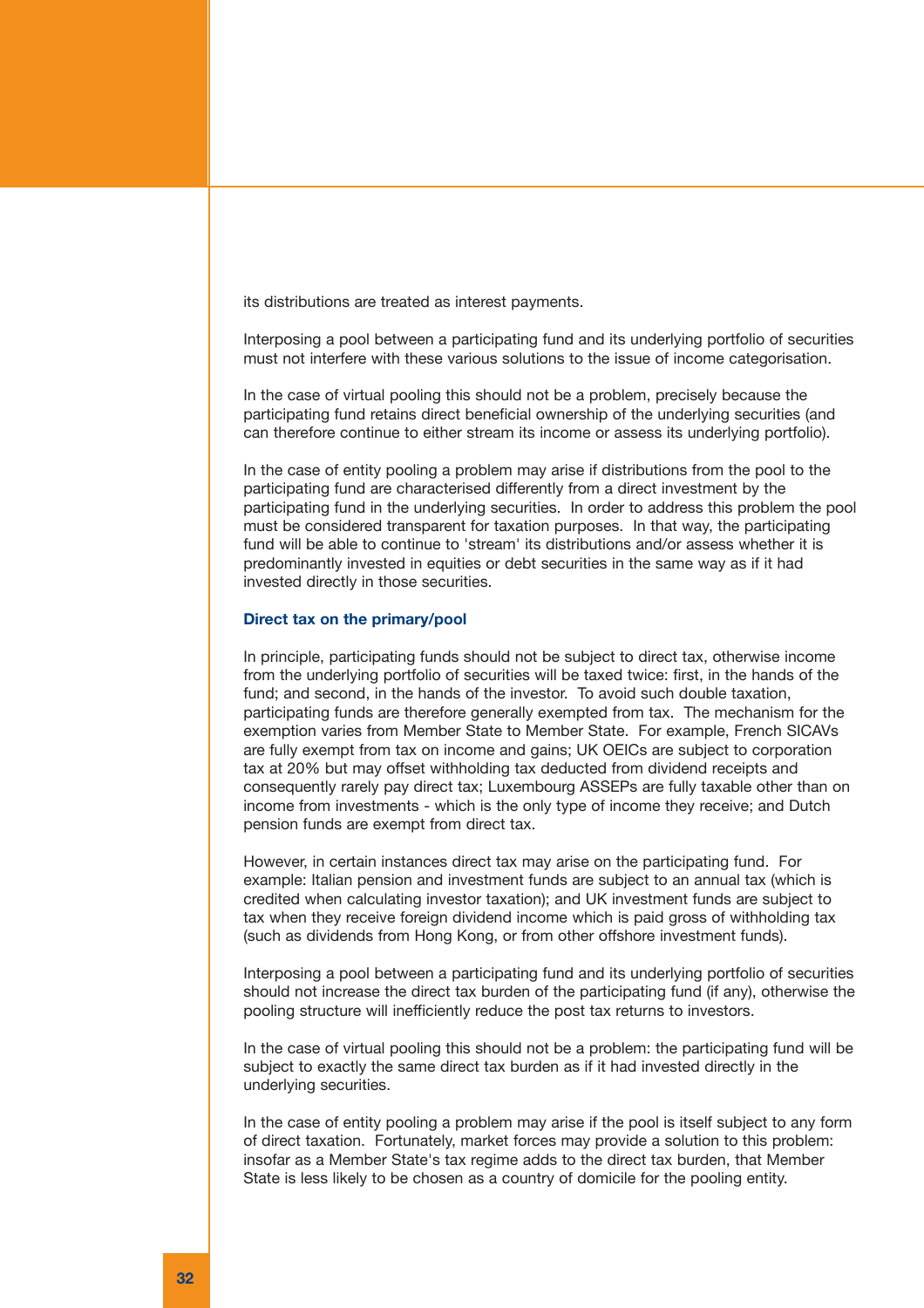its distributions are treated as interest payments.

Interposing a pool between a participating fund and its underlying portfolio of securities must not interfere with these various solutions to the issue of income categorisation.

In the case of virtual pooling this should not be a problem, precisely because the participating fund retains direct beneficial ownership of the underlying securities (and can therefore continue to either stream its income or assess its underlying portfolio).

In the case of entity pooling a problem may arise if distributions from the pool to the participating fund are characterised differently from a direct investment by the participating fund in the underlying securities. In order to address this problem the pool must be considered transparent for taxation purposes. In that way, the participating fund will be able to continue to 'stream' its distributions and/or assess whether it is predominantly invested in equities or debt securities in the same way as if it had invested directly in those securities.

#### **Direct tax on the primary/pool**

In principle, participating funds should not be subject to direct tax, otherwise income from the underlying portfolio of securities will be taxed twice: first, in the hands of the fund; and second, in the hands of the investor. To avoid such double taxation, participating funds are therefore generally exempted from tax. The mechanism for the exemption varies from Member State to Member State. For example, French SICAVs are fully exempt from tax on income and gains; UK OEICs are subject to corporation tax at 20% but may offset withholding tax deducted from dividend receipts and consequently rarely pay direct tax; Luxembourg ASSEPs are fully taxable other than on income from investments - which is the only type of income they receive; and Dutch pension funds are exempt from direct tax.

However, in certain instances direct tax may arise on the participating fund. For example: Italian pension and investment funds are subject to an annual tax (which is credited when calculating investor taxation); and UK investment funds are subject to tax when they receive foreign dividend income which is paid gross of withholding tax (such as dividends from Hong Kong, or from other offshore investment funds).

Interposing a pool between a participating fund and its underlying portfolio of securities should not increase the direct tax burden of the participating fund (if any), otherwise the pooling structure will inefficiently reduce the post tax returns to investors.

In the case of virtual pooling this should not be a problem: the participating fund will be subject to exactly the same direct tax burden as if it had invested directly in the underlying securities.

In the case of entity pooling a problem may arise if the pool is itself subject to any form of direct taxation. Fortunately, market forces may provide a solution to this problem: insofar as a Member State's tax regime adds to the direct tax burden, that Member State is less likely to be chosen as a country of domicile for the pooling entity.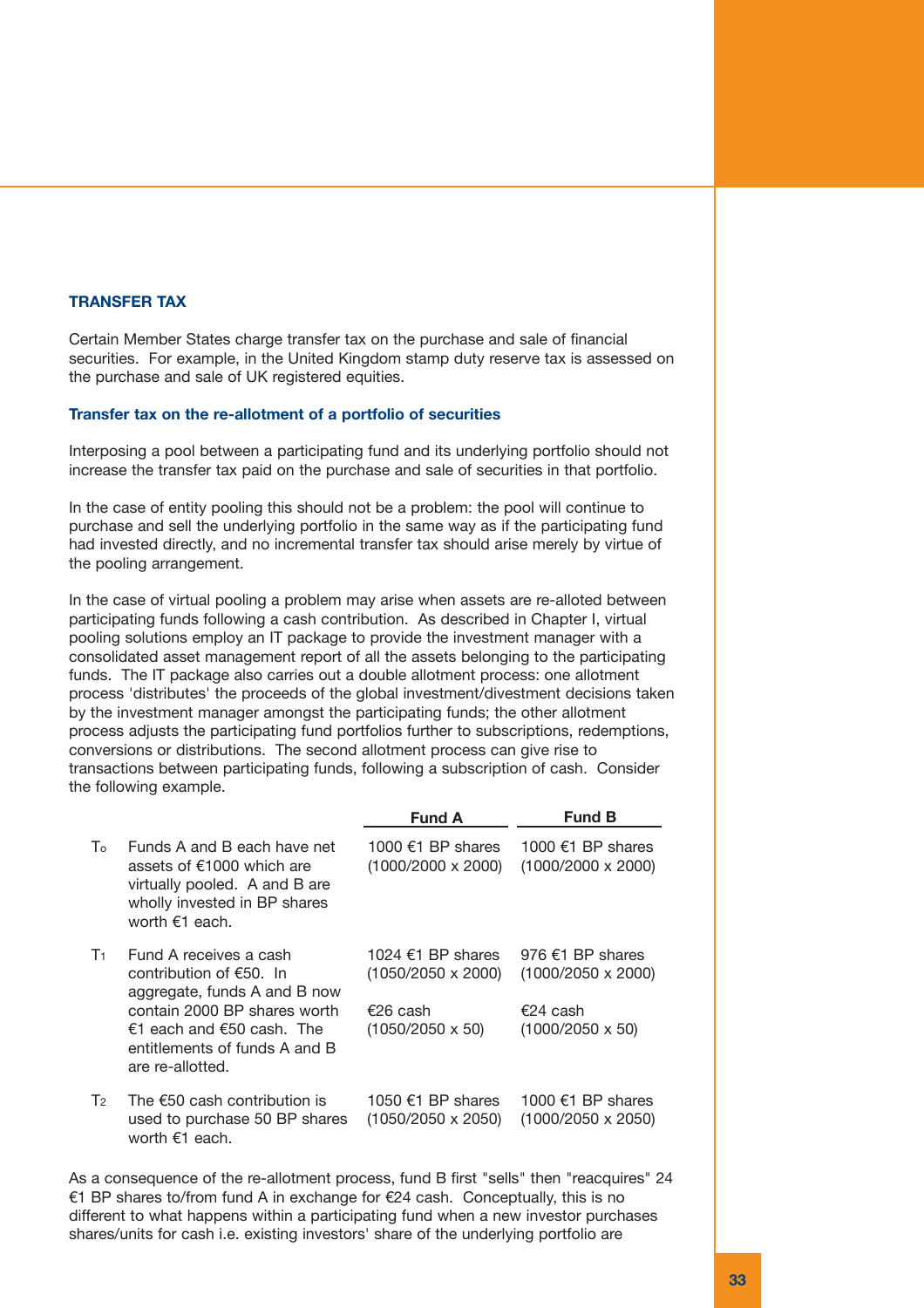# **TRANSFER TAX**

Certain Member States charge transfer tax on the purchase and sale of financial securities. For example, in the United Kingdom stamp duty reserve tax is assessed on the purchase and sale of UK registered equities.

### **Transfer tax on the re-allotment of a portfolio of securities**

Interposing a pool between a participating fund and its underlying portfolio should not increase the transfer tax paid on the purchase and sale of securities in that portfolio.

In the case of entity pooling this should not be a problem: the pool will continue to purchase and sell the underlying portfolio in the same way as if the participating fund had invested directly, and no incremental transfer tax should arise merely by virtue of the pooling arrangement.

In the case of virtual pooling a problem may arise when assets are re-alloted between participating funds following a cash contribution. As described in Chapter I, virtual pooling solutions employ an IT package to provide the investment manager with a consolidated asset management report of all the assets belonging to the participating funds. The IT package also carries out a double allotment process: one allotment process 'distributes' the proceeds of the global investment/divestment decisions taken by the investment manager amongst the participating funds; the other allotment process adjusts the participating fund portfolios further to subscriptions, redemptions, conversions or distributions. The second allotment process can give rise to transactions between participating funds, following a subscription of cash. Consider the following example.

|                |                                                                                                                                                                                                        | <b>Fund A</b>                                                                         | <b>Fund B</b>                                                                                |
|----------------|--------------------------------------------------------------------------------------------------------------------------------------------------------------------------------------------------------|---------------------------------------------------------------------------------------|----------------------------------------------------------------------------------------------|
| To             | Funds A and B each have net<br>assets of €1000 which are<br>virtually pooled. A and B are<br>wholly invested in BP shares<br>worth €1 each.                                                            | 1000 €1 BP shares<br>$(1000/2000 \times 2000)$                                        | 1000 €1 BP shares<br>$(1000/2000 \times 2000)$                                               |
| $T_{1}$        | Fund A receives a cash<br>contribution of $€50$ . In<br>aggregate, funds A and B now<br>contain 2000 BP shares worth<br>€1 each and €50 cash. The<br>entitlements of funds A and B<br>are re-allotted. | 1024 €1 BP shares<br>$(1050/2050 \times 2000)$<br>€26 cash<br>$(1050/2050 \times 50)$ | 976 $\notin$ 1 BP shares<br>$(1000/2050 \times 2000)$<br>€24 cash<br>$(1000/2050 \times 50)$ |
| T <sub>2</sub> | The $\epsilon$ 50 cash contribution is<br>used to purchase 50 BP shares<br>worth $€1$ each.                                                                                                            | 1050 €1 BP shares<br>$(1050/2050 \times 2050)$                                        | 1000 €1 BP shares<br>$(1000/2050 \times 2050)$                                               |

As a consequence of the re-allotment process, fund B first "sells" then "reacquires" 24 €1 BP shares to/from fund A in exchange for €24 cash. Conceptually, this is no different to what happens within a participating fund when a new investor purchases shares/units for cash i.e. existing investors' share of the underlying portfolio are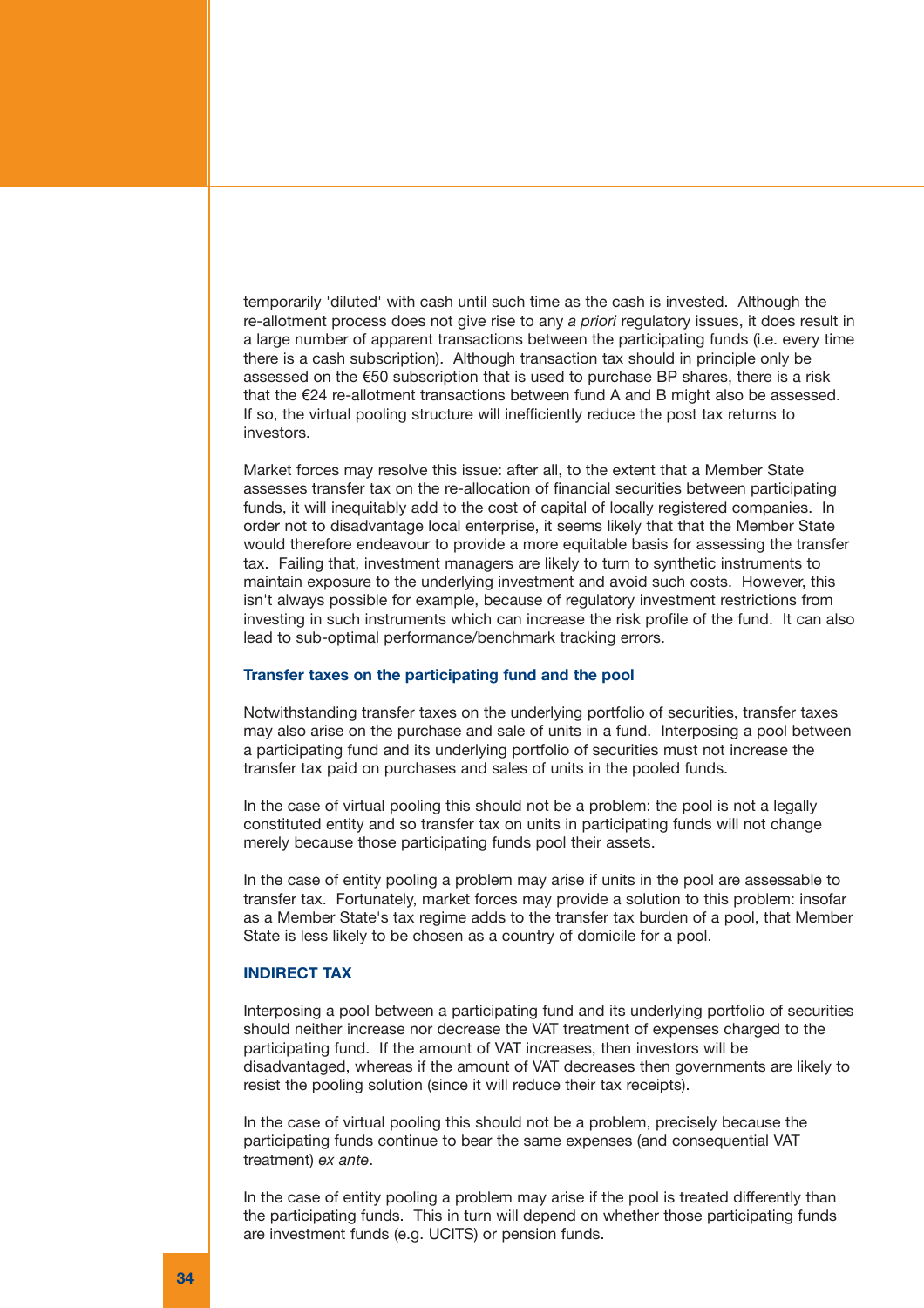temporarily 'diluted' with cash until such time as the cash is invested. Although the re-allotment process does not give rise to any *a priori* regulatory issues, it does result in a large number of apparent transactions between the participating funds (i.e. every time there is a cash subscription). Although transaction tax should in principle only be assessed on the €50 subscription that is used to purchase BP shares, there is a risk that the €24 re-allotment transactions between fund A and B might also be assessed. If so, the virtual pooling structure will inefficiently reduce the post tax returns to investors.

Market forces may resolve this issue: after all, to the extent that a Member State assesses transfer tax on the re-allocation of financial securities between participating funds, it will inequitably add to the cost of capital of locally registered companies. In order not to disadvantage local enterprise, it seems likely that that the Member State would therefore endeavour to provide a more equitable basis for assessing the transfer tax. Failing that, investment managers are likely to turn to synthetic instruments to maintain exposure to the underlying investment and avoid such costs. However, this isn't always possible for example, because of regulatory investment restrictions from investing in such instruments which can increase the risk profile of the fund. It can also lead to sub-optimal performance/benchmark tracking errors.

#### **Transfer taxes on the participating fund and the pool**

Notwithstanding transfer taxes on the underlying portfolio of securities, transfer taxes may also arise on the purchase and sale of units in a fund. Interposing a pool between a participating fund and its underlying portfolio of securities must not increase the transfer tax paid on purchases and sales of units in the pooled funds.

In the case of virtual pooling this should not be a problem: the pool is not a legally constituted entity and so transfer tax on units in participating funds will not change merely because those participating funds pool their assets.

In the case of entity pooling a problem may arise if units in the pool are assessable to transfer tax. Fortunately, market forces may provide a solution to this problem: insofar as a Member State's tax regime adds to the transfer tax burden of a pool, that Member State is less likely to be chosen as a country of domicile for a pool.

### **INDIRECT TAX**

Interposing a pool between a participating fund and its underlying portfolio of securities should neither increase nor decrease the VAT treatment of expenses charged to the participating fund. If the amount of VAT increases, then investors will be disadvantaged, whereas if the amount of VAT decreases then governments are likely to resist the pooling solution (since it will reduce their tax receipts).

In the case of virtual pooling this should not be a problem, precisely because the participating funds continue to bear the same expenses (and consequential VAT treatment) *ex ante*.

In the case of entity pooling a problem may arise if the pool is treated differently than the participating funds. This in turn will depend on whether those participating funds are investment funds (e.g. UCITS) or pension funds.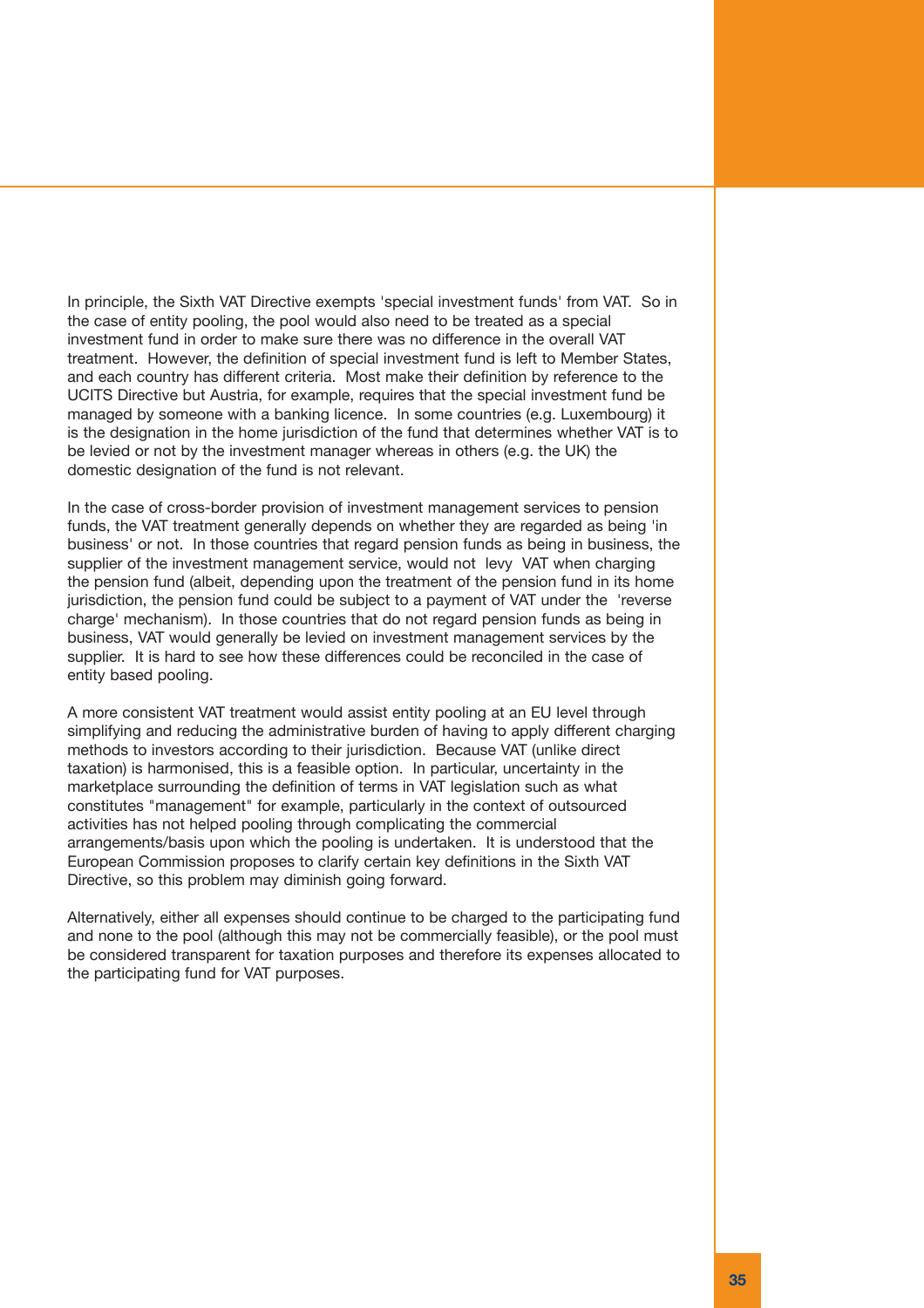In principle, the Sixth VAT Directive exempts 'special investment funds' from VAT. So in the case of entity pooling, the pool would also need to be treated as a special investment fund in order to make sure there was no difference in the overall VAT treatment. However, the definition of special investment fund is left to Member States, and each country has different criteria. Most make their definition by reference to the UCITS Directive but Austria, for example, requires that the special investment fund be managed by someone with a banking licence. In some countries (e.g. Luxembourg) it is the designation in the home jurisdiction of the fund that determines whether VAT is to be levied or not by the investment manager whereas in others (e.g. the UK) the domestic designation of the fund is not relevant.

In the case of cross-border provision of investment management services to pension funds, the VAT treatment generally depends on whether they are regarded as being 'in business' or not. In those countries that regard pension funds as being in business, the supplier of the investment management service, would not levy VAT when charging the pension fund (albeit, depending upon the treatment of the pension fund in its home jurisdiction, the pension fund could be subject to a payment of VAT under the 'reverse charge' mechanism). In those countries that do not regard pension funds as being in business, VAT would generally be levied on investment management services by the supplier. It is hard to see how these differences could be reconciled in the case of entity based pooling.

A more consistent VAT treatment would assist entity pooling at an EU level through simplifying and reducing the administrative burden of having to apply different charging methods to investors according to their jurisdiction. Because VAT (unlike direct taxation) is harmonised, this is a feasible option. In particular, uncertainty in the marketplace surrounding the definition of terms in VAT legislation such as what constitutes "management" for example, particularly in the context of outsourced activities has not helped pooling through complicating the commercial arrangements/basis upon which the pooling is undertaken. It is understood that the European Commission proposes to clarify certain key definitions in the Sixth VAT Directive, so this problem may diminish going forward.

Alternatively, either all expenses should continue to be charged to the participating fund and none to the pool (although this may not be commercially feasible), or the pool must be considered transparent for taxation purposes and therefore its expenses allocated to the participating fund for VAT purposes.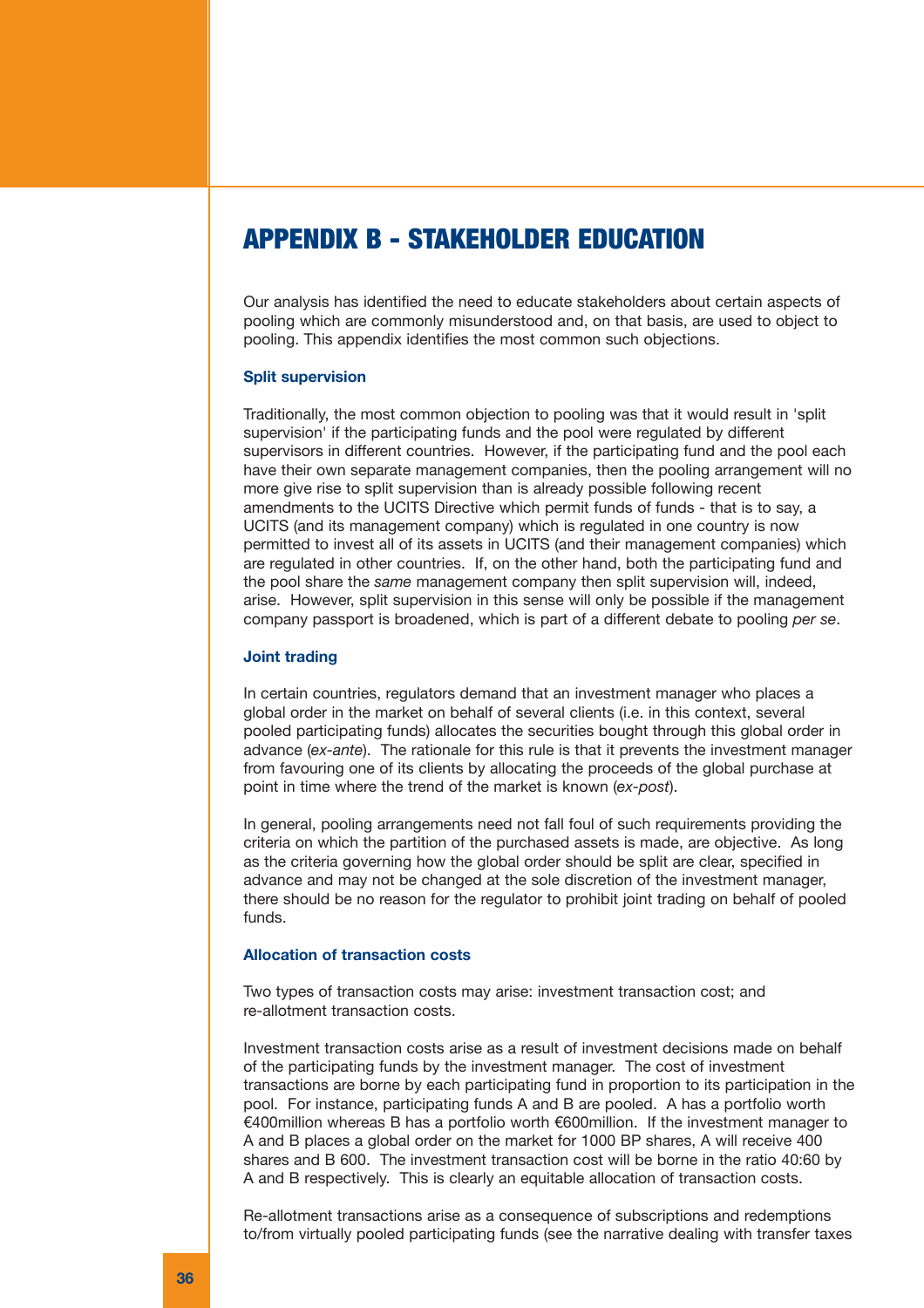# APPENDIX B - STAKEHOLDER EDUCATION

Our analysis has identified the need to educate stakeholders about certain aspects of pooling which are commonly misunderstood and, on that basis, are used to object to pooling. This appendix identifies the most common such objections.

## **Split supervision**

Traditionally, the most common objection to pooling was that it would result in 'split supervision' if the participating funds and the pool were regulated by different supervisors in different countries. However, if the participating fund and the pool each have their own separate management companies, then the pooling arrangement will no more give rise to split supervision than is already possible following recent amendments to the UCITS Directive which permit funds of funds - that is to say, a UCITS (and its management company) which is regulated in one country is now permitted to invest all of its assets in UCITS (and their management companies) which are regulated in other countries. If, on the other hand, both the participating fund and the pool share the *same* management company then split supervision will, indeed, arise. However, split supervision in this sense will only be possible if the management company passport is broadened, which is part of a different debate to pooling *per se*.

#### **Joint trading**

In certain countries, regulators demand that an investment manager who places a global order in the market on behalf of several clients (i.e. in this context, several pooled participating funds) allocates the securities bought through this global order in advance (*ex-ante*). The rationale for this rule is that it prevents the investment manager from favouring one of its clients by allocating the proceeds of the global purchase at point in time where the trend of the market is known (*ex-post*).

In general, pooling arrangements need not fall foul of such requirements providing the criteria on which the partition of the purchased assets is made, are objective. As long as the criteria governing how the global order should be split are clear, specified in advance and may not be changed at the sole discretion of the investment manager, there should be no reason for the regulator to prohibit joint trading on behalf of pooled funds.

#### **Allocation of transaction costs**

Two types of transaction costs may arise: investment transaction cost; and re-allotment transaction costs.

Investment transaction costs arise as a result of investment decisions made on behalf of the participating funds by the investment manager. The cost of investment transactions are borne by each participating fund in proportion to its participation in the pool. For instance, participating funds A and B are pooled. A has a portfolio worth €400million whereas B has a portfolio worth €600million. If the investment manager to A and B places a global order on the market for 1000 BP shares, A will receive 400 shares and B 600. The investment transaction cost will be borne in the ratio 40:60 by A and B respectively. This is clearly an equitable allocation of transaction costs.

Re-allotment transactions arise as a consequence of subscriptions and redemptions to/from virtually pooled participating funds (see the narrative dealing with transfer taxes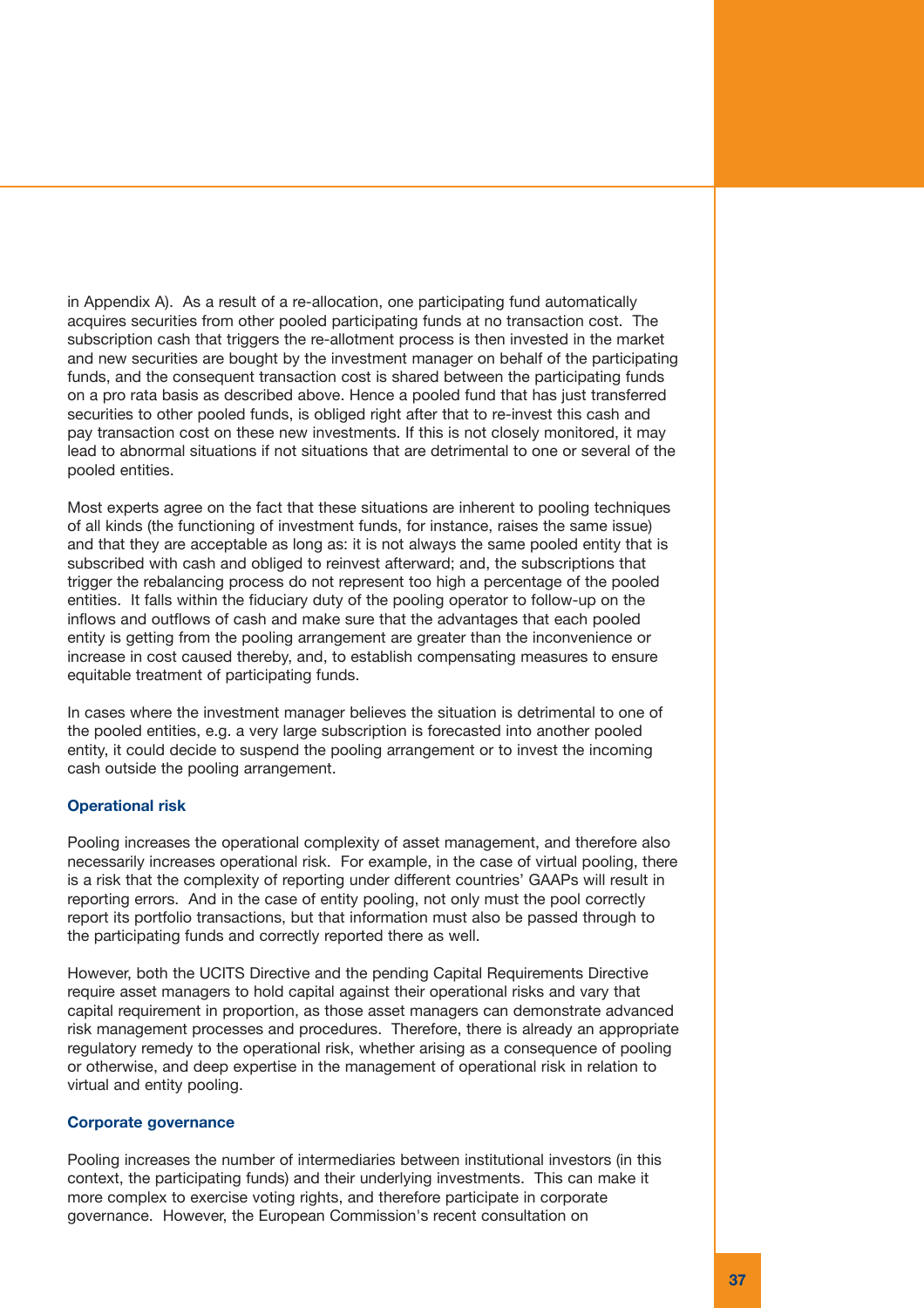in Appendix A). As a result of a re-allocation, one participating fund automatically acquires securities from other pooled participating funds at no transaction cost. The subscription cash that triggers the re-allotment process is then invested in the market and new securities are bought by the investment manager on behalf of the participating funds, and the consequent transaction cost is shared between the participating funds on a pro rata basis as described above. Hence a pooled fund that has just transferred securities to other pooled funds, is obliged right after that to re-invest this cash and pay transaction cost on these new investments. If this is not closely monitored, it may lead to abnormal situations if not situations that are detrimental to one or several of the pooled entities.

Most experts agree on the fact that these situations are inherent to pooling techniques of all kinds (the functioning of investment funds, for instance, raises the same issue) and that they are acceptable as long as: it is not always the same pooled entity that is subscribed with cash and obliged to reinvest afterward; and, the subscriptions that trigger the rebalancing process do not represent too high a percentage of the pooled entities. It falls within the fiduciary duty of the pooling operator to follow-up on the inflows and outflows of cash and make sure that the advantages that each pooled entity is getting from the pooling arrangement are greater than the inconvenience or increase in cost caused thereby, and, to establish compensating measures to ensure equitable treatment of participating funds.

In cases where the investment manager believes the situation is detrimental to one of the pooled entities, e.g. a very large subscription is forecasted into another pooled entity, it could decide to suspend the pooling arrangement or to invest the incoming cash outside the pooling arrangement.

### **Operational risk**

Pooling increases the operational complexity of asset management, and therefore also necessarily increases operational risk. For example, in the case of virtual pooling, there is a risk that the complexity of reporting under different countries' GAAPs will result in reporting errors. And in the case of entity pooling, not only must the pool correctly report its portfolio transactions, but that information must also be passed through to the participating funds and correctly reported there as well.

However, both the UCITS Directive and the pending Capital Requirements Directive require asset managers to hold capital against their operational risks and vary that capital requirement in proportion, as those asset managers can demonstrate advanced risk management processes and procedures. Therefore, there is already an appropriate regulatory remedy to the operational risk, whether arising as a consequence of pooling or otherwise, and deep expertise in the management of operational risk in relation to virtual and entity pooling.

### **Corporate governance**

Pooling increases the number of intermediaries between institutional investors (in this context, the participating funds) and their underlying investments. This can make it more complex to exercise voting rights, and therefore participate in corporate governance. However, the European Commission's recent consultation on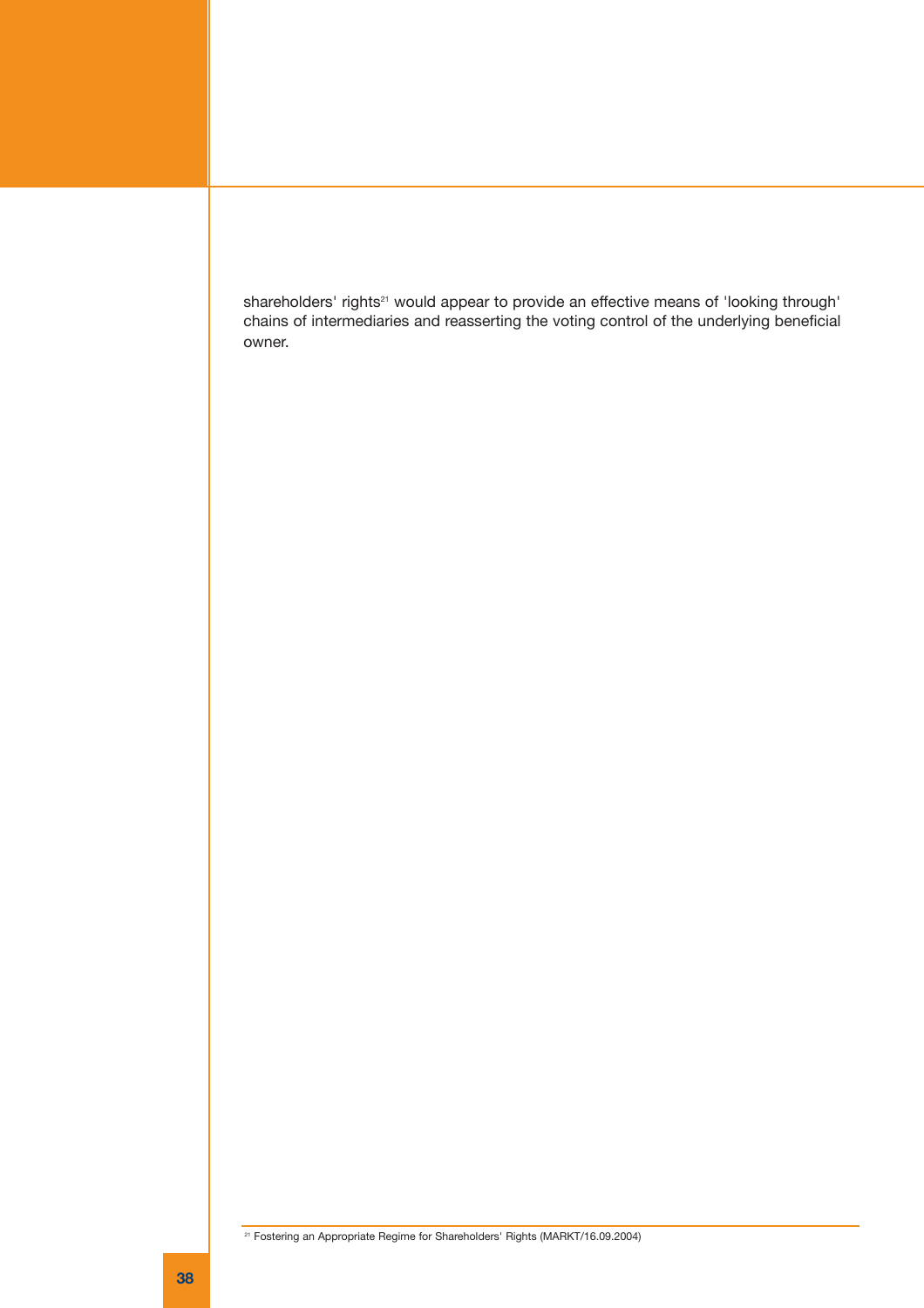shareholders' rights<sup>21</sup> would appear to provide an effective means of 'looking through' chains of intermediaries and reasserting the voting control of the underlying beneficial owner.

<sup>21</sup> Fostering an Appropriate Regime for Shareholders' Rights (MARKT/16.09.2004)